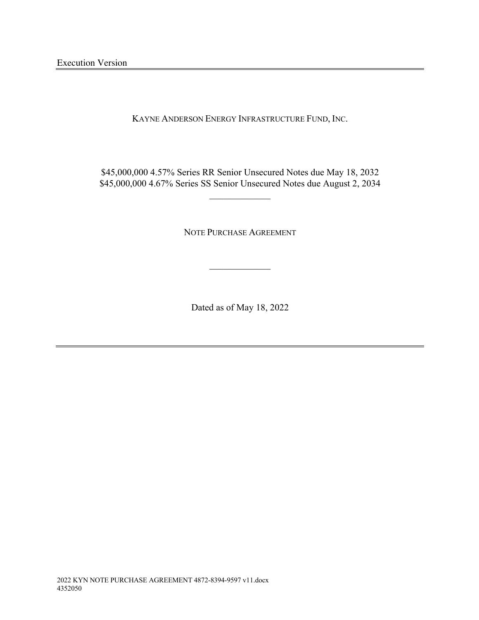KAYNE ANDERSON ENERGY INFRASTRUCTURE FUND, INC.

\$45,000,000 4.57% Series RR Senior Unsecured Notes due May 18, 2032 \$45,000,000 4.67% Series SS Senior Unsecured Notes due August 2, 2034

NOTE PURCHASE AGREEMENT

Dated as of May 18, 2022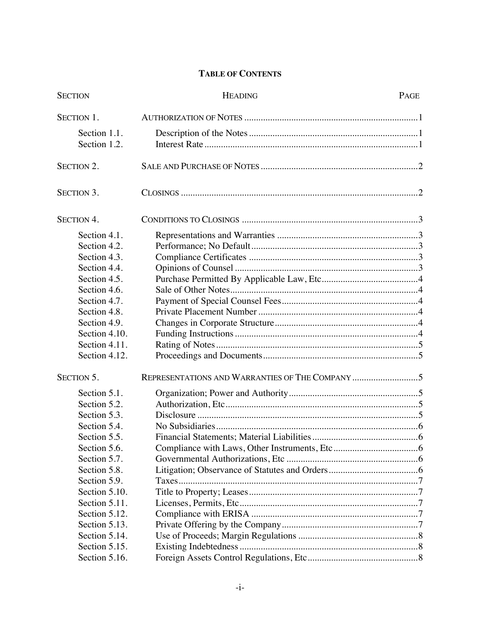# **TABLE OF CONTENTS**

| <b>SECTION</b>    | <b>HEADING</b> | PAGE |  |  |
|-------------------|----------------|------|--|--|
| SECTION 1.        |                |      |  |  |
| Section 1.1.      |                |      |  |  |
| Section 1.2.      |                |      |  |  |
| <b>SECTION 2.</b> |                |      |  |  |
| <b>SECTION 3.</b> |                |      |  |  |
| <b>SECTION 4.</b> |                |      |  |  |
| Section 4.1.      |                |      |  |  |
| Section 4.2.      |                |      |  |  |
| Section 4.3.      |                |      |  |  |
| Section 4.4.      |                |      |  |  |
| Section 4.5.      |                |      |  |  |
| Section 4.6.      |                |      |  |  |
| Section 4.7.      |                |      |  |  |
| Section 4.8.      |                |      |  |  |
| Section 4.9.      |                |      |  |  |
| Section 4.10.     |                |      |  |  |
| Section 4.11.     |                |      |  |  |
| Section 4.12.     |                |      |  |  |
| SECTION 5.        |                |      |  |  |
| Section 5.1.      |                |      |  |  |
| Section 5.2.      |                |      |  |  |
| Section 5.3.      |                |      |  |  |
| Section 5.4.      |                |      |  |  |
| Section 5.5       |                |      |  |  |
| Section 5.6.      |                |      |  |  |
| Section 5.7.      |                |      |  |  |
| Section 5.8.      |                |      |  |  |
| Section 5.9.      |                |      |  |  |
| Section 5.10.     |                |      |  |  |
| Section 5.11.     |                |      |  |  |
| Section 5.12.     |                |      |  |  |
| Section 5.13.     |                |      |  |  |
| Section 5.14.     |                |      |  |  |
| Section 5.15.     |                |      |  |  |
| Section 5.16.     |                |      |  |  |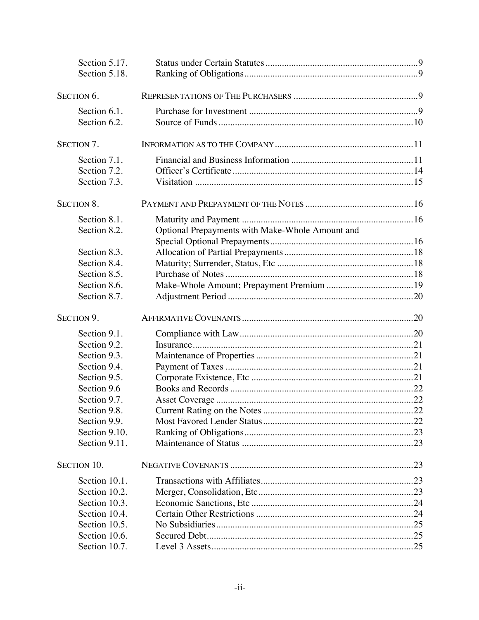|            | Section 5.17.<br>Section 5.18. |                                                 |  |
|------------|--------------------------------|-------------------------------------------------|--|
|            | SECTION 6.                     |                                                 |  |
|            |                                |                                                 |  |
|            | Section 6.1.                   |                                                 |  |
|            | Section 6.2.                   |                                                 |  |
| SECTION 7. |                                |                                                 |  |
|            | Section 7.1.                   |                                                 |  |
|            | Section 7.2.                   |                                                 |  |
|            | Section 7.3.                   |                                                 |  |
|            | <b>SECTION 8.</b>              |                                                 |  |
|            | Section 8.1.                   |                                                 |  |
|            | Section 8.2.                   | Optional Prepayments with Make-Whole Amount and |  |
|            |                                |                                                 |  |
|            | Section 8.3.                   |                                                 |  |
|            | Section 8.4.                   |                                                 |  |
|            | Section 8.5.                   |                                                 |  |
|            | Section 8.6.                   |                                                 |  |
|            | Section 8.7.                   |                                                 |  |
|            | SECTION 9.                     |                                                 |  |
|            | Section 9.1.                   |                                                 |  |
|            | Section 9.2.                   |                                                 |  |
|            | Section 9.3.                   |                                                 |  |
|            | Section 9.4.                   |                                                 |  |
|            | Section 9.5.                   |                                                 |  |
|            | Section 9.6                    |                                                 |  |
|            | Section 9.7.                   |                                                 |  |
|            | Section 9.8.                   |                                                 |  |
|            | Section 9.9.                   |                                                 |  |
|            | Section 9.10.                  |                                                 |  |
|            | Section 9.11.                  |                                                 |  |
|            | SECTION 10.                    |                                                 |  |
|            | Section 10.1.                  |                                                 |  |
|            | Section 10.2.                  |                                                 |  |
|            | Section 10.3.                  |                                                 |  |
|            | Section 10.4.                  |                                                 |  |
|            | Section 10.5.                  |                                                 |  |
|            | Section 10.6.                  |                                                 |  |
|            | Section 10.7.                  |                                                 |  |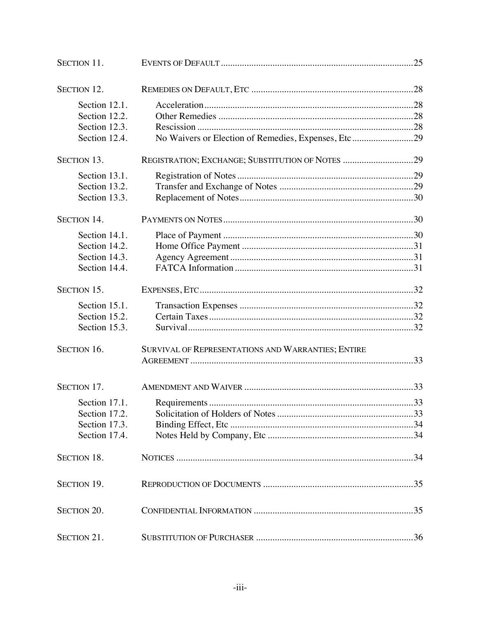| SECTION 11.        |                                                     |  |  |  |
|--------------------|-----------------------------------------------------|--|--|--|
| <b>SECTION 12.</b> |                                                     |  |  |  |
| Section 12.1.      |                                                     |  |  |  |
| Section 12.2.      |                                                     |  |  |  |
| Section 12.3.      |                                                     |  |  |  |
| Section 12.4.      | No Waivers or Election of Remedies, Expenses, Etc29 |  |  |  |
| <b>SECTION 13.</b> | REGISTRATION; EXCHANGE; SUBSTITUTION OF NOTES 29    |  |  |  |
| Section 13.1.      |                                                     |  |  |  |
| Section 13.2.      |                                                     |  |  |  |
| Section 13.3.      |                                                     |  |  |  |
| <b>SECTION 14.</b> |                                                     |  |  |  |
| Section 14.1.      |                                                     |  |  |  |
| Section 14.2.      |                                                     |  |  |  |
| Section 14.3.      |                                                     |  |  |  |
| Section 14.4.      |                                                     |  |  |  |
| SECTION 15.        |                                                     |  |  |  |
| Section 15.1.      |                                                     |  |  |  |
| Section 15.2.      |                                                     |  |  |  |
| Section 15.3.      |                                                     |  |  |  |
| SECTION 16.        | SURVIVAL OF REPRESENTATIONS AND WARRANTIES; ENTIRE  |  |  |  |
|                    |                                                     |  |  |  |
| SECTION 17.        |                                                     |  |  |  |
| Section 17.1.      |                                                     |  |  |  |
| Section 17.2.      |                                                     |  |  |  |
| Section 17.3.      |                                                     |  |  |  |
| Section 17.4.      |                                                     |  |  |  |
| <b>SECTION 18.</b> |                                                     |  |  |  |
| <b>SECTION 19.</b> |                                                     |  |  |  |
| SECTION 20.        |                                                     |  |  |  |
| SECTION 21.        |                                                     |  |  |  |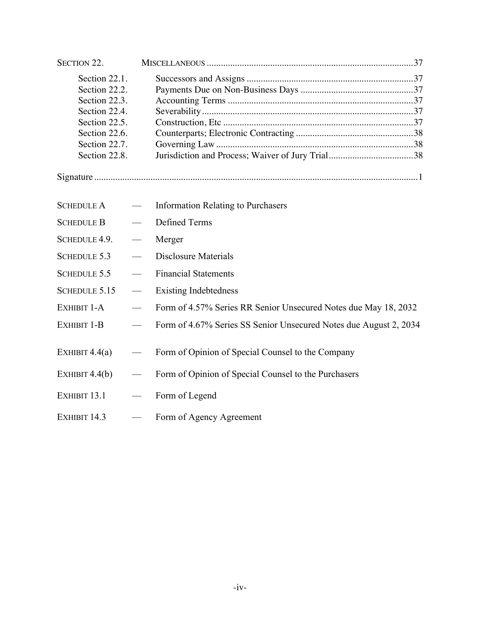| SECTION 22.                                                                                                                          |                          |                                                                   |
|--------------------------------------------------------------------------------------------------------------------------------------|--------------------------|-------------------------------------------------------------------|
| Section 22.1.<br>Section 22.2.<br>Section 22.3.<br>Section 22.4.<br>Section 22.5.<br>Section 22.6.<br>Section 22.7.<br>Section 22.8. |                          |                                                                   |
|                                                                                                                                      |                          |                                                                   |
| <b>SCHEDULE A</b>                                                                                                                    |                          | <b>Information Relating to Purchasers</b>                         |
| <b>SCHEDULE B</b>                                                                                                                    |                          | <b>Defined Terms</b>                                              |
| SCHEDULE 4.9.                                                                                                                        |                          | Merger                                                            |
| <b>SCHEDULE 5.3</b>                                                                                                                  |                          | <b>Disclosure Materials</b>                                       |
| <b>SCHEDULE 5.5</b>                                                                                                                  | $\frac{1}{1}$            | <b>Financial Statements</b>                                       |
| <b>SCHEDULE 5.15</b>                                                                                                                 | $\overline{\phantom{a}}$ | <b>Existing Indebtedness</b>                                      |
| EXHIBIT 1-A                                                                                                                          | $\frac{1}{1}$            | Form of 4.57% Series RR Senior Unsecured Notes due May 18, 2032   |
| EXHIBIT 1-B                                                                                                                          |                          | Form of 4.67% Series SS Senior Unsecured Notes due August 2, 2034 |
| EXHIBIT $4.4(a)$                                                                                                                     |                          | Form of Opinion of Special Counsel to the Company                 |
| EXHIBIT $4.4(b)$                                                                                                                     |                          | Form of Opinion of Special Counsel to the Purchasers              |
| EXHIBIT 13.1                                                                                                                         |                          | Form of Legend                                                    |
| EXHIBIT 14.3                                                                                                                         | $\equiv$                 | Form of Agency Agreement                                          |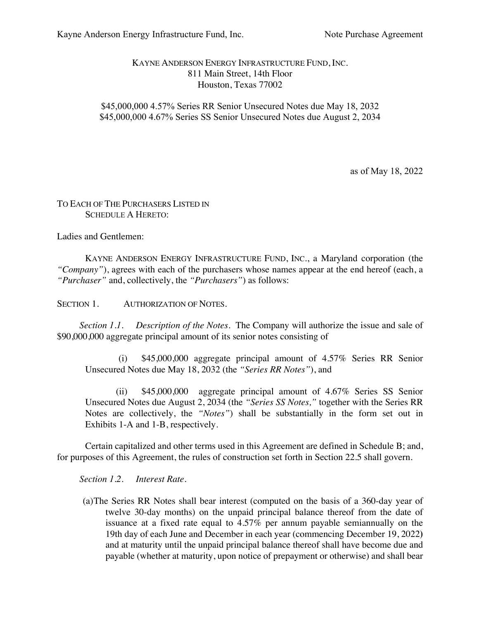## KAYNE ANDERSON ENERGY INFRASTRUCTURE FUND, INC. 811 Main Street, 14th Floor Houston, Texas 77002

## \$45,000,000 4.57% Series RR Senior Unsecured Notes due May 18, 2032 \$45,000,000 4.67% Series SS Senior Unsecured Notes due August 2, 2034

as of May 18, 2022

## TO EACH OF THE PURCHASERS LISTED IN SCHEDULE A HERETO:

Ladies and Gentlemen:

KAYNE ANDERSON ENERGY INFRASTRUCTURE FUND, INC., a Maryland corporation (the *"Company"*), agrees with each of the purchasers whose names appear at the end hereof (each, a *"Purchaser"* and, collectively, the *"Purchasers"*) as follows:

SECTION 1. AUTHORIZATION OF NOTES.

*Section 1.1. Description of the Notes.* The Company will authorize the issue and sale of \$90,000,000 aggregate principal amount of its senior notes consisting of

(i) \$45,000,000 aggregate principal amount of 4.57% Series RR Senior Unsecured Notes due May 18, 2032 (the *"Series RR Notes"*), and

(ii) \$45,000,000 aggregate principal amount of 4.67% Series SS Senior Unsecured Notes due August 2, 2034 (the *"Series SS Notes,"* together with the Series RR Notes are collectively, the *"Notes"*) shall be substantially in the form set out in Exhibits 1-A and 1-B, respectively.

Certain capitalized and other terms used in this Agreement are defined in Schedule B; and, for purposes of this Agreement, the rules of construction set forth in Section 22.5 shall govern.

*Section 1.2. Interest Rate*.

(a)The Series RR Notes shall bear interest (computed on the basis of a 360-day year of twelve 30-day months) on the unpaid principal balance thereof from the date of issuance at a fixed rate equal to 4.57% per annum payable semiannually on the 19th day of each June and December in each year (commencing December 19, 2022**)** and at maturity until the unpaid principal balance thereof shall have become due and payable (whether at maturity, upon notice of prepayment or otherwise) and shall bear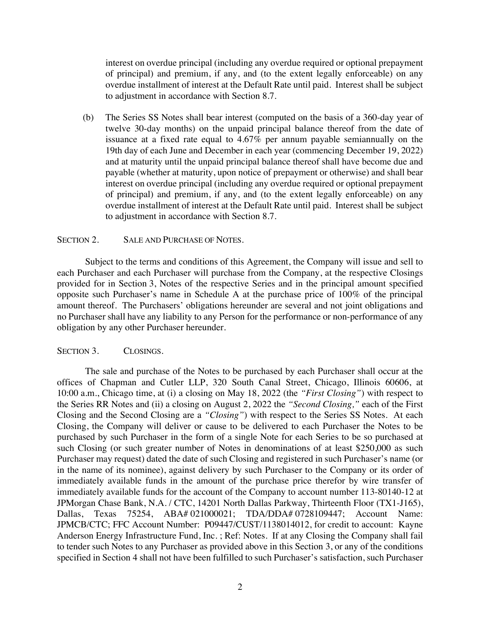interest on overdue principal (including any overdue required or optional prepayment of principal) and premium, if any, and (to the extent legally enforceable) on any overdue installment of interest at the Default Rate until paid. Interest shall be subject to adjustment in accordance with Section 8.7.

(b) The Series SS Notes shall bear interest (computed on the basis of a 360-day year of twelve 30-day months) on the unpaid principal balance thereof from the date of issuance at a fixed rate equal to 4.67% per annum payable semiannually on the 19th day of each June and December in each year (commencing December 19, 2022) and at maturity until the unpaid principal balance thereof shall have become due and payable (whether at maturity, upon notice of prepayment or otherwise) and shall bear interest on overdue principal (including any overdue required or optional prepayment of principal) and premium, if any, and (to the extent legally enforceable) on any overdue installment of interest at the Default Rate until paid. Interest shall be subject to adjustment in accordance with Section 8.7.

### SECTION 2. SALE AND PURCHASE OF NOTES.

Subject to the terms and conditions of this Agreement, the Company will issue and sell to each Purchaser and each Purchaser will purchase from the Company, at the respective Closings provided for in Section 3, Notes of the respective Series and in the principal amount specified opposite such Purchaser's name in Schedule A at the purchase price of 100% of the principal amount thereof. The Purchasers' obligations hereunder are several and not joint obligations and no Purchaser shall have any liability to any Person for the performance or non-performance of any obligation by any other Purchaser hereunder.

### SECTION 3. CLOSINGS.

The sale and purchase of the Notes to be purchased by each Purchaser shall occur at the offices of Chapman and Cutler LLP, 320 South Canal Street, Chicago, Illinois 60606, at 10:00 a.m., Chicago time, at (i) a closing on May 18, 2022 (the *"First Closing"*) with respect to the Series RR Notes and (ii) a closing on August 2, 2022 the *"Second Closing,"* each of the First Closing and the Second Closing are a *"Closing"*) with respect to the Series SS Notes. At each Closing, the Company will deliver or cause to be delivered to each Purchaser the Notes to be purchased by such Purchaser in the form of a single Note for each Series to be so purchased at such Closing (or such greater number of Notes in denominations of at least \$250,000 as such Purchaser may request) dated the date of such Closing and registered in such Purchaser's name (or in the name of its nominee), against delivery by such Purchaser to the Company or its order of immediately available funds in the amount of the purchase price therefor by wire transfer of immediately available funds for the account of the Company to account number 113-80140-12 at JPMorgan Chase Bank, N.A. / CTC, 14201 North Dallas Parkway, Thirteenth Floor (TX1-J165), Dallas, Texas 75254, ABA# 021000021; TDA/DDA# 0728109447; Account Name: JPMCB/CTC; FFC Account Number: P09447/CUST/1138014012, for credit to account: Kayne Anderson Energy Infrastructure Fund, Inc. ; Ref: Notes. If at any Closing the Company shall fail to tender such Notes to any Purchaser as provided above in this Section 3, or any of the conditions specified in Section 4 shall not have been fulfilled to such Purchaser's satisfaction, such Purchaser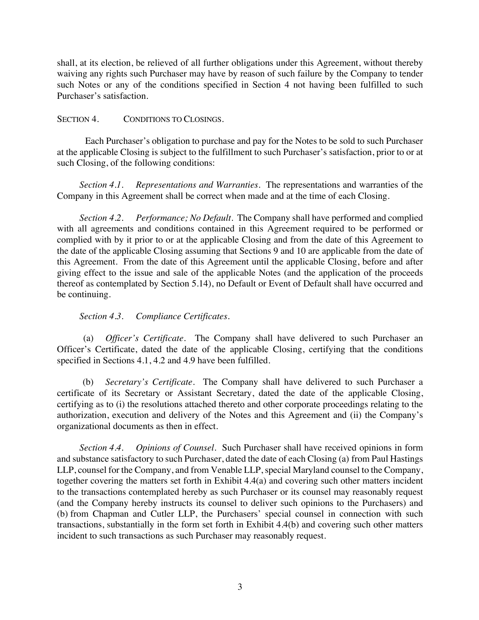shall, at its election, be relieved of all further obligations under this Agreement, without thereby waiving any rights such Purchaser may have by reason of such failure by the Company to tender such Notes or any of the conditions specified in Section 4 not having been fulfilled to such Purchaser's satisfaction.

## SECTION 4. CONDITIONS TO CLOSINGS.

Each Purchaser's obligation to purchase and pay for the Notes to be sold to such Purchaser at the applicable Closing is subject to the fulfillment to such Purchaser's satisfaction, prior to or at such Closing, of the following conditions:

*Section 4.1. Representations and Warranties*. The representations and warranties of the Company in this Agreement shall be correct when made and at the time of each Closing.

*Section 4.2. Performance; No Default*. The Company shall have performed and complied with all agreements and conditions contained in this Agreement required to be performed or complied with by it prior to or at the applicable Closing and from the date of this Agreement to the date of the applicable Closing assuming that Sections 9 and 10 are applicable from the date of this Agreement. From the date of this Agreement until the applicable Closing, before and after giving effect to the issue and sale of the applicable Notes (and the application of the proceeds thereof as contemplated by Section 5.14), no Default or Event of Default shall have occurred and be continuing.

## *Section 4.3. Compliance Certificates*.

(a) *Officer's Certificate*. The Company shall have delivered to such Purchaser an Officer's Certificate, dated the date of the applicable Closing, certifying that the conditions specified in Sections 4.1, 4.2 and 4.9 have been fulfilled.

(b) *Secretary's Certificate*. The Company shall have delivered to such Purchaser a certificate of its Secretary or Assistant Secretary, dated the date of the applicable Closing, certifying as to (i) the resolutions attached thereto and other corporate proceedings relating to the authorization, execution and delivery of the Notes and this Agreement and (ii) the Company's organizational documents as then in effect.

*Section 4.4. Opinions of Counsel*. Such Purchaser shall have received opinions in form and substance satisfactory to such Purchaser, dated the date of each Closing (a) from Paul Hastings LLP, counsel for the Company, and from Venable LLP, special Maryland counsel to the Company, together covering the matters set forth in Exhibit 4.4(a) and covering such other matters incident to the transactions contemplated hereby as such Purchaser or its counsel may reasonably request (and the Company hereby instructs its counsel to deliver such opinions to the Purchasers) and (b) from Chapman and Cutler LLP, the Purchasers' special counsel in connection with such transactions, substantially in the form set forth in Exhibit 4.4(b) and covering such other matters incident to such transactions as such Purchaser may reasonably request.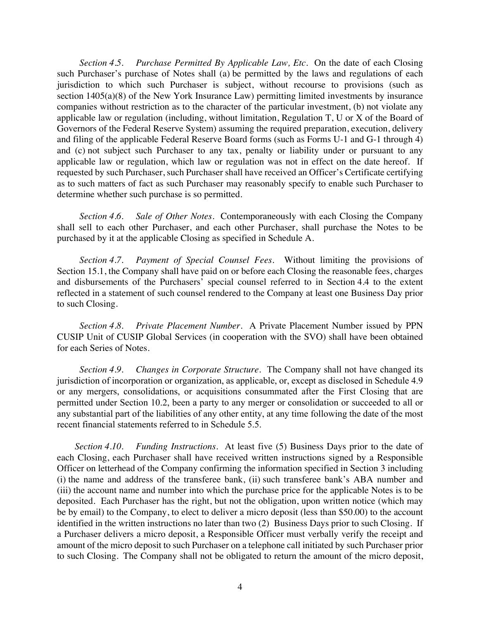*Section 4.5. Purchase Permitted By Applicable Law, Etc*. On the date of each Closing such Purchaser's purchase of Notes shall (a) be permitted by the laws and regulations of each jurisdiction to which such Purchaser is subject, without recourse to provisions (such as section 1405(a)(8) of the New York Insurance Law) permitting limited investments by insurance companies without restriction as to the character of the particular investment, (b) not violate any applicable law or regulation (including, without limitation, Regulation T, U or X of the Board of Governors of the Federal Reserve System) assuming the required preparation, execution, delivery and filing of the applicable Federal Reserve Board forms (such as Forms U-1 and G-1 through 4) and (c) not subject such Purchaser to any tax, penalty or liability under or pursuant to any applicable law or regulation, which law or regulation was not in effect on the date hereof. If requested by such Purchaser, such Purchaser shall have received an Officer's Certificate certifying as to such matters of fact as such Purchaser may reasonably specify to enable such Purchaser to determine whether such purchase is so permitted.

*Section 4.6. Sale of Other Notes*. Contemporaneously with each Closing the Company shall sell to each other Purchaser, and each other Purchaser, shall purchase the Notes to be purchased by it at the applicable Closing as specified in Schedule A.

*Section 4.7. Payment of Special Counsel Fees*. Without limiting the provisions of Section 15.1, the Company shall have paid on or before each Closing the reasonable fees, charges and disbursements of the Purchasers' special counsel referred to in Section 4.4 to the extent reflected in a statement of such counsel rendered to the Company at least one Business Day prior to such Closing.

*Section 4.8. Private Placement Number*. A Private Placement Number issued by PPN CUSIP Unit of CUSIP Global Services (in cooperation with the SVO) shall have been obtained for each Series of Notes.

*Section 4.9. Changes in Corporate Structure*. The Company shall not have changed its jurisdiction of incorporation or organization, as applicable, or, except as disclosed in Schedule 4.9 or any mergers, consolidations, or acquisitions consummated after the First Closing that are permitted under Section 10.2, been a party to any merger or consolidation or succeeded to all or any substantial part of the liabilities of any other entity, at any time following the date of the most recent financial statements referred to in Schedule 5.5.

*Section 4.10. Funding Instructions.* At least five (5) Business Days prior to the date of each Closing, each Purchaser shall have received written instructions signed by a Responsible Officer on letterhead of the Company confirming the information specified in Section 3 including (i) the name and address of the transferee bank, (ii) such transferee bank's ABA number and (iii) the account name and number into which the purchase price for the applicable Notes is to be deposited. Each Purchaser has the right, but not the obligation, upon written notice (which may be by email) to the Company, to elect to deliver a micro deposit (less than \$50.00) to the account identified in the written instructions no later than two (2) Business Days prior to such Closing. If a Purchaser delivers a micro deposit, a Responsible Officer must verbally verify the receipt and amount of the micro deposit to such Purchaser on a telephone call initiated by such Purchaser prior to such Closing. The Company shall not be obligated to return the amount of the micro deposit,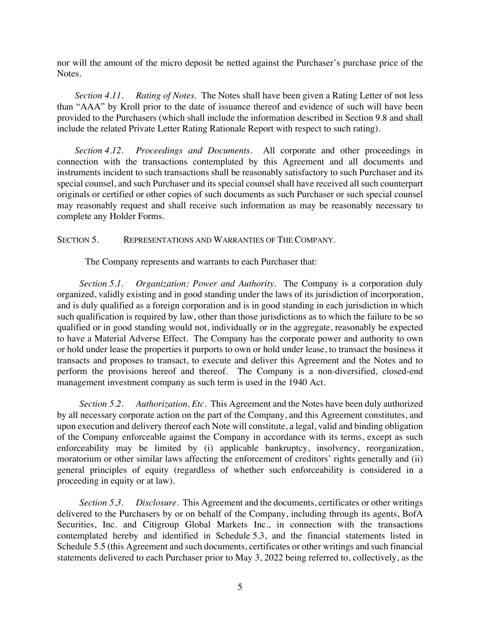nor will the amount of the micro deposit be netted against the Purchaser's purchase price of the Notes.

*Section 4.11. Rating of Notes*. The Notes shall have been given a Rating Letter of not less than "AAA" by Kroll prior to the date of issuance thereof and evidence of such will have been provided to the Purchasers (which shall include the information described in Section 9.8 and shall include the related Private Letter Rating Rationale Report with respect to such rating).

*Section 4.12. Proceedings and Documents*. All corporate and other proceedings in connection with the transactions contemplated by this Agreement and all documents and instruments incident to such transactions shall be reasonably satisfactory to such Purchaser and its special counsel, and such Purchaser and its special counsel shall have received all such counterpart originals or certified or other copies of such documents as such Purchaser or such special counsel may reasonably request and shall receive such information as may be reasonably necessary to complete any Holder Forms.

SECTION 5. REPRESENTATIONS AND WARRANTIES OF THE COMPANY.

The Company represents and warrants to each Purchaser that:

*Section 5.1. Organization; Power and Authority*. The Company is a corporation duly organized, validly existing and in good standing under the laws of its jurisdiction of incorporation, and is duly qualified as a foreign corporation and is in good standing in each jurisdiction in which such qualification is required by law, other than those jurisdictions as to which the failure to be so qualified or in good standing would not, individually or in the aggregate, reasonably be expected to have a Material Adverse Effect. The Company has the corporate power and authority to own or hold under lease the properties it purports to own or hold under lease, to transact the business it transacts and proposes to transact, to execute and deliver this Agreement and the Notes and to perform the provisions hereof and thereof. The Company is a non-diversified, closed-end management investment company as such term is used in the 1940 Act.

*Section 5.2. Authorization, Etc*. This Agreement and the Notes have been duly authorized by all necessary corporate action on the part of the Company, and this Agreement constitutes, and upon execution and delivery thereof each Note will constitute, a legal, valid and binding obligation of the Company enforceable against the Company in accordance with its terms, except as such enforceability may be limited by (i) applicable bankruptcy, insolvency, reorganization, moratorium or other similar laws affecting the enforcement of creditors' rights generally and (ii) general principles of equity (regardless of whether such enforceability is considered in a proceeding in equity or at law).

*Section 5.3. Disclosure*. This Agreement and the documents, certificates or other writings delivered to the Purchasers by or on behalf of the Company, including through its agents, BofA Securities, Inc. and Citigroup Global Markets Inc., in connection with the transactions contemplated hereby and identified in Schedule 5.3, and the financial statements listed in Schedule 5.5 (this Agreement and such documents, certificates or other writings and such financial statements delivered to each Purchaser prior to May 3, 2022 being referred to, collectively, as the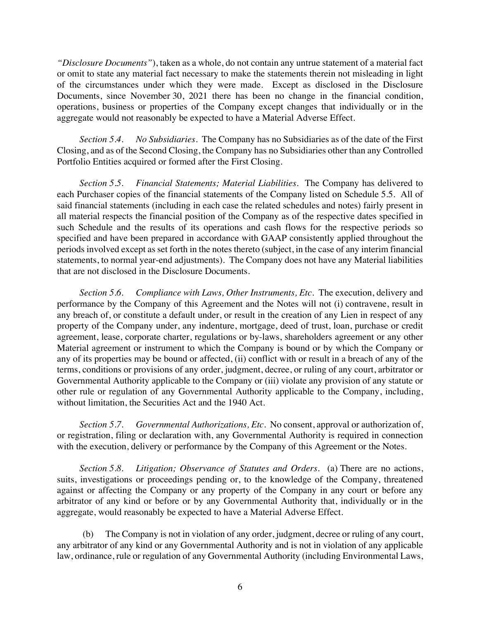*"Disclosure Documents"*), taken as a whole, do not contain any untrue statement of a material fact or omit to state any material fact necessary to make the statements therein not misleading in light of the circumstances under which they were made. Except as disclosed in the Disclosure Documents, since November 30, 2021 there has been no change in the financial condition, operations, business or properties of the Company except changes that individually or in the aggregate would not reasonably be expected to have a Material Adverse Effect.

*Section 5.4. No Subsidiaries*. The Company has no Subsidiaries as of the date of the First Closing, and as of the Second Closing, the Company has no Subsidiaries other than any Controlled Portfolio Entities acquired or formed after the First Closing.

*Section 5.5. Financial Statements; Material Liabilities*. The Company has delivered to each Purchaser copies of the financial statements of the Company listed on Schedule 5.5. All of said financial statements (including in each case the related schedules and notes) fairly present in all material respects the financial position of the Company as of the respective dates specified in such Schedule and the results of its operations and cash flows for the respective periods so specified and have been prepared in accordance with GAAP consistently applied throughout the periods involved except as set forth in the notes thereto (subject, in the case of any interim financial statements, to normal year-end adjustments). The Company does not have any Material liabilities that are not disclosed in the Disclosure Documents.

*Section 5.6. Compliance with Laws, Other Instruments, Etc*. The execution, delivery and performance by the Company of this Agreement and the Notes will not (i) contravene, result in any breach of, or constitute a default under, or result in the creation of any Lien in respect of any property of the Company under, any indenture, mortgage, deed of trust, loan, purchase or credit agreement, lease, corporate charter, regulations or by-laws, shareholders agreement or any other Material agreement or instrument to which the Company is bound or by which the Company or any of its properties may be bound or affected, (ii) conflict with or result in a breach of any of the terms, conditions or provisions of any order, judgment, decree, or ruling of any court, arbitrator or Governmental Authority applicable to the Company or (iii) violate any provision of any statute or other rule or regulation of any Governmental Authority applicable to the Company, including, without limitation, the Securities Act and the 1940 Act.

*Section 5.7. Governmental Authorizations, Etc*. No consent, approval or authorization of, or registration, filing or declaration with, any Governmental Authority is required in connection with the execution, delivery or performance by the Company of this Agreement or the Notes.

*Section 5.8. Litigation; Observance of Statutes and Orders*. (a) There are no actions, suits, investigations or proceedings pending or, to the knowledge of the Company, threatened against or affecting the Company or any property of the Company in any court or before any arbitrator of any kind or before or by any Governmental Authority that, individually or in the aggregate, would reasonably be expected to have a Material Adverse Effect.

(b) The Company is not in violation of any order, judgment, decree or ruling of any court, any arbitrator of any kind or any Governmental Authority and is not in violation of any applicable law, ordinance, rule or regulation of any Governmental Authority (including Environmental Laws,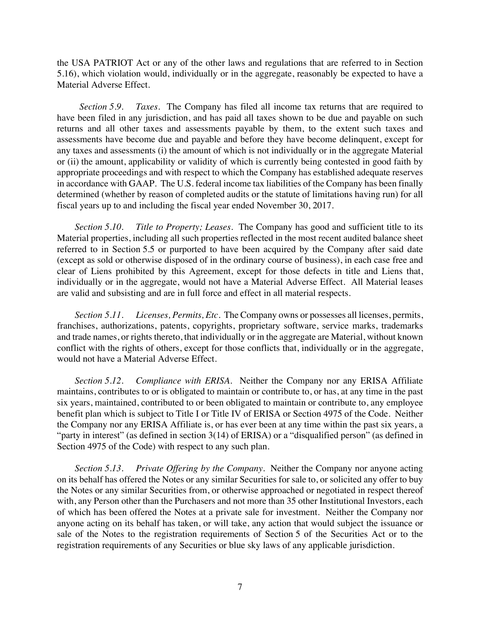the USA PATRIOT Act or any of the other laws and regulations that are referred to in Section 5.16), which violation would, individually or in the aggregate, reasonably be expected to have a Material Adverse Effect.

*Section 5.9. Taxes*. The Company has filed all income tax returns that are required to have been filed in any jurisdiction, and has paid all taxes shown to be due and payable on such returns and all other taxes and assessments payable by them, to the extent such taxes and assessments have become due and payable and before they have become delinquent, except for any taxes and assessments (i) the amount of which is not individually or in the aggregate Material or (ii) the amount, applicability or validity of which is currently being contested in good faith by appropriate proceedings and with respect to which the Company has established adequate reserves in accordance with GAAP. The U.S. federal income tax liabilities of the Company has been finally determined (whether by reason of completed audits or the statute of limitations having run) for all fiscal years up to and including the fiscal year ended November 30, 2017.

*Section 5.10. Title to Property; Leases*. The Company has good and sufficient title to its Material properties, including all such properties reflected in the most recent audited balance sheet referred to in Section 5.5 or purported to have been acquired by the Company after said date (except as sold or otherwise disposed of in the ordinary course of business), in each case free and clear of Liens prohibited by this Agreement, except for those defects in title and Liens that, individually or in the aggregate, would not have a Material Adverse Effect. All Material leases are valid and subsisting and are in full force and effect in all material respects.

*Section 5.11. Licenses, Permits, Etc*. The Company owns or possesses all licenses, permits, franchises, authorizations, patents, copyrights, proprietary software, service marks, trademarks and trade names, or rights thereto, that individually or in the aggregate are Material, without known conflict with the rights of others, except for those conflicts that, individually or in the aggregate, would not have a Material Adverse Effect.

*Section 5.12. Compliance with ERISA*. Neither the Company nor any ERISA Affiliate maintains, contributes to or is obligated to maintain or contribute to, or has, at any time in the past six years, maintained, contributed to or been obligated to maintain or contribute to, any employee benefit plan which is subject to Title I or Title IV of ERISA or Section 4975 of the Code. Neither the Company nor any ERISA Affiliate is, or has ever been at any time within the past six years, a "party in interest" (as defined in section 3(14) of ERISA) or a "disqualified person" (as defined in Section 4975 of the Code) with respect to any such plan.

*Section 5.13. Private Offering by the Company*. Neither the Company nor anyone acting on its behalf has offered the Notes or any similar Securities for sale to, or solicited any offer to buy the Notes or any similar Securities from, or otherwise approached or negotiated in respect thereof with, any Person other than the Purchasers and not more than 35 other Institutional Investors, each of which has been offered the Notes at a private sale for investment. Neither the Company nor anyone acting on its behalf has taken, or will take, any action that would subject the issuance or sale of the Notes to the registration requirements of Section 5 of the Securities Act or to the registration requirements of any Securities or blue sky laws of any applicable jurisdiction.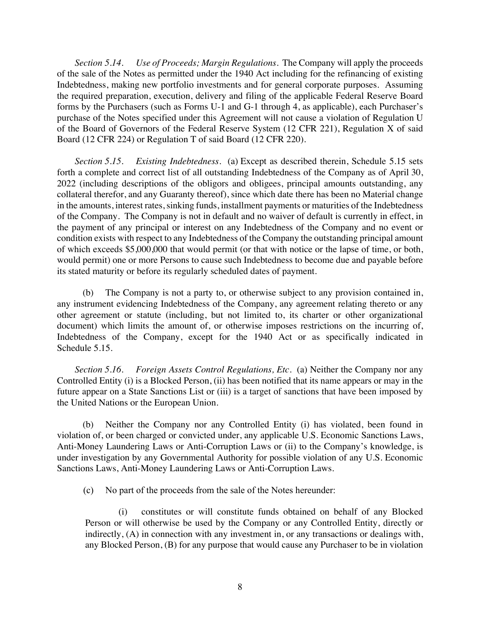*Section 5.14. Use of Proceeds; Margin Regulations*. The Company will apply the proceeds of the sale of the Notes as permitted under the 1940 Act including for the refinancing of existing Indebtedness, making new portfolio investments and for general corporate purposes. Assuming the required preparation, execution, delivery and filing of the applicable Federal Reserve Board forms by the Purchasers (such as Forms U-1 and G-1 through 4, as applicable), each Purchaser's purchase of the Notes specified under this Agreement will not cause a violation of Regulation U of the Board of Governors of the Federal Reserve System (12 CFR 221), Regulation X of said Board (12 CFR 224) or Regulation T of said Board (12 CFR 220).

*Section 5.15. Existing Indebtedness*. (a) Except as described therein, Schedule 5.15 sets forth a complete and correct list of all outstanding Indebtedness of the Company as of April 30, 2022 (including descriptions of the obligors and obligees, principal amounts outstanding, any collateral therefor, and any Guaranty thereof), since which date there has been no Material change in the amounts, interest rates, sinking funds, installment payments or maturities of the Indebtedness of the Company. The Company is not in default and no waiver of default is currently in effect, in the payment of any principal or interest on any Indebtedness of the Company and no event or condition exists with respect to any Indebtedness of the Company the outstanding principal amount of which exceeds \$5,000,000 that would permit (or that with notice or the lapse of time, or both, would permit) one or more Persons to cause such Indebtedness to become due and payable before its stated maturity or before its regularly scheduled dates of payment.

(b) The Company is not a party to, or otherwise subject to any provision contained in, any instrument evidencing Indebtedness of the Company, any agreement relating thereto or any other agreement or statute (including, but not limited to, its charter or other organizational document) which limits the amount of, or otherwise imposes restrictions on the incurring of, Indebtedness of the Company, except for the 1940 Act or as specifically indicated in Schedule 5.15.

*Section 5.16. Foreign Assets Control Regulations, Etc.* (a) Neither the Company nor any Controlled Entity (i) is a Blocked Person, (ii) has been notified that its name appears or may in the future appear on a State Sanctions List or (iii) is a target of sanctions that have been imposed by the United Nations or the European Union.

(b) Neither the Company nor any Controlled Entity (i) has violated, been found in violation of, or been charged or convicted under, any applicable U.S. Economic Sanctions Laws, Anti-Money Laundering Laws or Anti-Corruption Laws or (ii) to the Company's knowledge, is under investigation by any Governmental Authority for possible violation of any U.S. Economic Sanctions Laws, Anti-Money Laundering Laws or Anti-Corruption Laws.

(c) No part of the proceeds from the sale of the Notes hereunder:

(i) constitutes or will constitute funds obtained on behalf of any Blocked Person or will otherwise be used by the Company or any Controlled Entity, directly or indirectly, (A) in connection with any investment in, or any transactions or dealings with, any Blocked Person, (B) for any purpose that would cause any Purchaser to be in violation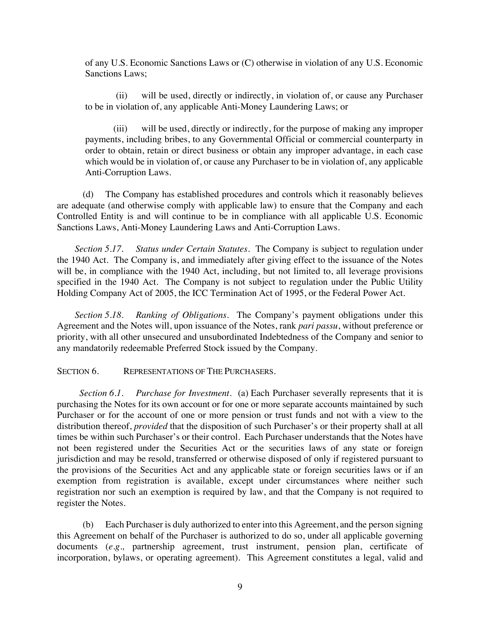of any U.S. Economic Sanctions Laws or (C) otherwise in violation of any U.S. Economic Sanctions Laws;

(ii) will be used, directly or indirectly, in violation of, or cause any Purchaser to be in violation of, any applicable Anti-Money Laundering Laws; or

(iii) will be used, directly or indirectly, for the purpose of making any improper payments, including bribes, to any Governmental Official or commercial counterparty in order to obtain, retain or direct business or obtain any improper advantage, in each case which would be in violation of, or cause any Purchaser to be in violation of, any applicable Anti-Corruption Laws.

(d) The Company has established procedures and controls which it reasonably believes are adequate (and otherwise comply with applicable law) to ensure that the Company and each Controlled Entity is and will continue to be in compliance with all applicable U.S. Economic Sanctions Laws, Anti-Money Laundering Laws and Anti-Corruption Laws.

*Section 5.17. Status under Certain Statutes*. The Company is subject to regulation under the 1940 Act. The Company is, and immediately after giving effect to the issuance of the Notes will be, in compliance with the 1940 Act, including, but not limited to, all leverage provisions specified in the 1940 Act. The Company is not subject to regulation under the Public Utility Holding Company Act of 2005, the ICC Termination Act of 1995, or the Federal Power Act.

*Section 5.18. Ranking of Obligations*. The Company's payment obligations under this Agreement and the Notes will, upon issuance of the Notes, rank *pari passu*, without preference or priority, with all other unsecured and unsubordinated Indebtedness of the Company and senior to any mandatorily redeemable Preferred Stock issued by the Company.

SECTION 6. REPRESENTATIONS OF THE PURCHASERS.

*Section 6.1. Purchase for Investment*. (a) Each Purchaser severally represents that it is purchasing the Notes for its own account or for one or more separate accounts maintained by such Purchaser or for the account of one or more pension or trust funds and not with a view to the distribution thereof, *provided* that the disposition of such Purchaser's or their property shall at all times be within such Purchaser's or their control. Each Purchaser understands that the Notes have not been registered under the Securities Act or the securities laws of any state or foreign jurisdiction and may be resold, transferred or otherwise disposed of only if registered pursuant to the provisions of the Securities Act and any applicable state or foreign securities laws or if an exemption from registration is available, except under circumstances where neither such registration nor such an exemption is required by law, and that the Company is not required to register the Notes.

(b) Each Purchaser is duly authorized to enter into this Agreement, and the person signing this Agreement on behalf of the Purchaser is authorized to do so, under all applicable governing documents (*e.g.,* partnership agreement, trust instrument, pension plan, certificate of incorporation, bylaws, or operating agreement). This Agreement constitutes a legal, valid and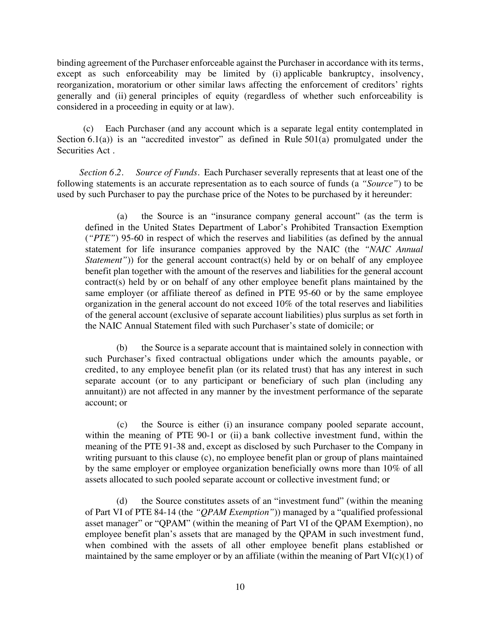binding agreement of the Purchaser enforceable against the Purchaser in accordance with its terms, except as such enforceability may be limited by (i) applicable bankruptcy, insolvency, reorganization, moratorium or other similar laws affecting the enforcement of creditors' rights generally and (ii) general principles of equity (regardless of whether such enforceability is considered in a proceeding in equity or at law).

(c) Each Purchaser (and any account which is a separate legal entity contemplated in Section  $6.1(a)$ ) is an "accredited investor" as defined in Rule  $501(a)$  promulgated under the Securities Act .

*Section 6.2. Source of Funds*. Each Purchaser severally represents that at least one of the following statements is an accurate representation as to each source of funds (a *"Source"*) to be used by such Purchaser to pay the purchase price of the Notes to be purchased by it hereunder:

(a) the Source is an "insurance company general account" (as the term is defined in the United States Department of Labor's Prohibited Transaction Exemption (*"PTE"*) 95-60 in respect of which the reserves and liabilities (as defined by the annual statement for life insurance companies approved by the NAIC (the *"NAIC Annual Statement*")) for the general account contract(s) held by or on behalf of any employee benefit plan together with the amount of the reserves and liabilities for the general account contract(s) held by or on behalf of any other employee benefit plans maintained by the same employer (or affiliate thereof as defined in PTE 95-60 or by the same employee organization in the general account do not exceed 10% of the total reserves and liabilities of the general account (exclusive of separate account liabilities) plus surplus as set forth in the NAIC Annual Statement filed with such Purchaser's state of domicile; or

(b) the Source is a separate account that is maintained solely in connection with such Purchaser's fixed contractual obligations under which the amounts payable, or credited, to any employee benefit plan (or its related trust) that has any interest in such separate account (or to any participant or beneficiary of such plan (including any annuitant)) are not affected in any manner by the investment performance of the separate account; or

(c) the Source is either (i) an insurance company pooled separate account, within the meaning of PTE 90-1 or (ii) a bank collective investment fund, within the meaning of the PTE 91-38 and, except as disclosed by such Purchaser to the Company in writing pursuant to this clause (c), no employee benefit plan or group of plans maintained by the same employer or employee organization beneficially owns more than 10% of all assets allocated to such pooled separate account or collective investment fund; or

(d) the Source constitutes assets of an "investment fund" (within the meaning of Part VI of PTE 84-14 (the *"QPAM Exemption"*)) managed by a "qualified professional asset manager" or "QPAM" (within the meaning of Part VI of the QPAM Exemption), no employee benefit plan's assets that are managed by the QPAM in such investment fund, when combined with the assets of all other employee benefit plans established or maintained by the same employer or by an affiliate (within the meaning of Part  $VI(c)(1)$  of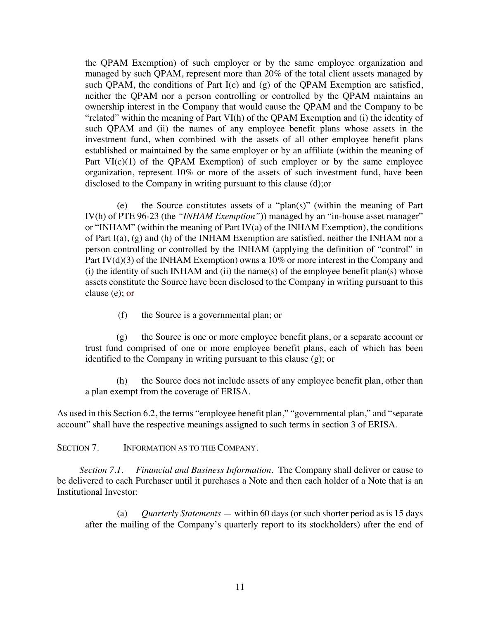the QPAM Exemption) of such employer or by the same employee organization and managed by such QPAM, represent more than 20% of the total client assets managed by such QPAM, the conditions of Part I(c) and (g) of the QPAM Exemption are satisfied, neither the QPAM nor a person controlling or controlled by the QPAM maintains an ownership interest in the Company that would cause the QPAM and the Company to be "related" within the meaning of Part VI(h) of the QPAM Exemption and (i) the identity of such QPAM and (ii) the names of any employee benefit plans whose assets in the investment fund, when combined with the assets of all other employee benefit plans established or maintained by the same employer or by an affiliate (within the meaning of Part  $VI(c)(1)$  of the QPAM Exemption) of such employer or by the same employee organization, represent 10% or more of the assets of such investment fund, have been disclosed to the Company in writing pursuant to this clause (d);or

(e) the Source constitutes assets of a "plan(s)" (within the meaning of Part IV(h) of PTE 96-23 (the *"INHAM Exemption"*)) managed by an "in-house asset manager" or "INHAM" (within the meaning of Part IV(a) of the INHAM Exemption), the conditions of Part I(a), (g) and (h) of the INHAM Exemption are satisfied, neither the INHAM nor a person controlling or controlled by the INHAM (applying the definition of "control" in Part IV(d)(3) of the INHAM Exemption) owns a 10% or more interest in the Company and  $(i)$  the identity of such INHAM and  $(ii)$  the name(s) of the employee benefit plan(s) whose assets constitute the Source have been disclosed to the Company in writing pursuant to this clause (e); or

(f) the Source is a governmental plan; or

(g) the Source is one or more employee benefit plans, or a separate account or trust fund comprised of one or more employee benefit plans, each of which has been identified to the Company in writing pursuant to this clause (g); or

(h) the Source does not include assets of any employee benefit plan, other than a plan exempt from the coverage of ERISA.

As used in this Section 6.2, the terms "employee benefit plan," "governmental plan," and "separate account" shall have the respective meanings assigned to such terms in section 3 of ERISA.

SECTION 7. INFORMATION AS TO THE COMPANY.

*Section 7.1. Financial and Business Information*. The Company shall deliver or cause to be delivered to each Purchaser until it purchases a Note and then each holder of a Note that is an Institutional Investor:

(a) *Quarterly Statements* — within 60 days (or such shorter period as is 15 days after the mailing of the Company's quarterly report to its stockholders) after the end of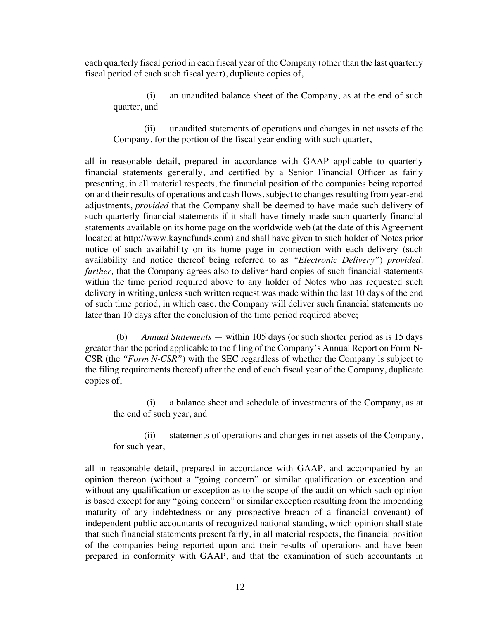each quarterly fiscal period in each fiscal year of the Company (other than the last quarterly fiscal period of each such fiscal year), duplicate copies of,

(i) an unaudited balance sheet of the Company, as at the end of such quarter, and

(ii) unaudited statements of operations and changes in net assets of the Company, for the portion of the fiscal year ending with such quarter,

all in reasonable detail, prepared in accordance with GAAP applicable to quarterly financial statements generally, and certified by a Senior Financial Officer as fairly presenting, in all material respects, the financial position of the companies being reported on and their results of operations and cash flows, subject to changes resulting from year-end adjustments, *provided* that the Company shall be deemed to have made such delivery of such quarterly financial statements if it shall have timely made such quarterly financial statements available on its home page on the worldwide web (at the date of this Agreement located at http://www.kaynefunds.com) and shall have given to such holder of Notes prior notice of such availability on its home page in connection with each delivery (such availability and notice thereof being referred to as *"Electronic Delivery"*) *provided, further,* that the Company agrees also to deliver hard copies of such financial statements within the time period required above to any holder of Notes who has requested such delivery in writing, unless such written request was made within the last 10 days of the end of such time period, in which case, the Company will deliver such financial statements no later than 10 days after the conclusion of the time period required above;

(b) *Annual Statements* — within 105 days (or such shorter period as is 15 days greater than the period applicable to the filing of the Company's Annual Report on Form N-CSR (the *"Form N-CSR"*) with the SEC regardless of whether the Company is subject to the filing requirements thereof) after the end of each fiscal year of the Company, duplicate copies of,

(i) a balance sheet and schedule of investments of the Company, as at the end of such year, and

(ii) statements of operations and changes in net assets of the Company, for such year,

all in reasonable detail, prepared in accordance with GAAP, and accompanied by an opinion thereon (without a "going concern" or similar qualification or exception and without any qualification or exception as to the scope of the audit on which such opinion is based except for any "going concern" or similar exception resulting from the impending maturity of any indebtedness or any prospective breach of a financial covenant) of independent public accountants of recognized national standing, which opinion shall state that such financial statements present fairly, in all material respects, the financial position of the companies being reported upon and their results of operations and have been prepared in conformity with GAAP, and that the examination of such accountants in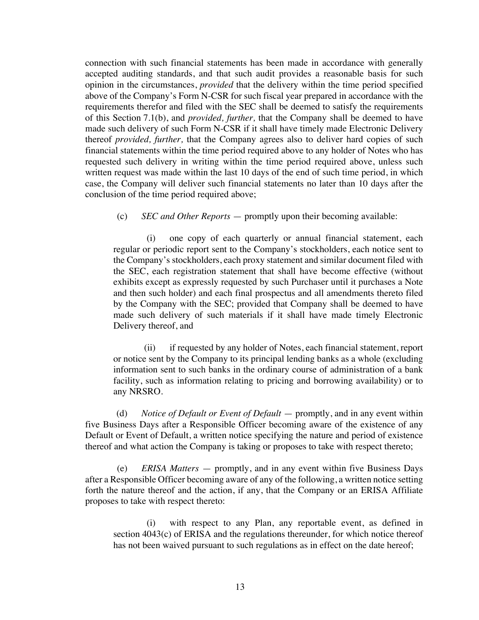connection with such financial statements has been made in accordance with generally accepted auditing standards, and that such audit provides a reasonable basis for such opinion in the circumstances, *provided* that the delivery within the time period specified above of the Company's Form N-CSR for such fiscal year prepared in accordance with the requirements therefor and filed with the SEC shall be deemed to satisfy the requirements of this Section 7.1(b), and *provided, further,* that the Company shall be deemed to have made such delivery of such Form N-CSR if it shall have timely made Electronic Delivery thereof *provided, further,* that the Company agrees also to deliver hard copies of such financial statements within the time period required above to any holder of Notes who has requested such delivery in writing within the time period required above, unless such written request was made within the last 10 days of the end of such time period, in which case, the Company will deliver such financial statements no later than 10 days after the conclusion of the time period required above;

(c) *SEC and Other Reports* — promptly upon their becoming available:

(i) one copy of each quarterly or annual financial statement, each regular or periodic report sent to the Company's stockholders, each notice sent to the Company's stockholders, each proxy statement and similar document filed with the SEC, each registration statement that shall have become effective (without exhibits except as expressly requested by such Purchaser until it purchases a Note and then such holder) and each final prospectus and all amendments thereto filed by the Company with the SEC; provided that Company shall be deemed to have made such delivery of such materials if it shall have made timely Electronic Delivery thereof, and

(ii) if requested by any holder of Notes, each financial statement, report or notice sent by the Company to its principal lending banks as a whole (excluding information sent to such banks in the ordinary course of administration of a bank facility, such as information relating to pricing and borrowing availability) or to any NRSRO.

(d) *Notice of Default or Event of Default* — promptly, and in any event within five Business Days after a Responsible Officer becoming aware of the existence of any Default or Event of Default, a written notice specifying the nature and period of existence thereof and what action the Company is taking or proposes to take with respect thereto;

(e) *ERISA Matters* — promptly, and in any event within five Business Days after a Responsible Officer becoming aware of any of the following, a written notice setting forth the nature thereof and the action, if any, that the Company or an ERISA Affiliate proposes to take with respect thereto:

(i) with respect to any Plan, any reportable event, as defined in section 4043(c) of ERISA and the regulations thereunder, for which notice thereof has not been waived pursuant to such regulations as in effect on the date hereof;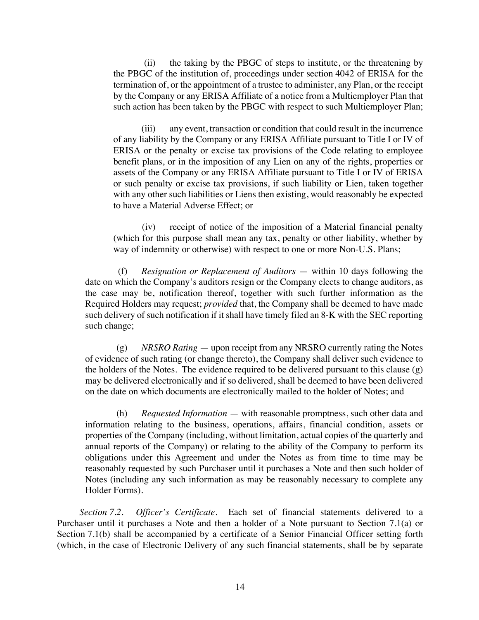(ii) the taking by the PBGC of steps to institute, or the threatening by the PBGC of the institution of, proceedings under section 4042 of ERISA for the termination of, or the appointment of a trustee to administer, any Plan, or the receipt by the Company or any ERISA Affiliate of a notice from a Multiemployer Plan that such action has been taken by the PBGC with respect to such Multiemployer Plan;

(iii) any event, transaction or condition that could result in the incurrence of any liability by the Company or any ERISA Affiliate pursuant to Title I or IV of ERISA or the penalty or excise tax provisions of the Code relating to employee benefit plans, or in the imposition of any Lien on any of the rights, properties or assets of the Company or any ERISA Affiliate pursuant to Title I or IV of ERISA or such penalty or excise tax provisions, if such liability or Lien, taken together with any other such liabilities or Liens then existing, would reasonably be expected to have a Material Adverse Effect; or

(iv) receipt of notice of the imposition of a Material financial penalty (which for this purpose shall mean any tax, penalty or other liability, whether by way of indemnity or otherwise) with respect to one or more Non-U.S. Plans;

(f) *Resignation or Replacement of Auditors* — within 10 days following the date on which the Company's auditors resign or the Company elects to change auditors, as the case may be, notification thereof, together with such further information as the Required Holders may request; *provided* that, the Company shall be deemed to have made such delivery of such notification if it shall have timely filed an 8-K with the SEC reporting such change;

(g) *NRSRO Rating* — upon receipt from any NRSRO currently rating the Notes of evidence of such rating (or change thereto), the Company shall deliver such evidence to the holders of the Notes. The evidence required to be delivered pursuant to this clause (g) may be delivered electronically and if so delivered, shall be deemed to have been delivered on the date on which documents are electronically mailed to the holder of Notes; and

(h) *Requested Information* — with reasonable promptness, such other data and information relating to the business, operations, affairs, financial condition, assets or properties of the Company (including, without limitation, actual copies of the quarterly and annual reports of the Company) or relating to the ability of the Company to perform its obligations under this Agreement and under the Notes as from time to time may be reasonably requested by such Purchaser until it purchases a Note and then such holder of Notes (including any such information as may be reasonably necessary to complete any Holder Forms).

*Section 7.2. Officer's Certificate*. Each set of financial statements delivered to a Purchaser until it purchases a Note and then a holder of a Note pursuant to Section 7.1(a) or Section 7.1(b) shall be accompanied by a certificate of a Senior Financial Officer setting forth (which, in the case of Electronic Delivery of any such financial statements, shall be by separate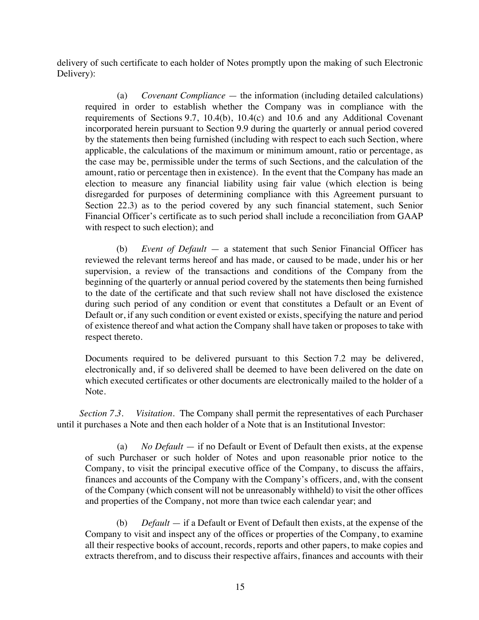delivery of such certificate to each holder of Notes promptly upon the making of such Electronic Delivery):

(a) *Covenant Compliance* — the information (including detailed calculations) required in order to establish whether the Company was in compliance with the requirements of Sections 9.7, 10.4(b), 10.4(c) and 10.6 and any Additional Covenant incorporated herein pursuant to Section 9.9 during the quarterly or annual period covered by the statements then being furnished (including with respect to each such Section, where applicable, the calculations of the maximum or minimum amount, ratio or percentage, as the case may be, permissible under the terms of such Sections, and the calculation of the amount, ratio or percentage then in existence). In the event that the Company has made an election to measure any financial liability using fair value (which election is being disregarded for purposes of determining compliance with this Agreement pursuant to Section 22.3) as to the period covered by any such financial statement, such Senior Financial Officer's certificate as to such period shall include a reconciliation from GAAP with respect to such election); and

(b) *Event of Default* — a statement that such Senior Financial Officer has reviewed the relevant terms hereof and has made, or caused to be made, under his or her supervision, a review of the transactions and conditions of the Company from the beginning of the quarterly or annual period covered by the statements then being furnished to the date of the certificate and that such review shall not have disclosed the existence during such period of any condition or event that constitutes a Default or an Event of Default or, if any such condition or event existed or exists, specifying the nature and period of existence thereof and what action the Company shall have taken or proposes to take with respect thereto.

Documents required to be delivered pursuant to this Section 7.2 may be delivered, electronically and, if so delivered shall be deemed to have been delivered on the date on which executed certificates or other documents are electronically mailed to the holder of a Note.

*Section 7.3. Visitation*. The Company shall permit the representatives of each Purchaser until it purchases a Note and then each holder of a Note that is an Institutional Investor:

(a) *No Default* — if no Default or Event of Default then exists, at the expense of such Purchaser or such holder of Notes and upon reasonable prior notice to the Company, to visit the principal executive office of the Company, to discuss the affairs, finances and accounts of the Company with the Company's officers, and, with the consent of the Company (which consent will not be unreasonably withheld) to visit the other offices and properties of the Company, not more than twice each calendar year; and

(b) *Default* — if a Default or Event of Default then exists, at the expense of the Company to visit and inspect any of the offices or properties of the Company, to examine all their respective books of account, records, reports and other papers, to make copies and extracts therefrom, and to discuss their respective affairs, finances and accounts with their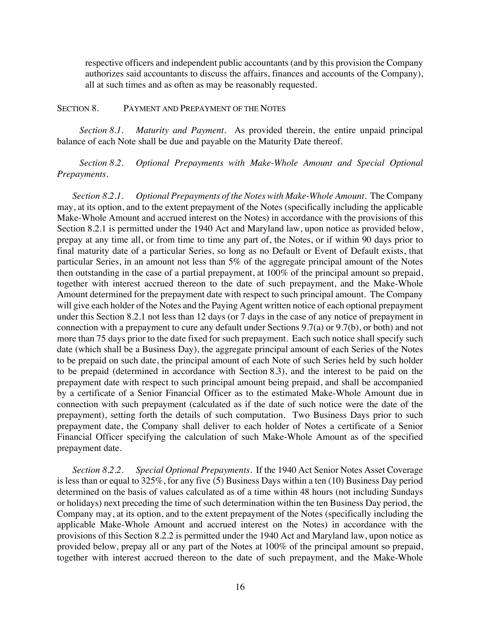respective officers and independent public accountants (and by this provision the Company authorizes said accountants to discuss the affairs, finances and accounts of the Company), all at such times and as often as may be reasonably requested.

#### SECTION 8. PAYMENT AND PREPAYMENT OF THE NOTES

*Section 8.1. Maturity and Payment.* As provided therein, the entire unpaid principal balance of each Note shall be due and payable on the Maturity Date thereof.

*Section 8.2. Optional Prepayments with Make-Whole Amount and Special Optional Prepayments.*

*Section 8.2.1. Optional Prepayments of the Notes with Make-Whole Amount*. The Company may, at its option, and to the extent prepayment of the Notes (specifically including the applicable Make-Whole Amount and accrued interest on the Notes) in accordance with the provisions of this Section 8.2.1 is permitted under the 1940 Act and Maryland law, upon notice as provided below, prepay at any time all, or from time to time any part of, the Notes, or if within 90 days prior to final maturity date of a particular Series, so long as no Default or Event of Default exists, that particular Series, in an amount not less than 5% of the aggregate principal amount of the Notes then outstanding in the case of a partial prepayment, at 100% of the principal amount so prepaid, together with interest accrued thereon to the date of such prepayment, and the Make-Whole Amount determined for the prepayment date with respect to such principal amount. The Company will give each holder of the Notes and the Paying Agent written notice of each optional prepayment under this Section 8.2.1 not less than 12 days (or 7 days in the case of any notice of prepayment in connection with a prepayment to cure any default under Sections 9.7(a) or 9.7(b), or both) and not more than 75 days prior to the date fixed for such prepayment. Each such notice shall specify such date (which shall be a Business Day), the aggregate principal amount of each Series of the Notes to be prepaid on such date, the principal amount of each Note of such Series held by such holder to be prepaid (determined in accordance with Section 8.3), and the interest to be paid on the prepayment date with respect to such principal amount being prepaid, and shall be accompanied by a certificate of a Senior Financial Officer as to the estimated Make-Whole Amount due in connection with such prepayment (calculated as if the date of such notice were the date of the prepayment), setting forth the details of such computation. Two Business Days prior to such prepayment date, the Company shall deliver to each holder of Notes a certificate of a Senior Financial Officer specifying the calculation of such Make-Whole Amount as of the specified prepayment date.

*Section 8.2.2. Special Optional Prepayments.* If the 1940 Act Senior Notes Asset Coverage is less than or equal to 325%, for any five (5) Business Days within a ten (10) Business Day period determined on the basis of values calculated as of a time within 48 hours (not including Sundays or holidays) next preceding the time of such determination within the ten Business Day period, the Company may, at its option, and to the extent prepayment of the Notes (specifically including the applicable Make-Whole Amount and accrued interest on the Notes) in accordance with the provisions of this Section 8.2.2 is permitted under the 1940 Act and Maryland law, upon notice as provided below, prepay all or any part of the Notes at 100% of the principal amount so prepaid, together with interest accrued thereon to the date of such prepayment, and the Make-Whole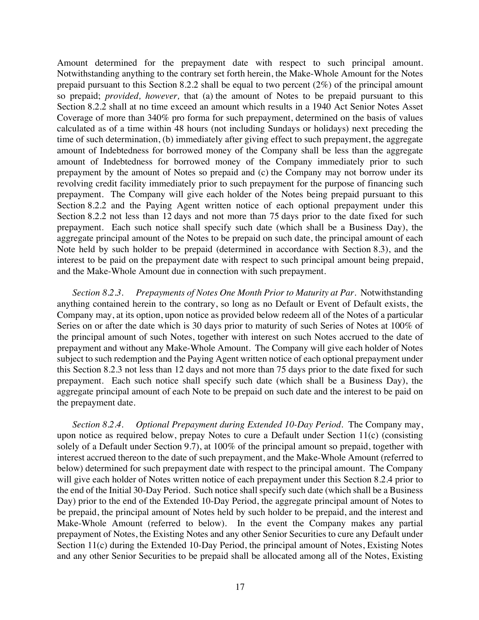Amount determined for the prepayment date with respect to such principal amount. Notwithstanding anything to the contrary set forth herein, the Make-Whole Amount for the Notes prepaid pursuant to this Section 8.2.2 shall be equal to two percent (2%) of the principal amount so prepaid; *provided, however,* that (a) the amount of Notes to be prepaid pursuant to this Section 8.2.2 shall at no time exceed an amount which results in a 1940 Act Senior Notes Asset Coverage of more than 340% pro forma for such prepayment, determined on the basis of values calculated as of a time within 48 hours (not including Sundays or holidays) next preceding the time of such determination, (b) immediately after giving effect to such prepayment, the aggregate amount of Indebtedness for borrowed money of the Company shall be less than the aggregate amount of Indebtedness for borrowed money of the Company immediately prior to such prepayment by the amount of Notes so prepaid and (c) the Company may not borrow under its revolving credit facility immediately prior to such prepayment for the purpose of financing such prepayment. The Company will give each holder of the Notes being prepaid pursuant to this Section 8.2.2 and the Paying Agent written notice of each optional prepayment under this Section 8.2.2 not less than 12 days and not more than 75 days prior to the date fixed for such prepayment. Each such notice shall specify such date (which shall be a Business Day), the aggregate principal amount of the Notes to be prepaid on such date, the principal amount of each Note held by such holder to be prepaid (determined in accordance with Section 8.3), and the interest to be paid on the prepayment date with respect to such principal amount being prepaid, and the Make-Whole Amount due in connection with such prepayment.

*Section 8.2.3. Prepayments of Notes One Month Prior to Maturity at Par.* Notwithstanding anything contained herein to the contrary, so long as no Default or Event of Default exists, the Company may, at its option, upon notice as provided below redeem all of the Notes of a particular Series on or after the date which is 30 days prior to maturity of such Series of Notes at 100% of the principal amount of such Notes, together with interest on such Notes accrued to the date of prepayment and without any Make-Whole Amount. The Company will give each holder of Notes subject to such redemption and the Paying Agent written notice of each optional prepayment under this Section 8.2.3 not less than 12 days and not more than 75 days prior to the date fixed for such prepayment. Each such notice shall specify such date (which shall be a Business Day), the aggregate principal amount of each Note to be prepaid on such date and the interest to be paid on the prepayment date.

*Section 8.2.4. Optional Prepayment during Extended 10-Day Period*. The Company may, upon notice as required below, prepay Notes to cure a Default under Section 11(c) (consisting solely of a Default under Section 9.7), at 100% of the principal amount so prepaid, together with interest accrued thereon to the date of such prepayment, and the Make-Whole Amount (referred to below) determined for such prepayment date with respect to the principal amount. The Company will give each holder of Notes written notice of each prepayment under this Section 8.2.4 prior to the end of the Initial 30-Day Period. Such notice shall specify such date (which shall be a Business Day) prior to the end of the Extended 10-Day Period, the aggregate principal amount of Notes to be prepaid, the principal amount of Notes held by such holder to be prepaid, and the interest and Make-Whole Amount (referred to below). In the event the Company makes any partial prepayment of Notes, the Existing Notes and any other Senior Securities to cure any Default under Section 11(c) during the Extended 10-Day Period, the principal amount of Notes, Existing Notes and any other Senior Securities to be prepaid shall be allocated among all of the Notes, Existing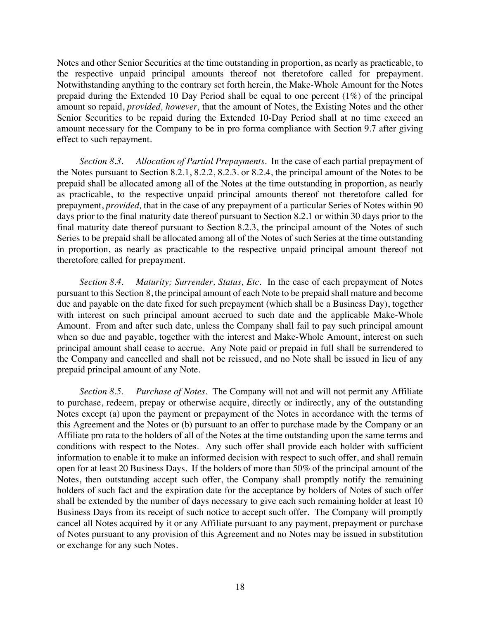Notes and other Senior Securities at the time outstanding in proportion, as nearly as practicable, to the respective unpaid principal amounts thereof not theretofore called for prepayment. Notwithstanding anything to the contrary set forth herein, the Make-Whole Amount for the Notes prepaid during the Extended 10 Day Period shall be equal to one percent (1%) of the principal amount so repaid, *provided, however,* that the amount of Notes, the Existing Notes and the other Senior Securities to be repaid during the Extended 10-Day Period shall at no time exceed an amount necessary for the Company to be in pro forma compliance with Section 9.7 after giving effect to such repayment.

*Section 8.3. Allocation of Partial Prepayments*. In the case of each partial prepayment of the Notes pursuant to Section 8.2.1, 8.2.2, 8.2.3. or 8.2.4, the principal amount of the Notes to be prepaid shall be allocated among all of the Notes at the time outstanding in proportion, as nearly as practicable, to the respective unpaid principal amounts thereof not theretofore called for prepayment, *provided,* that in the case of any prepayment of a particular Series of Notes within 90 days prior to the final maturity date thereof pursuant to Section 8.2.1 or within 30 days prior to the final maturity date thereof pursuant to Section 8.2.3, the principal amount of the Notes of such Series to be prepaid shall be allocated among all of the Notes of such Series at the time outstanding in proportion, as nearly as practicable to the respective unpaid principal amount thereof not theretofore called for prepayment.

*Section 8.4. Maturity; Surrender, Status, Etc*. In the case of each prepayment of Notes pursuant to this Section 8, the principal amount of each Note to be prepaid shall mature and become due and payable on the date fixed for such prepayment (which shall be a Business Day), together with interest on such principal amount accrued to such date and the applicable Make-Whole Amount. From and after such date, unless the Company shall fail to pay such principal amount when so due and payable, together with the interest and Make-Whole Amount, interest on such principal amount shall cease to accrue. Any Note paid or prepaid in full shall be surrendered to the Company and cancelled and shall not be reissued, and no Note shall be issued in lieu of any prepaid principal amount of any Note.

*Section 8.5. Purchase of Notes*. The Company will not and will not permit any Affiliate to purchase, redeem, prepay or otherwise acquire, directly or indirectly, any of the outstanding Notes except (a) upon the payment or prepayment of the Notes in accordance with the terms of this Agreement and the Notes or (b) pursuant to an offer to purchase made by the Company or an Affiliate pro rata to the holders of all of the Notes at the time outstanding upon the same terms and conditions with respect to the Notes. Any such offer shall provide each holder with sufficient information to enable it to make an informed decision with respect to such offer, and shall remain open for at least 20 Business Days. If the holders of more than 50% of the principal amount of the Notes, then outstanding accept such offer, the Company shall promptly notify the remaining holders of such fact and the expiration date for the acceptance by holders of Notes of such offer shall be extended by the number of days necessary to give each such remaining holder at least 10 Business Days from its receipt of such notice to accept such offer. The Company will promptly cancel all Notes acquired by it or any Affiliate pursuant to any payment, prepayment or purchase of Notes pursuant to any provision of this Agreement and no Notes may be issued in substitution or exchange for any such Notes.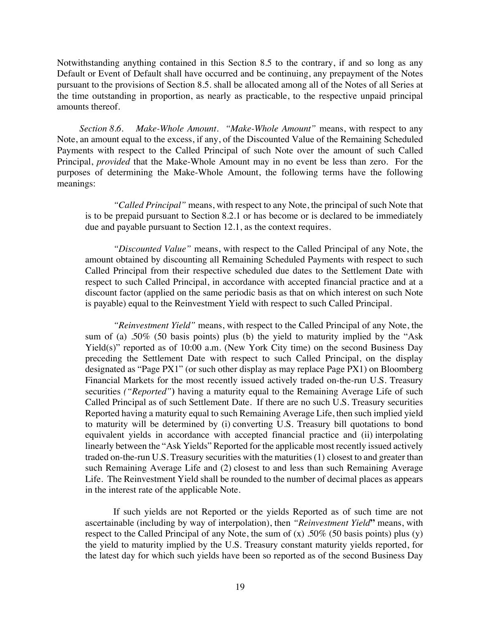Notwithstanding anything contained in this Section 8.5 to the contrary, if and so long as any Default or Event of Default shall have occurred and be continuing, any prepayment of the Notes pursuant to the provisions of Section 8.5. shall be allocated among all of the Notes of all Series at the time outstanding in proportion, as nearly as practicable, to the respective unpaid principal amounts thereof.

*Section 8.6. Make-Whole Amount*. *"Make-Whole Amount"* means, with respect to any Note, an amount equal to the excess, if any, of the Discounted Value of the Remaining Scheduled Payments with respect to the Called Principal of such Note over the amount of such Called Principal, *provided* that the Make-Whole Amount may in no event be less than zero. For the purposes of determining the Make-Whole Amount, the following terms have the following meanings:

*"Called Principal"* means, with respect to any Note, the principal of such Note that is to be prepaid pursuant to Section 8.2.1 or has become or is declared to be immediately due and payable pursuant to Section 12.1, as the context requires.

*"Discounted Value"* means, with respect to the Called Principal of any Note, the amount obtained by discounting all Remaining Scheduled Payments with respect to such Called Principal from their respective scheduled due dates to the Settlement Date with respect to such Called Principal, in accordance with accepted financial practice and at a discount factor (applied on the same periodic basis as that on which interest on such Note is payable) equal to the Reinvestment Yield with respect to such Called Principal.

*"Reinvestment Yield"* means, with respect to the Called Principal of any Note, the sum of (a) .50% (50 basis points) plus (b) the yield to maturity implied by the "Ask Yield(s)" reported as of 10:00 a.m. (New York City time) on the second Business Day preceding the Settlement Date with respect to such Called Principal, on the display designated as "Page PX1" (or such other display as may replace Page PX1) on Bloomberg Financial Markets for the most recently issued actively traded on-the-run U.S. Treasury securities *("Reported"***)** having a maturity equal to the Remaining Average Life of such Called Principal as of such Settlement Date. If there are no such U.S. Treasury securities Reported having a maturity equal to such Remaining Average Life, then such implied yield to maturity will be determined by (i) converting U.S. Treasury bill quotations to bond equivalent yields in accordance with accepted financial practice and (ii) interpolating linearly between the "Ask Yields" Reported for the applicable most recently issued actively traded on-the-run U.S. Treasury securities with the maturities (1) closest to and greater than such Remaining Average Life and (2) closest to and less than such Remaining Average Life. The Reinvestment Yield shall be rounded to the number of decimal places as appears in the interest rate of the applicable Note.

If such yields are not Reported or the yields Reported as of such time are not ascertainable (including by way of interpolation), then *"Reinvestment Yield***"** means, with respect to the Called Principal of any Note, the sum of  $(x)$  .50% (50 basis points) plus  $(y)$ the yield to maturity implied by the U.S. Treasury constant maturity yields reported, for the latest day for which such yields have been so reported as of the second Business Day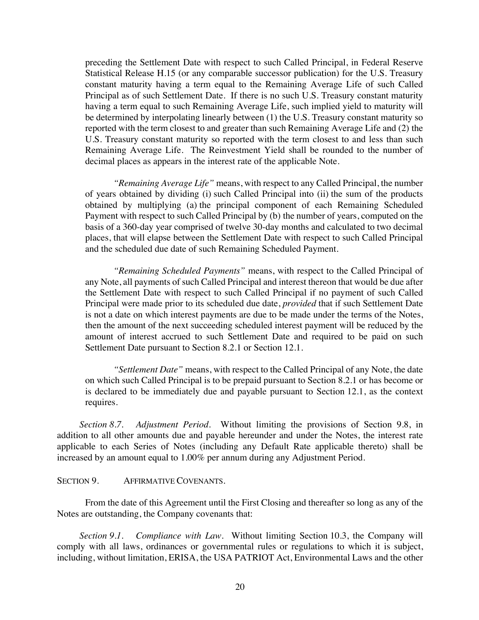preceding the Settlement Date with respect to such Called Principal, in Federal Reserve Statistical Release H.15 (or any comparable successor publication) for the U.S. Treasury constant maturity having a term equal to the Remaining Average Life of such Called Principal as of such Settlement Date. If there is no such U.S. Treasury constant maturity having a term equal to such Remaining Average Life, such implied yield to maturity will be determined by interpolating linearly between (1) the U.S. Treasury constant maturity so reported with the term closest to and greater than such Remaining Average Life and (2) the U.S. Treasury constant maturity so reported with the term closest to and less than such Remaining Average Life. The Reinvestment Yield shall be rounded to the number of decimal places as appears in the interest rate of the applicable Note.

*"Remaining Average Life"* means, with respect to any Called Principal, the number of years obtained by dividing (i) such Called Principal into (ii) the sum of the products obtained by multiplying (a) the principal component of each Remaining Scheduled Payment with respect to such Called Principal by (b) the number of years, computed on the basis of a 360-day year comprised of twelve 30-day months and calculated to two decimal places, that will elapse between the Settlement Date with respect to such Called Principal and the scheduled due date of such Remaining Scheduled Payment.

*"Remaining Scheduled Payments"* means, with respect to the Called Principal of any Note, all payments of such Called Principal and interest thereon that would be due after the Settlement Date with respect to such Called Principal if no payment of such Called Principal were made prior to its scheduled due date, *provided* that if such Settlement Date is not a date on which interest payments are due to be made under the terms of the Notes, then the amount of the next succeeding scheduled interest payment will be reduced by the amount of interest accrued to such Settlement Date and required to be paid on such Settlement Date pursuant to Section 8.2.1 or Section 12.1.

*"Settlement Date"* means, with respect to the Called Principal of any Note, the date on which such Called Principal is to be prepaid pursuant to Section 8.2.1 or has become or is declared to be immediately due and payable pursuant to Section 12.1, as the context requires.

*Section 8.7. Adjustment Period.* Without limiting the provisions of Section 9.8, in addition to all other amounts due and payable hereunder and under the Notes, the interest rate applicable to each Series of Notes (including any Default Rate applicable thereto) shall be increased by an amount equal to 1.00% per annum during any Adjustment Period.

### SECTION 9. AFFIRMATIVE COVENANTS.

From the date of this Agreement until the First Closing and thereafter so long as any of the Notes are outstanding, the Company covenants that:

*Section 9.1. Compliance with Law*. Without limiting Section 10.3, the Company will comply with all laws, ordinances or governmental rules or regulations to which it is subject, including, without limitation, ERISA, the USA PATRIOT Act, Environmental Laws and the other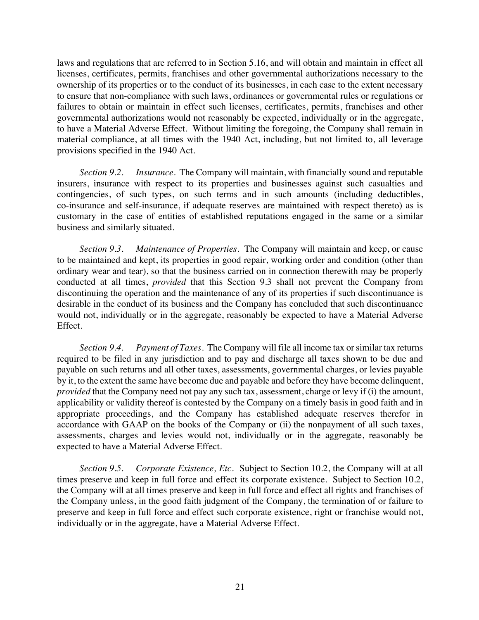laws and regulations that are referred to in Section 5.16, and will obtain and maintain in effect all licenses, certificates, permits, franchises and other governmental authorizations necessary to the ownership of its properties or to the conduct of its businesses, in each case to the extent necessary to ensure that non-compliance with such laws, ordinances or governmental rules or regulations or failures to obtain or maintain in effect such licenses, certificates, permits, franchises and other governmental authorizations would not reasonably be expected, individually or in the aggregate, to have a Material Adverse Effect. Without limiting the foregoing, the Company shall remain in material compliance, at all times with the 1940 Act, including, but not limited to, all leverage provisions specified in the 1940 Act.

*Section 9.2. Insurance*. The Company will maintain, with financially sound and reputable insurers, insurance with respect to its properties and businesses against such casualties and contingencies, of such types, on such terms and in such amounts (including deductibles, co-insurance and self-insurance, if adequate reserves are maintained with respect thereto) as is customary in the case of entities of established reputations engaged in the same or a similar business and similarly situated.

*Section 9.3. Maintenance of Properties*. The Company will maintain and keep, or cause to be maintained and kept, its properties in good repair, working order and condition (other than ordinary wear and tear), so that the business carried on in connection therewith may be properly conducted at all times, *provided* that this Section 9.3 shall not prevent the Company from discontinuing the operation and the maintenance of any of its properties if such discontinuance is desirable in the conduct of its business and the Company has concluded that such discontinuance would not, individually or in the aggregate, reasonably be expected to have a Material Adverse Effect.

*Section 9.4. Payment of Taxes*. The Company will file all income tax or similar tax returns required to be filed in any jurisdiction and to pay and discharge all taxes shown to be due and payable on such returns and all other taxes, assessments, governmental charges, or levies payable by it, to the extent the same have become due and payable and before they have become delinquent, *provided* that the Company need not pay any such tax, assessment, charge or levy if (i) the amount, applicability or validity thereof is contested by the Company on a timely basis in good faith and in appropriate proceedings, and the Company has established adequate reserves therefor in accordance with GAAP on the books of the Company or (ii) the nonpayment of all such taxes, assessments, charges and levies would not, individually or in the aggregate, reasonably be expected to have a Material Adverse Effect.

*Section 9.5. Corporate Existence, Etc*. Subject to Section 10.2, the Company will at all times preserve and keep in full force and effect its corporate existence. Subject to Section 10.2, the Company will at all times preserve and keep in full force and effect all rights and franchises of the Company unless, in the good faith judgment of the Company, the termination of or failure to preserve and keep in full force and effect such corporate existence, right or franchise would not, individually or in the aggregate, have a Material Adverse Effect.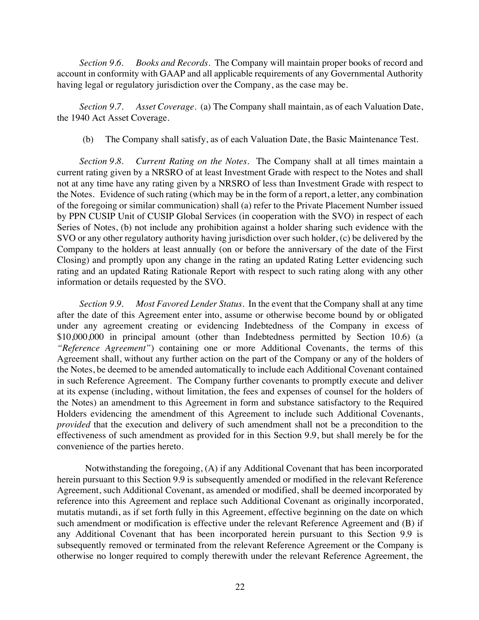*Section 9.6. Books and Records.* The Company will maintain proper books of record and account in conformity with GAAP and all applicable requirements of any Governmental Authority having legal or regulatory jurisdiction over the Company, as the case may be.

*Section 9.7. Asset Coverage.* (a) The Company shall maintain, as of each Valuation Date, the 1940 Act Asset Coverage.

(b) The Company shall satisfy, as of each Valuation Date, the Basic Maintenance Test.

*Section 9.8. Current Rating on the Notes*. The Company shall at all times maintain a current rating given by a NRSRO of at least Investment Grade with respect to the Notes and shall not at any time have any rating given by a NRSRO of less than Investment Grade with respect to the Notes. Evidence of such rating (which may be in the form of a report, a letter, any combination of the foregoing or similar communication) shall (a) refer to the Private Placement Number issued by PPN CUSIP Unit of CUSIP Global Services (in cooperation with the SVO) in respect of each Series of Notes, (b) not include any prohibition against a holder sharing such evidence with the SVO or any other regulatory authority having jurisdiction over such holder, (c) be delivered by the Company to the holders at least annually (on or before the anniversary of the date of the First Closing) and promptly upon any change in the rating an updated Rating Letter evidencing such rating and an updated Rating Rationale Report with respect to such rating along with any other information or details requested by the SVO.

*Section 9.9. Most Favored Lender Status*. In the event that the Company shall at any time after the date of this Agreement enter into, assume or otherwise become bound by or obligated under any agreement creating or evidencing Indebtedness of the Company in excess of \$10,000,000 in principal amount (other than Indebtedness permitted by Section 10.6) (a *"Reference Agreement"*) containing one or more Additional Covenants, the terms of this Agreement shall, without any further action on the part of the Company or any of the holders of the Notes, be deemed to be amended automatically to include each Additional Covenant contained in such Reference Agreement. The Company further covenants to promptly execute and deliver at its expense (including, without limitation, the fees and expenses of counsel for the holders of the Notes) an amendment to this Agreement in form and substance satisfactory to the Required Holders evidencing the amendment of this Agreement to include such Additional Covenants, *provided* that the execution and delivery of such amendment shall not be a precondition to the effectiveness of such amendment as provided for in this Section 9.9, but shall merely be for the convenience of the parties hereto.

Notwithstanding the foregoing, (A) if any Additional Covenant that has been incorporated herein pursuant to this Section 9.9 is subsequently amended or modified in the relevant Reference Agreement, such Additional Covenant, as amended or modified, shall be deemed incorporated by reference into this Agreement and replace such Additional Covenant as originally incorporated, mutatis mutandi, as if set forth fully in this Agreement, effective beginning on the date on which such amendment or modification is effective under the relevant Reference Agreement and (B) if any Additional Covenant that has been incorporated herein pursuant to this Section 9.9 is subsequently removed or terminated from the relevant Reference Agreement or the Company is otherwise no longer required to comply therewith under the relevant Reference Agreement, the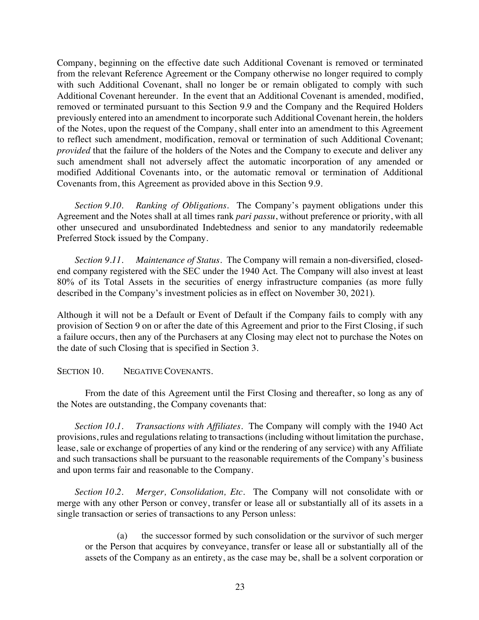Company, beginning on the effective date such Additional Covenant is removed or terminated from the relevant Reference Agreement or the Company otherwise no longer required to comply with such Additional Covenant, shall no longer be or remain obligated to comply with such Additional Covenant hereunder*.* In the event that an Additional Covenant is amended, modified, removed or terminated pursuant to this Section 9.9 and the Company and the Required Holders previously entered into an amendment to incorporate such Additional Covenant herein, the holders of the Notes, upon the request of the Company, shall enter into an amendment to this Agreement to reflect such amendment, modification, removal or termination of such Additional Covenant; *provided* that the failure of the holders of the Notes and the Company to execute and deliver any such amendment shall not adversely affect the automatic incorporation of any amended or modified Additional Covenants into, or the automatic removal or termination of Additional Covenants from, this Agreement as provided above in this Section 9.9.

*Section 9.10. Ranking of Obligations*. The Company's payment obligations under this Agreement and the Notes shall at all times rank *pari passu*, without preference or priority, with all other unsecured and unsubordinated Indebtedness and senior to any mandatorily redeemable Preferred Stock issued by the Company.

*Section 9.11. Maintenance of Status*. The Company will remain a non-diversified, closedend company registered with the SEC under the 1940 Act. The Company will also invest at least 80% of its Total Assets in the securities of energy infrastructure companies (as more fully described in the Company's investment policies as in effect on November 30, 2021).

Although it will not be a Default or Event of Default if the Company fails to comply with any provision of Section 9 on or after the date of this Agreement and prior to the First Closing, if such a failure occurs, then any of the Purchasers at any Closing may elect not to purchase the Notes on the date of such Closing that is specified in Section 3.

### SECTION 10. NEGATIVE COVENANTS.

From the date of this Agreement until the First Closing and thereafter, so long as any of the Notes are outstanding, the Company covenants that:

*Section 10.1. Transactions with Affiliates*. The Company will comply with the 1940 Act provisions, rules and regulations relating to transactions (including without limitation the purchase, lease, sale or exchange of properties of any kind or the rendering of any service) with any Affiliate and such transactions shall be pursuant to the reasonable requirements of the Company's business and upon terms fair and reasonable to the Company.

*Section 10.2. Merger, Consolidation, Etc*. The Company will not consolidate with or merge with any other Person or convey, transfer or lease all or substantially all of its assets in a single transaction or series of transactions to any Person unless:

(a) the successor formed by such consolidation or the survivor of such merger or the Person that acquires by conveyance, transfer or lease all or substantially all of the assets of the Company as an entirety, as the case may be, shall be a solvent corporation or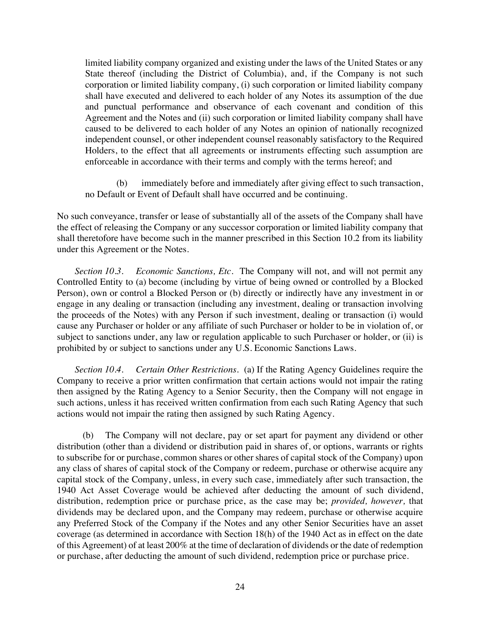limited liability company organized and existing under the laws of the United States or any State thereof (including the District of Columbia), and, if the Company is not such corporation or limited liability company, (i) such corporation or limited liability company shall have executed and delivered to each holder of any Notes its assumption of the due and punctual performance and observance of each covenant and condition of this Agreement and the Notes and (ii) such corporation or limited liability company shall have caused to be delivered to each holder of any Notes an opinion of nationally recognized independent counsel, or other independent counsel reasonably satisfactory to the Required Holders, to the effect that all agreements or instruments effecting such assumption are enforceable in accordance with their terms and comply with the terms hereof; and

(b) immediately before and immediately after giving effect to such transaction, no Default or Event of Default shall have occurred and be continuing.

No such conveyance, transfer or lease of substantially all of the assets of the Company shall have the effect of releasing the Company or any successor corporation or limited liability company that shall theretofore have become such in the manner prescribed in this Section 10.2 from its liability under this Agreement or the Notes.

*Section 10.3. Economic Sanctions, Etc.* The Company will not, and will not permit any Controlled Entity to (a) become (including by virtue of being owned or controlled by a Blocked Person), own or control a Blocked Person or (b) directly or indirectly have any investment in or engage in any dealing or transaction (including any investment, dealing or transaction involving the proceeds of the Notes) with any Person if such investment, dealing or transaction (i) would cause any Purchaser or holder or any affiliate of such Purchaser or holder to be in violation of, or subject to sanctions under, any law or regulation applicable to such Purchaser or holder, or (ii) is prohibited by or subject to sanctions under any U.S. Economic Sanctions Laws.

*Section 10.4. Certain Other Restrictions.* (a) If the Rating Agency Guidelines require the Company to receive a prior written confirmation that certain actions would not impair the rating then assigned by the Rating Agency to a Senior Security, then the Company will not engage in such actions, unless it has received written confirmation from each such Rating Agency that such actions would not impair the rating then assigned by such Rating Agency.

(b) The Company will not declare, pay or set apart for payment any dividend or other distribution (other than a dividend or distribution paid in shares of, or options, warrants or rights to subscribe for or purchase, common shares or other shares of capital stock of the Company) upon any class of shares of capital stock of the Company or redeem, purchase or otherwise acquire any capital stock of the Company, unless, in every such case, immediately after such transaction, the 1940 Act Asset Coverage would be achieved after deducting the amount of such dividend, distribution, redemption price or purchase price, as the case may be; *provided, however,* that dividends may be declared upon, and the Company may redeem, purchase or otherwise acquire any Preferred Stock of the Company if the Notes and any other Senior Securities have an asset coverage (as determined in accordance with Section 18(h) of the 1940 Act as in effect on the date of this Agreement) of at least 200% at the time of declaration of dividends or the date of redemption or purchase, after deducting the amount of such dividend, redemption price or purchase price.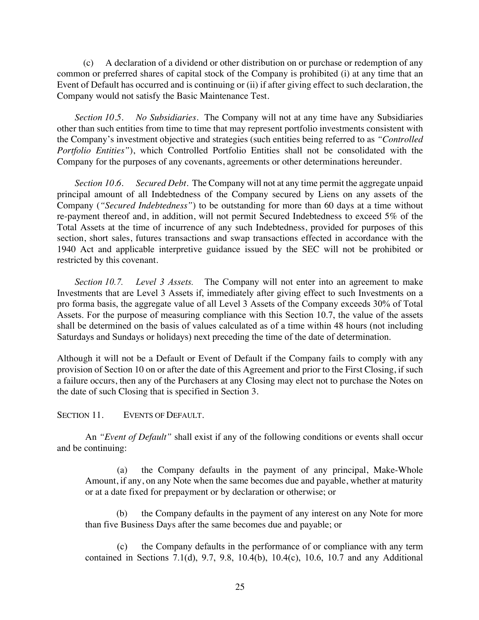(c) A declaration of a dividend or other distribution on or purchase or redemption of any common or preferred shares of capital stock of the Company is prohibited (i) at any time that an Event of Default has occurred and is continuing or (ii) if after giving effect to such declaration, the Company would not satisfy the Basic Maintenance Test.

*Section 10.5. No Subsidiaries*. The Company will not at any time have any Subsidiaries other than such entities from time to time that may represent portfolio investments consistent with the Company's investment objective and strategies (such entities being referred to as *"Controlled Portfolio Entities"*), which Controlled Portfolio Entities shall not be consolidated with the Company for the purposes of any covenants, agreements or other determinations hereunder.

*Section 10.6. Secured Debt*. The Company will not at any time permit the aggregate unpaid principal amount of all Indebtedness of the Company secured by Liens on any assets of the Company (*"Secured Indebtedness"*) to be outstanding for more than 60 days at a time without re-payment thereof and, in addition, will not permit Secured Indebtedness to exceed 5% of the Total Assets at the time of incurrence of any such Indebtedness, provided for purposes of this section, short sales, futures transactions and swap transactions effected in accordance with the 1940 Act and applicable interpretive guidance issued by the SEC will not be prohibited or restricted by this covenant.

*Section 10.7. Level 3 Assets.* The Company will not enter into an agreement to make Investments that are Level 3 Assets if, immediately after giving effect to such Investments on a pro forma basis, the aggregate value of all Level 3 Assets of the Company exceeds 30% of Total Assets. For the purpose of measuring compliance with this Section 10.7, the value of the assets shall be determined on the basis of values calculated as of a time within 48 hours (not including Saturdays and Sundays or holidays) next preceding the time of the date of determination.

Although it will not be a Default or Event of Default if the Company fails to comply with any provision of Section 10 on or after the date of this Agreement and prior to the First Closing, if such a failure occurs, then any of the Purchasers at any Closing may elect not to purchase the Notes on the date of such Closing that is specified in Section 3.

### SECTION 11. EVENTS OF DEFAULT.

An *"Event of Default"* shall exist if any of the following conditions or events shall occur and be continuing:

(a) the Company defaults in the payment of any principal, Make-Whole Amount, if any, on any Note when the same becomes due and payable, whether at maturity or at a date fixed for prepayment or by declaration or otherwise; or

(b) the Company defaults in the payment of any interest on any Note for more than five Business Days after the same becomes due and payable; or

(c) the Company defaults in the performance of or compliance with any term contained in Sections 7.1(d), 9.7, 9.8, 10.4(b), 10.4(c), 10.6, 10.7 and any Additional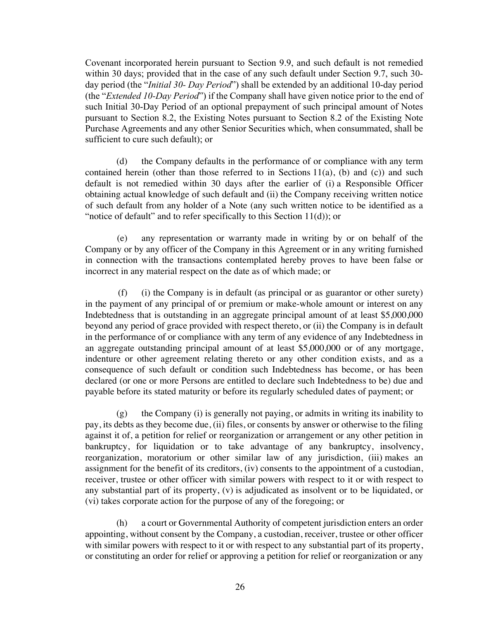Covenant incorporated herein pursuant to Section 9.9, and such default is not remedied within 30 days; provided that in the case of any such default under Section 9.7, such 30 day period (the "*Initial 30- Day Period*") shall be extended by an additional 10-day period (the "*Extended 10-Day Period*") if the Company shall have given notice prior to the end of such Initial 30-Day Period of an optional prepayment of such principal amount of Notes pursuant to Section 8.2, the Existing Notes pursuant to Section 8.2 of the Existing Note Purchase Agreements and any other Senior Securities which, when consummated, shall be sufficient to cure such default); or

(d) the Company defaults in the performance of or compliance with any term contained herein (other than those referred to in Sections  $11(a)$ , (b) and (c)) and such default is not remedied within 30 days after the earlier of (i) a Responsible Officer obtaining actual knowledge of such default and (ii) the Company receiving written notice of such default from any holder of a Note (any such written notice to be identified as a "notice of default" and to refer specifically to this Section 11(d)); or

(e) any representation or warranty made in writing by or on behalf of the Company or by any officer of the Company in this Agreement or in any writing furnished in connection with the transactions contemplated hereby proves to have been false or incorrect in any material respect on the date as of which made; or

(f) (i) the Company is in default (as principal or as guarantor or other surety) in the payment of any principal of or premium or make-whole amount or interest on any Indebtedness that is outstanding in an aggregate principal amount of at least \$5,000,000 beyond any period of grace provided with respect thereto, or (ii) the Company is in default in the performance of or compliance with any term of any evidence of any Indebtedness in an aggregate outstanding principal amount of at least \$5,000,000 or of any mortgage, indenture or other agreement relating thereto or any other condition exists, and as a consequence of such default or condition such Indebtedness has become, or has been declared (or one or more Persons are entitled to declare such Indebtedness to be) due and payable before its stated maturity or before its regularly scheduled dates of payment; or

(g) the Company (i) is generally not paying, or admits in writing its inability to pay, its debts as they become due, (ii) files, or consents by answer or otherwise to the filing against it of, a petition for relief or reorganization or arrangement or any other petition in bankruptcy, for liquidation or to take advantage of any bankruptcy, insolvency, reorganization, moratorium or other similar law of any jurisdiction, (iii) makes an assignment for the benefit of its creditors, (iv) consents to the appointment of a custodian, receiver, trustee or other officer with similar powers with respect to it or with respect to any substantial part of its property, (v) is adjudicated as insolvent or to be liquidated, or (vi) takes corporate action for the purpose of any of the foregoing; or

(h) a court or Governmental Authority of competent jurisdiction enters an order appointing, without consent by the Company, a custodian, receiver, trustee or other officer with similar powers with respect to it or with respect to any substantial part of its property, or constituting an order for relief or approving a petition for relief or reorganization or any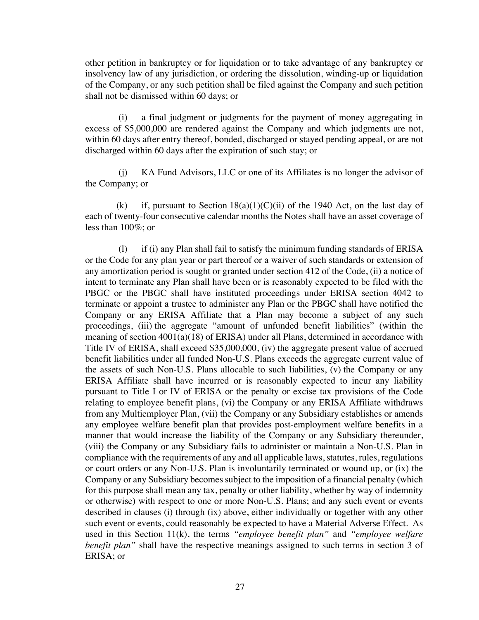other petition in bankruptcy or for liquidation or to take advantage of any bankruptcy or insolvency law of any jurisdiction, or ordering the dissolution, winding-up or liquidation of the Company, or any such petition shall be filed against the Company and such petition shall not be dismissed within 60 days; or

(i) a final judgment or judgments for the payment of money aggregating in excess of \$5,000,000 are rendered against the Company and which judgments are not, within 60 days after entry thereof, bonded, discharged or stayed pending appeal, or are not discharged within 60 days after the expiration of such stay; or

(j) KA Fund Advisors, LLC or one of its Affiliates is no longer the advisor of the Company; or

(k) if, pursuant to Section  $18(a)(1)(C)(ii)$  of the 1940 Act, on the last day of each of twenty-four consecutive calendar months the Notes shall have an asset coverage of less than 100%; or

(l) if (i) any Plan shall fail to satisfy the minimum funding standards of ERISA or the Code for any plan year or part thereof or a waiver of such standards or extension of any amortization period is sought or granted under section 412 of the Code, (ii) a notice of intent to terminate any Plan shall have been or is reasonably expected to be filed with the PBGC or the PBGC shall have instituted proceedings under ERISA section 4042 to terminate or appoint a trustee to administer any Plan or the PBGC shall have notified the Company or any ERISA Affiliate that a Plan may become a subject of any such proceedings, (iii) the aggregate "amount of unfunded benefit liabilities" (within the meaning of section 4001(a)(18) of ERISA) under all Plans, determined in accordance with Title IV of ERISA, shall exceed \$35,000,000, (iv) the aggregate present value of accrued benefit liabilities under all funded Non-U.S. Plans exceeds the aggregate current value of the assets of such Non-U.S. Plans allocable to such liabilities, (v) the Company or any ERISA Affiliate shall have incurred or is reasonably expected to incur any liability pursuant to Title I or IV of ERISA or the penalty or excise tax provisions of the Code relating to employee benefit plans, (vi) the Company or any ERISA Affiliate withdraws from any Multiemployer Plan, (vii) the Company or any Subsidiary establishes or amends any employee welfare benefit plan that provides post-employment welfare benefits in a manner that would increase the liability of the Company or any Subsidiary thereunder, (viii) the Company or any Subsidiary fails to administer or maintain a Non-U.S. Plan in compliance with the requirements of any and all applicable laws, statutes, rules, regulations or court orders or any Non-U.S. Plan is involuntarily terminated or wound up, or (ix) the Company or any Subsidiary becomes subject to the imposition of a financial penalty (which for this purpose shall mean any tax, penalty or other liability, whether by way of indemnity or otherwise) with respect to one or more Non-U.S. Plans; and any such event or events described in clauses (i) through (ix) above, either individually or together with any other such event or events, could reasonably be expected to have a Material Adverse Effect. As used in this Section 11(k), the terms *"employee benefit plan"* and *"employee welfare benefit plan*" shall have the respective meanings assigned to such terms in section 3 of ERISA; or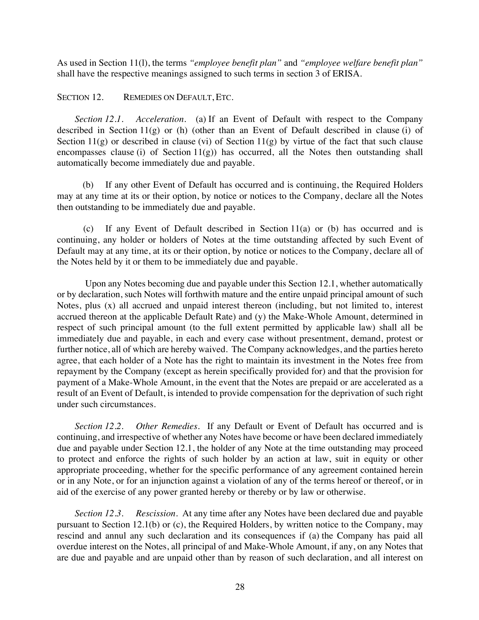As used in Section 11(l), the terms *"employee benefit plan"* and *"employee welfare benefit plan"* shall have the respective meanings assigned to such terms in section 3 of ERISA.

SECTION 12. REMEDIES ON DEFAULT, ETC.

*Section 12.1. Acceleration*. (a) If an Event of Default with respect to the Company described in Section 11(g) or (h) (other than an Event of Default described in clause (i) of Section  $11(g)$  or described in clause (vi) of Section  $11(g)$  by virtue of the fact that such clause encompasses clause (i) of Section  $11(g)$  has occurred, all the Notes then outstanding shall automatically become immediately due and payable.

(b) If any other Event of Default has occurred and is continuing, the Required Holders may at any time at its or their option, by notice or notices to the Company, declare all the Notes then outstanding to be immediately due and payable.

(c) If any Event of Default described in Section 11(a) or (b) has occurred and is continuing, any holder or holders of Notes at the time outstanding affected by such Event of Default may at any time, at its or their option, by notice or notices to the Company, declare all of the Notes held by it or them to be immediately due and payable.

Upon any Notes becoming due and payable under this Section 12.1, whether automatically or by declaration, such Notes will forthwith mature and the entire unpaid principal amount of such Notes, plus (x) all accrued and unpaid interest thereon (including, but not limited to, interest accrued thereon at the applicable Default Rate) and (y) the Make-Whole Amount, determined in respect of such principal amount (to the full extent permitted by applicable law) shall all be immediately due and payable, in each and every case without presentment, demand, protest or further notice, all of which are hereby waived. The Company acknowledges, and the parties hereto agree, that each holder of a Note has the right to maintain its investment in the Notes free from repayment by the Company (except as herein specifically provided for) and that the provision for payment of a Make-Whole Amount, in the event that the Notes are prepaid or are accelerated as a result of an Event of Default, is intended to provide compensation for the deprivation of such right under such circumstances.

*Section 12.2. Other Remedies*. If any Default or Event of Default has occurred and is continuing, and irrespective of whether any Notes have become or have been declared immediately due and payable under Section 12.1, the holder of any Note at the time outstanding may proceed to protect and enforce the rights of such holder by an action at law, suit in equity or other appropriate proceeding, whether for the specific performance of any agreement contained herein or in any Note, or for an injunction against a violation of any of the terms hereof or thereof, or in aid of the exercise of any power granted hereby or thereby or by law or otherwise.

*Section 12.3. Rescission*. At any time after any Notes have been declared due and payable pursuant to Section 12.1(b) or (c), the Required Holders, by written notice to the Company, may rescind and annul any such declaration and its consequences if (a) the Company has paid all overdue interest on the Notes, all principal of and Make-Whole Amount, if any, on any Notes that are due and payable and are unpaid other than by reason of such declaration, and all interest on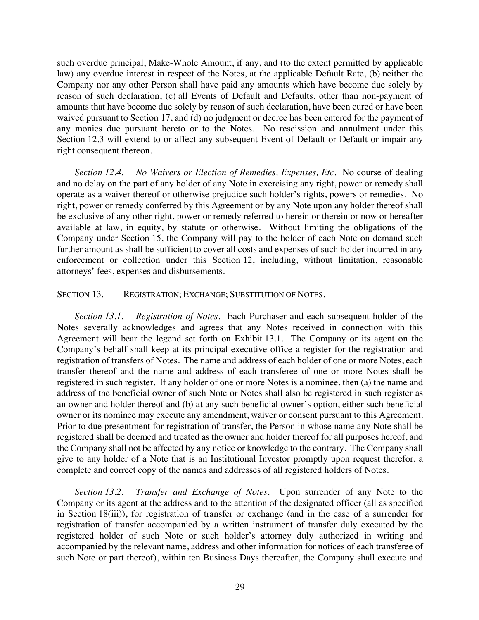such overdue principal, Make-Whole Amount, if any, and (to the extent permitted by applicable law) any overdue interest in respect of the Notes, at the applicable Default Rate, (b) neither the Company nor any other Person shall have paid any amounts which have become due solely by reason of such declaration, (c) all Events of Default and Defaults, other than non-payment of amounts that have become due solely by reason of such declaration, have been cured or have been waived pursuant to Section 17, and (d) no judgment or decree has been entered for the payment of any monies due pursuant hereto or to the Notes. No rescission and annulment under this Section 12.3 will extend to or affect any subsequent Event of Default or Default or impair any right consequent thereon.

*Section 12.4. No Waivers or Election of Remedies, Expenses, Etc*. No course of dealing and no delay on the part of any holder of any Note in exercising any right, power or remedy shall operate as a waiver thereof or otherwise prejudice such holder's rights, powers or remedies. No right, power or remedy conferred by this Agreement or by any Note upon any holder thereof shall be exclusive of any other right, power or remedy referred to herein or therein or now or hereafter available at law, in equity, by statute or otherwise. Without limiting the obligations of the Company under Section 15, the Company will pay to the holder of each Note on demand such further amount as shall be sufficient to cover all costs and expenses of such holder incurred in any enforcement or collection under this Section 12, including, without limitation, reasonable attorneys' fees, expenses and disbursements.

### SECTION 13. REGISTRATION; EXCHANGE; SUBSTITUTION OF NOTES.

*Section 13.1. Registration of Notes*. Each Purchaser and each subsequent holder of the Notes severally acknowledges and agrees that any Notes received in connection with this Agreement will bear the legend set forth on Exhibit 13.1. The Company or its agent on the Company's behalf shall keep at its principal executive office a register for the registration and registration of transfers of Notes. The name and address of each holder of one or more Notes, each transfer thereof and the name and address of each transferee of one or more Notes shall be registered in such register. If any holder of one or more Notes is a nominee, then (a) the name and address of the beneficial owner of such Note or Notes shall also be registered in such register as an owner and holder thereof and (b) at any such beneficial owner's option, either such beneficial owner or its nominee may execute any amendment, waiver or consent pursuant to this Agreement. Prior to due presentment for registration of transfer, the Person in whose name any Note shall be registered shall be deemed and treated as the owner and holder thereof for all purposes hereof, and the Company shall not be affected by any notice or knowledge to the contrary. The Company shall give to any holder of a Note that is an Institutional Investor promptly upon request therefor, a complete and correct copy of the names and addresses of all registered holders of Notes.

*Section 13.2. Transfer and Exchange of Notes*. Upon surrender of any Note to the Company or its agent at the address and to the attention of the designated officer (all as specified in Section 18(iii)), for registration of transfer or exchange (and in the case of a surrender for registration of transfer accompanied by a written instrument of transfer duly executed by the registered holder of such Note or such holder's attorney duly authorized in writing and accompanied by the relevant name, address and other information for notices of each transferee of such Note or part thereof), within ten Business Days thereafter, the Company shall execute and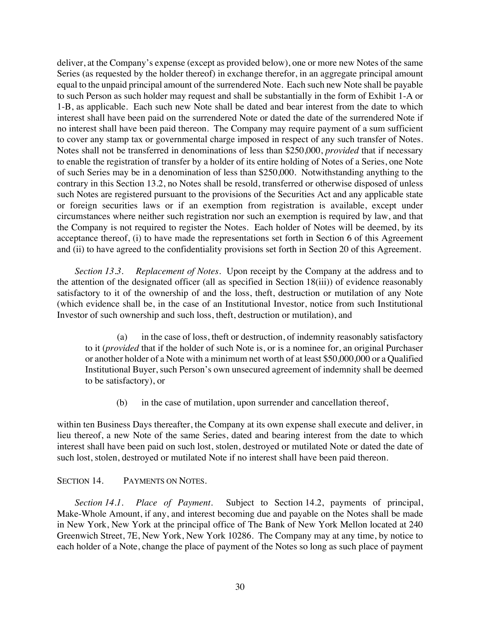deliver, at the Company's expense (except as provided below), one or more new Notes of the same Series (as requested by the holder thereof) in exchange therefor, in an aggregate principal amount equal to the unpaid principal amount of the surrendered Note. Each such new Note shall be payable to such Person as such holder may request and shall be substantially in the form of Exhibit 1-A or 1-B, as applicable. Each such new Note shall be dated and bear interest from the date to which interest shall have been paid on the surrendered Note or dated the date of the surrendered Note if no interest shall have been paid thereon. The Company may require payment of a sum sufficient to cover any stamp tax or governmental charge imposed in respect of any such transfer of Notes. Notes shall not be transferred in denominations of less than \$250,000, *provided* that if necessary to enable the registration of transfer by a holder of its entire holding of Notes of a Series, one Note of such Series may be in a denomination of less than \$250,000. Notwithstanding anything to the contrary in this Section 13.2, no Notes shall be resold, transferred or otherwise disposed of unless such Notes are registered pursuant to the provisions of the Securities Act and any applicable state or foreign securities laws or if an exemption from registration is available, except under circumstances where neither such registration nor such an exemption is required by law, and that the Company is not required to register the Notes. Each holder of Notes will be deemed, by its acceptance thereof, (i) to have made the representations set forth in Section 6 of this Agreement and (ii) to have agreed to the confidentiality provisions set forth in Section 20 of this Agreement.

*Section 13.3. Replacement of Notes*. Upon receipt by the Company at the address and to the attention of the designated officer (all as specified in Section 18(iii)) of evidence reasonably satisfactory to it of the ownership of and the loss, theft, destruction or mutilation of any Note (which evidence shall be, in the case of an Institutional Investor, notice from such Institutional Investor of such ownership and such loss, theft, destruction or mutilation), and

(a) in the case of loss, theft or destruction, of indemnity reasonably satisfactory to it (*provided* that if the holder of such Note is, or is a nominee for, an original Purchaser or another holder of a Note with a minimum net worth of at least \$50,000,000 or a Qualified Institutional Buyer, such Person's own unsecured agreement of indemnity shall be deemed to be satisfactory), or

(b) in the case of mutilation, upon surrender and cancellation thereof,

within ten Business Days thereafter, the Company at its own expense shall execute and deliver, in lieu thereof, a new Note of the same Series, dated and bearing interest from the date to which interest shall have been paid on such lost, stolen, destroyed or mutilated Note or dated the date of such lost, stolen, destroyed or mutilated Note if no interest shall have been paid thereon.

### SECTION 14. PAYMENTS ON NOTES.

*Section 14.1. Place of Payment*. Subject to Section 14.2, payments of principal, Make-Whole Amount, if any, and interest becoming due and payable on the Notes shall be made in New York, New York at the principal office of The Bank of New York Mellon located at 240 Greenwich Street, 7E, New York, New York 10286. The Company may at any time, by notice to each holder of a Note, change the place of payment of the Notes so long as such place of payment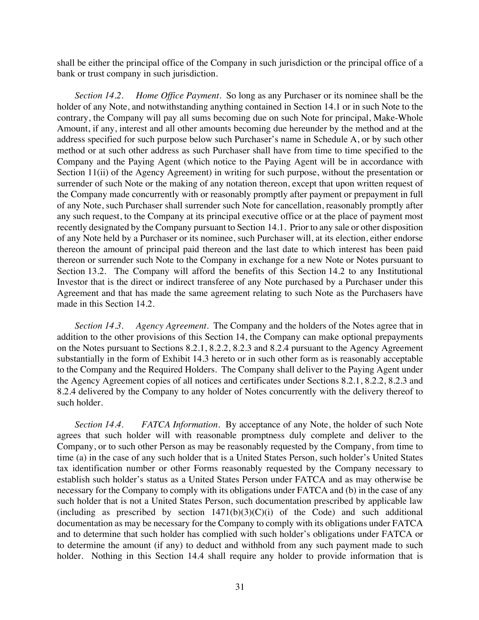shall be either the principal office of the Company in such jurisdiction or the principal office of a bank or trust company in such jurisdiction.

*Section 14.2. Home Office Payment*. So long as any Purchaser or its nominee shall be the holder of any Note, and notwithstanding anything contained in Section 14.1 or in such Note to the contrary, the Company will pay all sums becoming due on such Note for principal, Make-Whole Amount, if any, interest and all other amounts becoming due hereunder by the method and at the address specified for such purpose below such Purchaser's name in Schedule A, or by such other method or at such other address as such Purchaser shall have from time to time specified to the Company and the Paying Agent (which notice to the Paying Agent will be in accordance with Section 11(ii) of the Agency Agreement) in writing for such purpose, without the presentation or surrender of such Note or the making of any notation thereon, except that upon written request of the Company made concurrently with or reasonably promptly after payment or prepayment in full of any Note, such Purchaser shall surrender such Note for cancellation, reasonably promptly after any such request, to the Company at its principal executive office or at the place of payment most recently designated by the Company pursuant to Section 14.1. Prior to any sale or other disposition of any Note held by a Purchaser or its nominee, such Purchaser will, at its election, either endorse thereon the amount of principal paid thereon and the last date to which interest has been paid thereon or surrender such Note to the Company in exchange for a new Note or Notes pursuant to Section 13.2. The Company will afford the benefits of this Section 14.2 to any Institutional Investor that is the direct or indirect transferee of any Note purchased by a Purchaser under this Agreement and that has made the same agreement relating to such Note as the Purchasers have made in this Section 14.2.

*Section 14.3. Agency Agreement*. The Company and the holders of the Notes agree that in addition to the other provisions of this Section 14, the Company can make optional prepayments on the Notes pursuant to Sections 8.2.1, 8.2.2, 8.2.3 and 8.2.4 pursuant to the Agency Agreement substantially in the form of Exhibit 14.3 hereto or in such other form as is reasonably acceptable to the Company and the Required Holders. The Company shall deliver to the Paying Agent under the Agency Agreement copies of all notices and certificates under Sections 8.2.1, 8.2.2, 8.2.3 and 8.2.4 delivered by the Company to any holder of Notes concurrently with the delivery thereof to such holder.

*Section 14.4. FATCA Information.* By acceptance of any Note, the holder of such Note agrees that such holder will with reasonable promptness duly complete and deliver to the Company, or to such other Person as may be reasonably requested by the Company, from time to time (a) in the case of any such holder that is a United States Person, such holder's United States tax identification number or other Forms reasonably requested by the Company necessary to establish such holder's status as a United States Person under FATCA and as may otherwise be necessary for the Company to comply with its obligations under FATCA and (b) in the case of any such holder that is not a United States Person, such documentation prescribed by applicable law (including as prescribed by section  $1471(b)(3)(C)(i)$  of the Code) and such additional documentation as may be necessary for the Company to comply with its obligations under FATCA and to determine that such holder has complied with such holder's obligations under FATCA or to determine the amount (if any) to deduct and withhold from any such payment made to such holder. Nothing in this Section 14.4 shall require any holder to provide information that is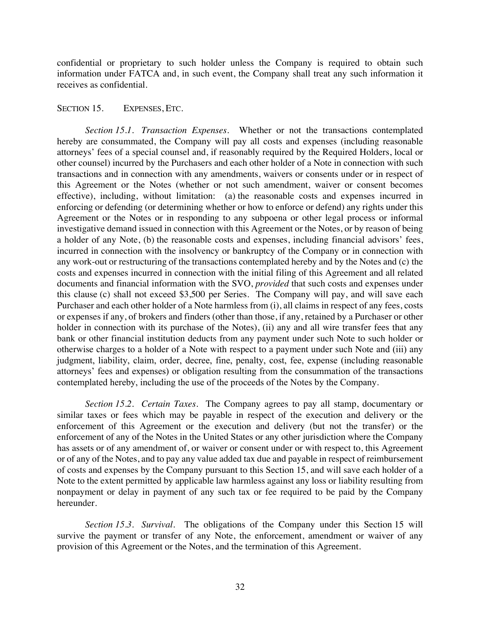confidential or proprietary to such holder unless the Company is required to obtain such information under FATCA and, in such event, the Company shall treat any such information it receives as confidential.

#### SECTION 15. EXPENSES, ETC.

*Section 15.1. Transaction Expenses*. Whether or not the transactions contemplated hereby are consummated, the Company will pay all costs and expenses (including reasonable attorneys' fees of a special counsel and, if reasonably required by the Required Holders, local or other counsel) incurred by the Purchasers and each other holder of a Note in connection with such transactions and in connection with any amendments, waivers or consents under or in respect of this Agreement or the Notes (whether or not such amendment, waiver or consent becomes effective), including, without limitation: (a) the reasonable costs and expenses incurred in enforcing or defending (or determining whether or how to enforce or defend) any rights under this Agreement or the Notes or in responding to any subpoena or other legal process or informal investigative demand issued in connection with this Agreement or the Notes, or by reason of being a holder of any Note, (b) the reasonable costs and expenses, including financial advisors' fees, incurred in connection with the insolvency or bankruptcy of the Company or in connection with any work-out or restructuring of the transactions contemplated hereby and by the Notes and (c) the costs and expenses incurred in connection with the initial filing of this Agreement and all related documents and financial information with the SVO, *provided* that such costs and expenses under this clause (c) shall not exceed \$3,500 per Series. The Company will pay, and will save each Purchaser and each other holder of a Note harmless from (i), all claims in respect of any fees, costs or expenses if any, of brokers and finders (other than those, if any, retained by a Purchaser or other holder in connection with its purchase of the Notes), (ii) any and all wire transfer fees that any bank or other financial institution deducts from any payment under such Note to such holder or otherwise charges to a holder of a Note with respect to a payment under such Note and (iii) any judgment, liability, claim, order, decree, fine, penalty, cost, fee, expense (including reasonable attorneys' fees and expenses) or obligation resulting from the consummation of the transactions contemplated hereby, including the use of the proceeds of the Notes by the Company.

*Section 15.2. Certain Taxes.* The Company agrees to pay all stamp, documentary or similar taxes or fees which may be payable in respect of the execution and delivery or the enforcement of this Agreement or the execution and delivery (but not the transfer) or the enforcement of any of the Notes in the United States or any other jurisdiction where the Company has assets or of any amendment of, or waiver or consent under or with respect to, this Agreement or of any of the Notes, and to pay any value added tax due and payable in respect of reimbursement of costs and expenses by the Company pursuant to this Section 15, and will save each holder of a Note to the extent permitted by applicable law harmless against any loss or liability resulting from nonpayment or delay in payment of any such tax or fee required to be paid by the Company hereunder.

*Section 15.3. Survival*. The obligations of the Company under this Section 15 will survive the payment or transfer of any Note, the enforcement, amendment or waiver of any provision of this Agreement or the Notes, and the termination of this Agreement.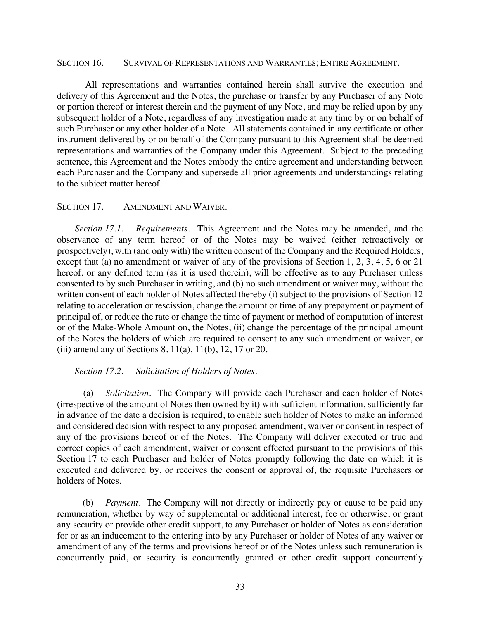#### SECTION 16. SURVIVAL OF REPRESENTATIONS AND WARRANTIES; ENTIRE AGREEMENT.

All representations and warranties contained herein shall survive the execution and delivery of this Agreement and the Notes, the purchase or transfer by any Purchaser of any Note or portion thereof or interest therein and the payment of any Note, and may be relied upon by any subsequent holder of a Note, regardless of any investigation made at any time by or on behalf of such Purchaser or any other holder of a Note. All statements contained in any certificate or other instrument delivered by or on behalf of the Company pursuant to this Agreement shall be deemed representations and warranties of the Company under this Agreement. Subject to the preceding sentence, this Agreement and the Notes embody the entire agreement and understanding between each Purchaser and the Company and supersede all prior agreements and understandings relating to the subject matter hereof.

#### SECTION 17. AMENDMENT AND WAIVER.

*Section 17.1. Requirements*. This Agreement and the Notes may be amended, and the observance of any term hereof or of the Notes may be waived (either retroactively or prospectively), with (and only with) the written consent of the Company and the Required Holders, except that (a) no amendment or waiver of any of the provisions of Section 1, 2, 3, 4, 5, 6 or 21 hereof, or any defined term (as it is used therein), will be effective as to any Purchaser unless consented to by such Purchaser in writing, and (b) no such amendment or waiver may, without the written consent of each holder of Notes affected thereby (i) subject to the provisions of Section 12 relating to acceleration or rescission, change the amount or time of any prepayment or payment of principal of, or reduce the rate or change the time of payment or method of computation of interest or of the Make-Whole Amount on, the Notes, (ii) change the percentage of the principal amount of the Notes the holders of which are required to consent to any such amendment or waiver, or (iii) amend any of Sections  $8, 11(a), 11(b), 12, 17$  or  $20$ .

#### *Section 17.2. Solicitation of Holders of Notes*.

(a) *Solicitation*. The Company will provide each Purchaser and each holder of Notes (irrespective of the amount of Notes then owned by it) with sufficient information, sufficiently far in advance of the date a decision is required, to enable such holder of Notes to make an informed and considered decision with respect to any proposed amendment, waiver or consent in respect of any of the provisions hereof or of the Notes. The Company will deliver executed or true and correct copies of each amendment, waiver or consent effected pursuant to the provisions of this Section 17 to each Purchaser and holder of Notes promptly following the date on which it is executed and delivered by, or receives the consent or approval of, the requisite Purchasers or holders of Notes.

(b) *Payment*. The Company will not directly or indirectly pay or cause to be paid any remuneration, whether by way of supplemental or additional interest, fee or otherwise, or grant any security or provide other credit support, to any Purchaser or holder of Notes as consideration for or as an inducement to the entering into by any Purchaser or holder of Notes of any waiver or amendment of any of the terms and provisions hereof or of the Notes unless such remuneration is concurrently paid, or security is concurrently granted or other credit support concurrently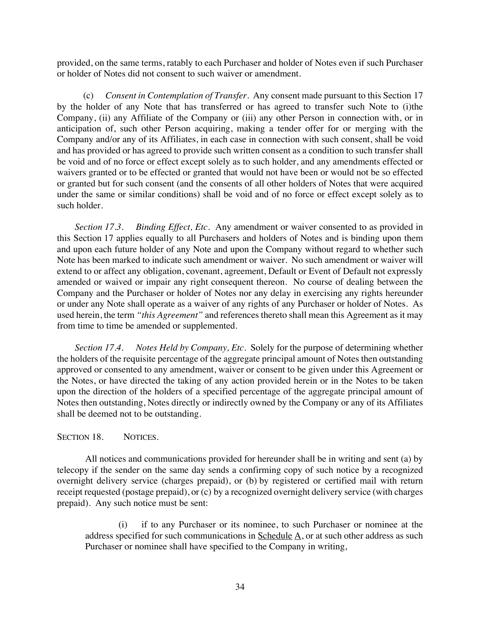provided, on the same terms, ratably to each Purchaser and holder of Notes even if such Purchaser or holder of Notes did not consent to such waiver or amendment.

(c) *Consent in Contemplation of Transfer.* Any consent made pursuant to this Section 17 by the holder of any Note that has transferred or has agreed to transfer such Note to (i)the Company, (ii) any Affiliate of the Company or (iii) any other Person in connection with, or in anticipation of, such other Person acquiring, making a tender offer for or merging with the Company and/or any of its Affiliates, in each case in connection with such consent, shall be void and has provided or has agreed to provide such written consent as a condition to such transfer shall be void and of no force or effect except solely as to such holder, and any amendments effected or waivers granted or to be effected or granted that would not have been or would not be so effected or granted but for such consent (and the consents of all other holders of Notes that were acquired under the same or similar conditions) shall be void and of no force or effect except solely as to such holder.

*Section 17.3. Binding Effect, Etc*. Any amendment or waiver consented to as provided in this Section 17 applies equally to all Purchasers and holders of Notes and is binding upon them and upon each future holder of any Note and upon the Company without regard to whether such Note has been marked to indicate such amendment or waiver. No such amendment or waiver will extend to or affect any obligation, covenant, agreement, Default or Event of Default not expressly amended or waived or impair any right consequent thereon. No course of dealing between the Company and the Purchaser or holder of Notes nor any delay in exercising any rights hereunder or under any Note shall operate as a waiver of any rights of any Purchaser or holder of Notes. As used herein, the term *"this Agreement"* and references thereto shall mean this Agreement as it may from time to time be amended or supplemented.

*Section 17.4. Notes Held by Company, Etc*. Solely for the purpose of determining whether the holders of the requisite percentage of the aggregate principal amount of Notes then outstanding approved or consented to any amendment, waiver or consent to be given under this Agreement or the Notes, or have directed the taking of any action provided herein or in the Notes to be taken upon the direction of the holders of a specified percentage of the aggregate principal amount of Notes then outstanding, Notes directly or indirectly owned by the Company or any of its Affiliates shall be deemed not to be outstanding.

#### SECTION 18. NOTICES.

All notices and communications provided for hereunder shall be in writing and sent (a) by telecopy if the sender on the same day sends a confirming copy of such notice by a recognized overnight delivery service (charges prepaid), or (b) by registered or certified mail with return receipt requested (postage prepaid), or (c) by a recognized overnight delivery service (with charges prepaid). Any such notice must be sent:

(i) if to any Purchaser or its nominee, to such Purchaser or nominee at the address specified for such communications in Schedule A, or at such other address as such Purchaser or nominee shall have specified to the Company in writing,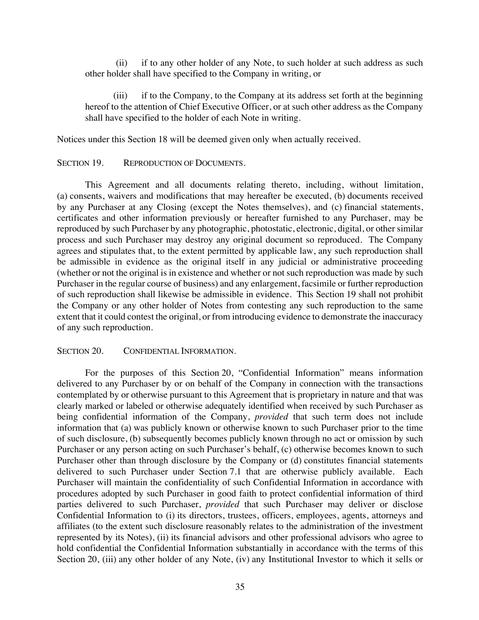(ii) if to any other holder of any Note, to such holder at such address as such other holder shall have specified to the Company in writing, or

(iii) if to the Company, to the Company at its address set forth at the beginning hereof to the attention of Chief Executive Officer, or at such other address as the Company shall have specified to the holder of each Note in writing.

Notices under this Section 18 will be deemed given only when actually received.

#### SECTION 19. REPRODUCTION OF DOCUMENTS.

This Agreement and all documents relating thereto, including, without limitation, (a) consents, waivers and modifications that may hereafter be executed, (b) documents received by any Purchaser at any Closing (except the Notes themselves), and (c) financial statements, certificates and other information previously or hereafter furnished to any Purchaser, may be reproduced by such Purchaser by any photographic, photostatic, electronic, digital, or other similar process and such Purchaser may destroy any original document so reproduced. The Company agrees and stipulates that, to the extent permitted by applicable law, any such reproduction shall be admissible in evidence as the original itself in any judicial or administrative proceeding (whether or not the original is in existence and whether or not such reproduction was made by such Purchaser in the regular course of business) and any enlargement, facsimile or further reproduction of such reproduction shall likewise be admissible in evidence. This Section 19 shall not prohibit the Company or any other holder of Notes from contesting any such reproduction to the same extent that it could contest the original, or from introducing evidence to demonstrate the inaccuracy of any such reproduction.

#### SECTION 20. CONFIDENTIAL INFORMATION.

For the purposes of this Section 20, "Confidential Information" means information delivered to any Purchaser by or on behalf of the Company in connection with the transactions contemplated by or otherwise pursuant to this Agreement that is proprietary in nature and that was clearly marked or labeled or otherwise adequately identified when received by such Purchaser as being confidential information of the Company, *provided* that such term does not include information that (a) was publicly known or otherwise known to such Purchaser prior to the time of such disclosure, (b) subsequently becomes publicly known through no act or omission by such Purchaser or any person acting on such Purchaser's behalf, (c) otherwise becomes known to such Purchaser other than through disclosure by the Company or (d) constitutes financial statements delivered to such Purchaser under Section 7.1 that are otherwise publicly available. Each Purchaser will maintain the confidentiality of such Confidential Information in accordance with procedures adopted by such Purchaser in good faith to protect confidential information of third parties delivered to such Purchaser, *provided* that such Purchaser may deliver or disclose Confidential Information to (i) its directors, trustees, officers, employees, agents, attorneys and affiliates (to the extent such disclosure reasonably relates to the administration of the investment represented by its Notes), (ii) its financial advisors and other professional advisors who agree to hold confidential the Confidential Information substantially in accordance with the terms of this Section 20, (iii) any other holder of any Note, (iv) any Institutional Investor to which it sells or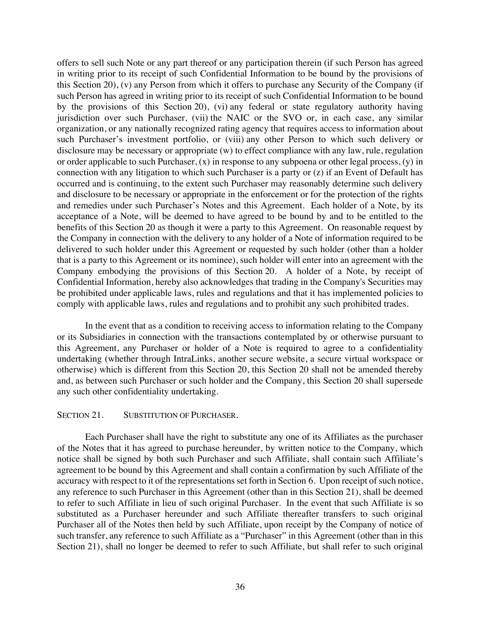offers to sell such Note or any part thereof or any participation therein (if such Person has agreed in writing prior to its receipt of such Confidential Information to be bound by the provisions of this Section 20), (v) any Person from which it offers to purchase any Security of the Company (if such Person has agreed in writing prior to its receipt of such Confidential Information to be bound by the provisions of this Section 20), (vi) any federal or state regulatory authority having jurisdiction over such Purchaser, (vii) the NAIC or the SVO or, in each case, any similar organization, or any nationally recognized rating agency that requires access to information about such Purchaser's investment portfolio, or (viii) any other Person to which such delivery or disclosure may be necessary or appropriate (w) to effect compliance with any law, rule, regulation or order applicable to such Purchaser, (x) in response to any subpoena or other legal process, (y) in connection with any litigation to which such Purchaser is a party or (z) if an Event of Default has occurred and is continuing, to the extent such Purchaser may reasonably determine such delivery and disclosure to be necessary or appropriate in the enforcement or for the protection of the rights and remedies under such Purchaser's Notes and this Agreement. Each holder of a Note, by its acceptance of a Note, will be deemed to have agreed to be bound by and to be entitled to the benefits of this Section 20 as though it were a party to this Agreement. On reasonable request by the Company in connection with the delivery to any holder of a Note of information required to be delivered to such holder under this Agreement or requested by such holder (other than a holder that is a party to this Agreement or its nominee), such holder will enter into an agreement with the Company embodying the provisions of this Section 20. A holder of a Note, by receipt of Confidential Information, hereby also acknowledges that trading in the Company's Securities may be prohibited under applicable laws, rules and regulations and that it has implemented policies to comply with applicable laws, rules and regulations and to prohibit any such prohibited trades.

In the event that as a condition to receiving access to information relating to the Company or its Subsidiaries in connection with the transactions contemplated by or otherwise pursuant to this Agreement, any Purchaser or holder of a Note is required to agree to a confidentiality undertaking (whether through IntraLinks, another secure website, a secure virtual workspace or otherwise) which is different from this Section 20, this Section 20 shall not be amended thereby and, as between such Purchaser or such holder and the Company, this Section 20 shall supersede any such other confidentiality undertaking.

#### SECTION 21. SUBSTITUTION OF PURCHASER.

Each Purchaser shall have the right to substitute any one of its Affiliates as the purchaser of the Notes that it has agreed to purchase hereunder, by written notice to the Company, which notice shall be signed by both such Purchaser and such Affiliate, shall contain such Affiliate's agreement to be bound by this Agreement and shall contain a confirmation by such Affiliate of the accuracy with respect to it of the representations set forth in Section 6. Upon receipt of such notice, any reference to such Purchaser in this Agreement (other than in this Section 21), shall be deemed to refer to such Affiliate in lieu of such original Purchaser. In the event that such Affiliate is so substituted as a Purchaser hereunder and such Affiliate thereafter transfers to such original Purchaser all of the Notes then held by such Affiliate, upon receipt by the Company of notice of such transfer, any reference to such Affiliate as a "Purchaser" in this Agreement (other than in this Section 21), shall no longer be deemed to refer to such Affiliate, but shall refer to such original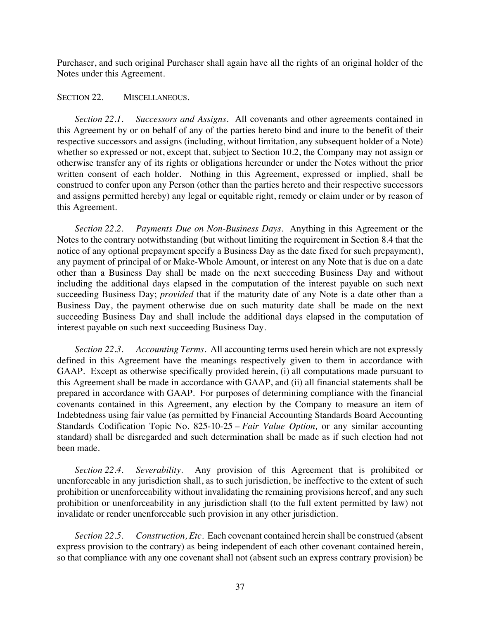Purchaser, and such original Purchaser shall again have all the rights of an original holder of the Notes under this Agreement.

#### SECTION 22. MISCELLANEOUS.

*Section 22.1. Successors and Assigns*. All covenants and other agreements contained in this Agreement by or on behalf of any of the parties hereto bind and inure to the benefit of their respective successors and assigns (including, without limitation, any subsequent holder of a Note) whether so expressed or not, except that, subject to Section 10.2, the Company may not assign or otherwise transfer any of its rights or obligations hereunder or under the Notes without the prior written consent of each holder. Nothing in this Agreement, expressed or implied, shall be construed to confer upon any Person (other than the parties hereto and their respective successors and assigns permitted hereby) any legal or equitable right, remedy or claim under or by reason of this Agreement.

*Section 22.2. Payments Due on Non-Business Days*. Anything in this Agreement or the Notes to the contrary notwithstanding (but without limiting the requirement in Section 8.4 that the notice of any optional prepayment specify a Business Day as the date fixed for such prepayment), any payment of principal of or Make-Whole Amount, or interest on any Note that is due on a date other than a Business Day shall be made on the next succeeding Business Day and without including the additional days elapsed in the computation of the interest payable on such next succeeding Business Day; *provided* that if the maturity date of any Note is a date other than a Business Day, the payment otherwise due on such maturity date shall be made on the next succeeding Business Day and shall include the additional days elapsed in the computation of interest payable on such next succeeding Business Day.

*Section 22.3. Accounting Terms.* All accounting terms used herein which are not expressly defined in this Agreement have the meanings respectively given to them in accordance with GAAP. Except as otherwise specifically provided herein, (i) all computations made pursuant to this Agreement shall be made in accordance with GAAP, and (ii) all financial statements shall be prepared in accordance with GAAP. For purposes of determining compliance with the financial covenants contained in this Agreement, any election by the Company to measure an item of Indebtedness using fair value (as permitted by Financial Accounting Standards Board Accounting Standards Codification Topic No. 825-10-25 – *Fair Value Option,* or any similar accounting standard) shall be disregarded and such determination shall be made as if such election had not been made.

*Section 22.4. Severability*. Any provision of this Agreement that is prohibited or unenforceable in any jurisdiction shall, as to such jurisdiction, be ineffective to the extent of such prohibition or unenforceability without invalidating the remaining provisions hereof, and any such prohibition or unenforceability in any jurisdiction shall (to the full extent permitted by law) not invalidate or render unenforceable such provision in any other jurisdiction.

*Section 22.5. Construction, Etc*. Each covenant contained herein shall be construed (absent express provision to the contrary) as being independent of each other covenant contained herein, so that compliance with any one covenant shall not (absent such an express contrary provision) be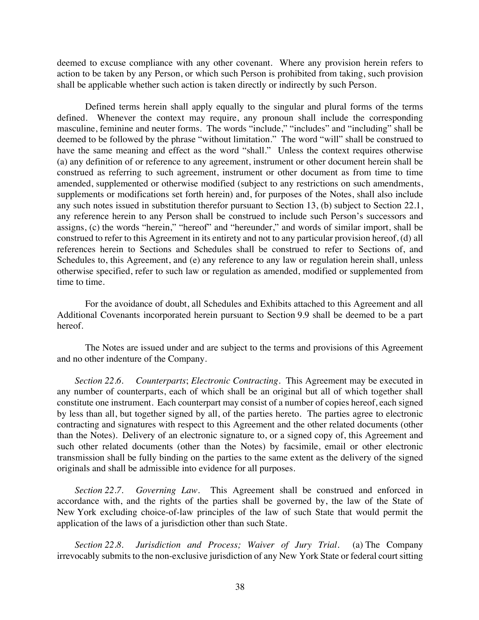deemed to excuse compliance with any other covenant. Where any provision herein refers to action to be taken by any Person, or which such Person is prohibited from taking, such provision shall be applicable whether such action is taken directly or indirectly by such Person.

Defined terms herein shall apply equally to the singular and plural forms of the terms defined. Whenever the context may require, any pronoun shall include the corresponding masculine, feminine and neuter forms. The words "include," "includes" and "including" shall be deemed to be followed by the phrase "without limitation." The word "will" shall be construed to have the same meaning and effect as the word "shall." Unless the context requires otherwise (a) any definition of or reference to any agreement, instrument or other document herein shall be construed as referring to such agreement, instrument or other document as from time to time amended, supplemented or otherwise modified (subject to any restrictions on such amendments, supplements or modifications set forth herein) and, for purposes of the Notes, shall also include any such notes issued in substitution therefor pursuant to Section 13, (b) subject to Section 22.1, any reference herein to any Person shall be construed to include such Person's successors and assigns, (c) the words "herein," "hereof" and "hereunder," and words of similar import, shall be construed to refer to this Agreement in its entirety and not to any particular provision hereof, (d) all references herein to Sections and Schedules shall be construed to refer to Sections of, and Schedules to, this Agreement, and (e) any reference to any law or regulation herein shall, unless otherwise specified, refer to such law or regulation as amended, modified or supplemented from time to time.

For the avoidance of doubt, all Schedules and Exhibits attached to this Agreement and all Additional Covenants incorporated herein pursuant to Section 9.9 shall be deemed to be a part hereof.

The Notes are issued under and are subject to the terms and provisions of this Agreement and no other indenture of the Company.

*Section 22.6. Counterparts*; *Electronic Contracting*. This Agreement may be executed in any number of counterparts, each of which shall be an original but all of which together shall constitute one instrument. Each counterpart may consist of a number of copies hereof, each signed by less than all, but together signed by all, of the parties hereto. The parties agree to electronic contracting and signatures with respect to this Agreement and the other related documents (other than the Notes). Delivery of an electronic signature to, or a signed copy of, this Agreement and such other related documents (other than the Notes) by facsimile, email or other electronic transmission shall be fully binding on the parties to the same extent as the delivery of the signed originals and shall be admissible into evidence for all purposes.

*Section 22.7. Governing Law*. This Agreement shall be construed and enforced in accordance with, and the rights of the parties shall be governed by, the law of the State of New York excluding choice-of-law principles of the law of such State that would permit the application of the laws of a jurisdiction other than such State.

*Section 22.8. Jurisdiction and Process; Waiver of Jury Trial.* (a) The Company irrevocably submits to the non-exclusive jurisdiction of any New York State or federal court sitting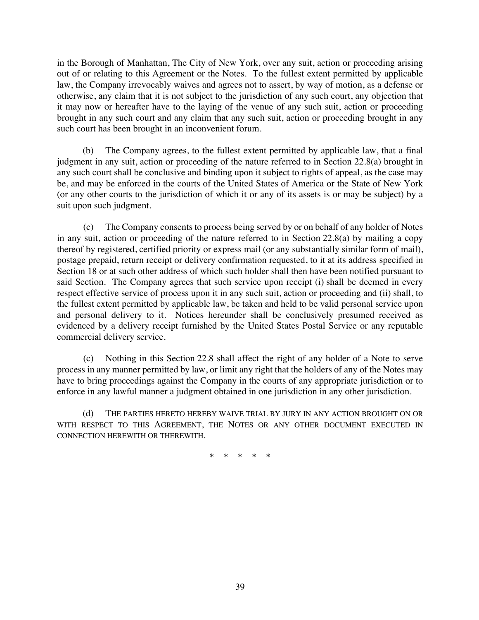in the Borough of Manhattan, The City of New York, over any suit, action or proceeding arising out of or relating to this Agreement or the Notes. To the fullest extent permitted by applicable law, the Company irrevocably waives and agrees not to assert, by way of motion, as a defense or otherwise, any claim that it is not subject to the jurisdiction of any such court, any objection that it may now or hereafter have to the laying of the venue of any such suit, action or proceeding brought in any such court and any claim that any such suit, action or proceeding brought in any such court has been brought in an inconvenient forum.

(b) The Company agrees, to the fullest extent permitted by applicable law, that a final judgment in any suit, action or proceeding of the nature referred to in Section 22.8(a) brought in any such court shall be conclusive and binding upon it subject to rights of appeal, as the case may be, and may be enforced in the courts of the United States of America or the State of New York (or any other courts to the jurisdiction of which it or any of its assets is or may be subject) by a suit upon such judgment.

(c) The Company consents to process being served by or on behalf of any holder of Notes in any suit, action or proceeding of the nature referred to in Section 22.8(a) by mailing a copy thereof by registered, certified priority or express mail (or any substantially similar form of mail), postage prepaid, return receipt or delivery confirmation requested, to it at its address specified in Section 18 or at such other address of which such holder shall then have been notified pursuant to said Section. The Company agrees that such service upon receipt (i) shall be deemed in every respect effective service of process upon it in any such suit, action or proceeding and (ii) shall, to the fullest extent permitted by applicable law, be taken and held to be valid personal service upon and personal delivery to it. Notices hereunder shall be conclusively presumed received as evidenced by a delivery receipt furnished by the United States Postal Service or any reputable commercial delivery service.

(c) Nothing in this Section 22.8 shall affect the right of any holder of a Note to serve process in any manner permitted by law, or limit any right that the holders of any of the Notes may have to bring proceedings against the Company in the courts of any appropriate jurisdiction or to enforce in any lawful manner a judgment obtained in one jurisdiction in any other jurisdiction.

(d) THE PARTIES HERETO HEREBY WAIVE TRIAL BY JURY IN ANY ACTION BROUGHT ON OR WITH RESPECT TO THIS AGREEMENT, THE NOTES OR ANY OTHER DOCUMENT EXECUTED IN CONNECTION HEREWITH OR THEREWITH.

\* \* \* \* \*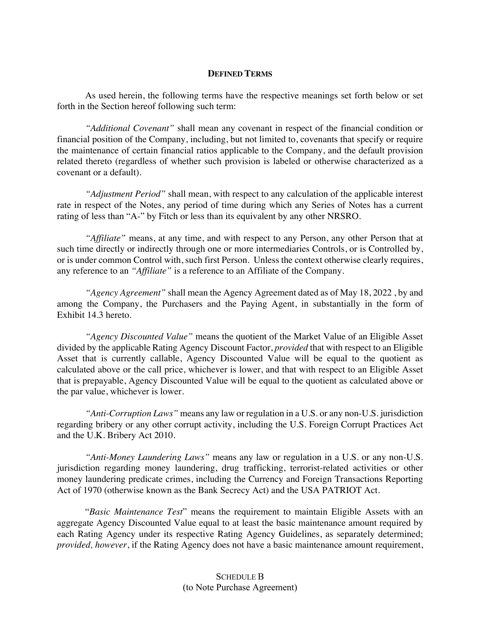#### **DEFINED TERMS**

As used herein, the following terms have the respective meanings set forth below or set forth in the Section hereof following such term:

*"Additional Covenant"* shall mean any covenant in respect of the financial condition or financial position of the Company, including, but not limited to, covenants that specify or require the maintenance of certain financial ratios applicable to the Company, and the default provision related thereto (regardless of whether such provision is labeled or otherwise characterized as a covenant or a default).

*"Adjustment Period"* shall mean, with respect to any calculation of the applicable interest rate in respect of the Notes, any period of time during which any Series of Notes has a current rating of less than "A-" by Fitch or less than its equivalent by any other NRSRO.

*"Affiliate"* means, at any time, and with respect to any Person, any other Person that at such time directly or indirectly through one or more intermediaries Controls, or is Controlled by, or is under common Control with, such first Person. Unless the context otherwise clearly requires, any reference to an *"Affiliate"* is a reference to an Affiliate of the Company.

*"Agency Agreement"* shall mean the Agency Agreement dated as of May 18, 2022 , by and among the Company, the Purchasers and the Paying Agent, in substantially in the form of Exhibit 14.3 hereto.

*"Agency Discounted Value"* means the quotient of the Market Value of an Eligible Asset divided by the applicable Rating Agency Discount Factor, *provided* that with respect to an Eligible Asset that is currently callable, Agency Discounted Value will be equal to the quotient as calculated above or the call price, whichever is lower, and that with respect to an Eligible Asset that is prepayable, Agency Discounted Value will be equal to the quotient as calculated above or the par value, whichever is lower.

*"Anti-Corruption Laws"* means any law or regulation in a U.S. or any non-U.S. jurisdiction regarding bribery or any other corrupt activity, including the U.S. Foreign Corrupt Practices Act and the U.K. Bribery Act 2010.

*"Anti-Money Laundering Laws"* means any law or regulation in a U.S. or any non-U.S. jurisdiction regarding money laundering, drug trafficking, terrorist-related activities or other money laundering predicate crimes, including the Currency and Foreign Transactions Reporting Act of 1970 (otherwise known as the Bank Secrecy Act) and the USA PATRIOT Act.

"*Basic Maintenance Test*" means the requirement to maintain Eligible Assets with an aggregate Agency Discounted Value equal to at least the basic maintenance amount required by each Rating Agency under its respective Rating Agency Guidelines, as separately determined; *provided, however*, if the Rating Agency does not have a basic maintenance amount requirement,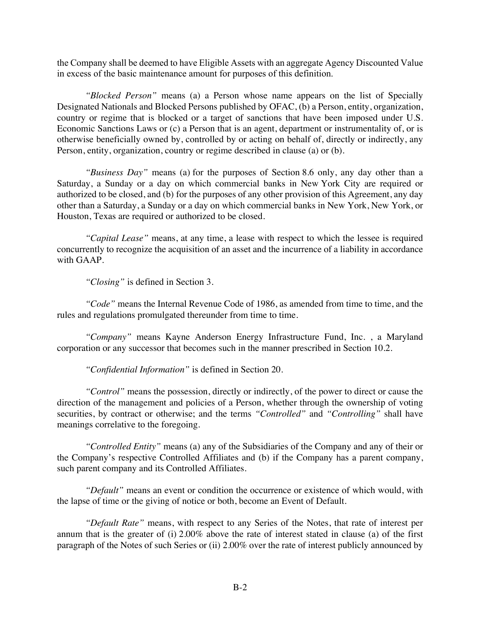the Company shall be deemed to have Eligible Assets with an aggregate Agency Discounted Value in excess of the basic maintenance amount for purposes of this definition.

*"Blocked Person"* means (a) a Person whose name appears on the list of Specially Designated Nationals and Blocked Persons published by OFAC, (b) a Person, entity, organization, country or regime that is blocked or a target of sanctions that have been imposed under U.S. Economic Sanctions Laws or (c) a Person that is an agent, department or instrumentality of, or is otherwise beneficially owned by, controlled by or acting on behalf of, directly or indirectly, any Person, entity, organization, country or regime described in clause (a) or (b).

*"Business Day"* means (a) for the purposes of Section 8.6 only, any day other than a Saturday, a Sunday or a day on which commercial banks in New York City are required or authorized to be closed, and (b) for the purposes of any other provision of this Agreement, any day other than a Saturday, a Sunday or a day on which commercial banks in New York, New York, or Houston, Texas are required or authorized to be closed.

*"Capital Lease"* means, at any time, a lease with respect to which the lessee is required concurrently to recognize the acquisition of an asset and the incurrence of a liability in accordance with GAAP.

*"Closing"* is defined in Section 3.

*"Code"* means the Internal Revenue Code of 1986, as amended from time to time, and the rules and regulations promulgated thereunder from time to time.

*"Company"* means Kayne Anderson Energy Infrastructure Fund, Inc. , a Maryland corporation or any successor that becomes such in the manner prescribed in Section 10.2.

*"Confidential Information"* is defined in Section 20.

*"Control"* means the possession, directly or indirectly, of the power to direct or cause the direction of the management and policies of a Person, whether through the ownership of voting securities, by contract or otherwise; and the terms *"Controlled"* and *"Controlling"* shall have meanings correlative to the foregoing.

*"Controlled Entity"* means (a) any of the Subsidiaries of the Company and any of their or the Company's respective Controlled Affiliates and (b) if the Company has a parent company, such parent company and its Controlled Affiliates.

*"Default"* means an event or condition the occurrence or existence of which would, with the lapse of time or the giving of notice or both, become an Event of Default.

*"Default Rate"* means, with respect to any Series of the Notes, that rate of interest per annum that is the greater of (i) 2.00% above the rate of interest stated in clause (a) of the first paragraph of the Notes of such Series or (ii) 2.00% over the rate of interest publicly announced by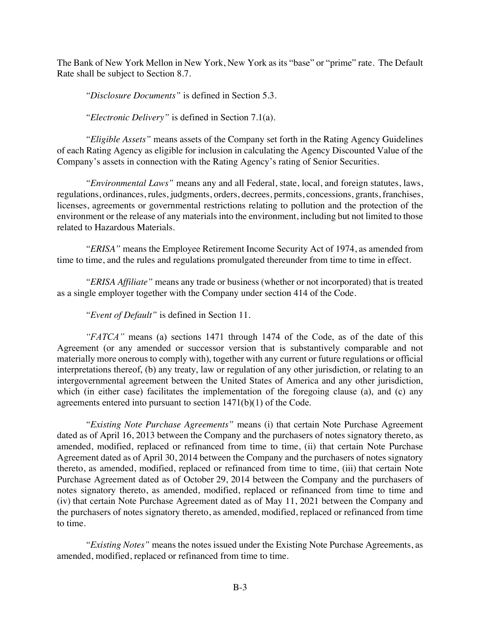The Bank of New York Mellon in New York, New York as its "base" or "prime" rate. The Default Rate shall be subject to Section 8.7.

*"Disclosure Documents"* is defined in Section 5.3.

*"Electronic Delivery"* is defined in Section 7.1(a).

*"Eligible Assets"* means assets of the Company set forth in the Rating Agency Guidelines of each Rating Agency as eligible for inclusion in calculating the Agency Discounted Value of the Company's assets in connection with the Rating Agency's rating of Senior Securities.

*"Environmental Laws"* means any and all Federal, state, local, and foreign statutes, laws, regulations, ordinances, rules, judgments, orders, decrees, permits, concessions, grants, franchises, licenses, agreements or governmental restrictions relating to pollution and the protection of the environment or the release of any materials into the environment, including but not limited to those related to Hazardous Materials.

*"ERISA"* means the Employee Retirement Income Security Act of 1974, as amended from time to time, and the rules and regulations promulgated thereunder from time to time in effect.

*"ERISA Affiliate"* means any trade or business (whether or not incorporated) that is treated as a single employer together with the Company under section 414 of the Code.

*"Event of Default"* is defined in Section 11.

*"FATCA"* means (a) sections 1471 through 1474 of the Code, as of the date of this Agreement (or any amended or successor version that is substantively comparable and not materially more onerous to comply with), together with any current or future regulations or official interpretations thereof, (b) any treaty, law or regulation of any other jurisdiction, or relating to an intergovernmental agreement between the United States of America and any other jurisdiction, which (in either case) facilitates the implementation of the foregoing clause (a), and (c) any agreements entered into pursuant to section 1471(b)(1) of the Code.

*"Existing Note Purchase Agreements"* means (i) that certain Note Purchase Agreement dated as of April 16, 2013 between the Company and the purchasers of notes signatory thereto, as amended, modified, replaced or refinanced from time to time, (ii) that certain Note Purchase Agreement dated as of April 30, 2014 between the Company and the purchasers of notes signatory thereto, as amended, modified, replaced or refinanced from time to time, (iii) that certain Note Purchase Agreement dated as of October 29, 2014 between the Company and the purchasers of notes signatory thereto, as amended, modified, replaced or refinanced from time to time and (iv) that certain Note Purchase Agreement dated as of May 11, 2021 between the Company and the purchasers of notes signatory thereto, as amended, modified, replaced or refinanced from time to time.

*"Existing Notes"* means the notes issued under the Existing Note Purchase Agreements, as amended, modified, replaced or refinanced from time to time.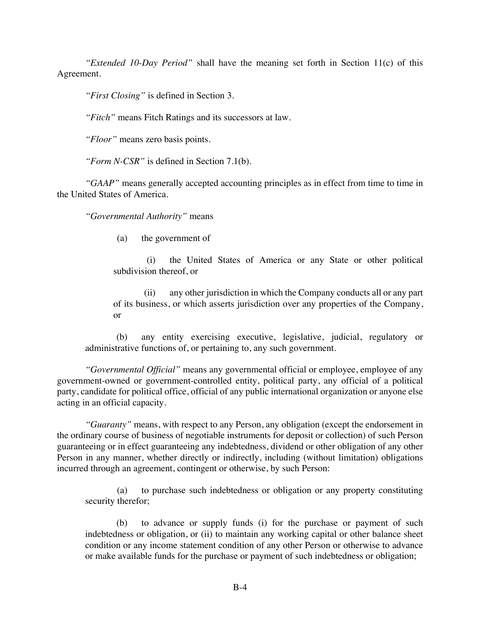*"Extended 10-Day Period"* shall have the meaning set forth in Section 11(c) of this Agreement.

*"First Closing"* is defined in Section 3.

*"Fitch"* means Fitch Ratings and its successors at law.

*"Floor"* means zero basis points.

*"Form N-CSR"* is defined in Section 7.1(b).

*"GAAP"* means generally accepted accounting principles as in effect from time to time in the United States of America.

*"Governmental Authority"* means

(a) the government of

(i) the United States of America or any State or other political subdivision thereof, or

(ii) any other jurisdiction in which the Company conducts all or any part of its business, or which asserts jurisdiction over any properties of the Company, or

(b) any entity exercising executive, legislative, judicial, regulatory or administrative functions of, or pertaining to, any such government.

*"Governmental Official"* means any governmental official or employee, employee of any government-owned or government-controlled entity, political party, any official of a political party, candidate for political office, official of any public international organization or anyone else acting in an official capacity.

*"Guaranty"* means, with respect to any Person, any obligation (except the endorsement in the ordinary course of business of negotiable instruments for deposit or collection) of such Person guaranteeing or in effect guaranteeing any indebtedness, dividend or other obligation of any other Person in any manner, whether directly or indirectly, including (without limitation) obligations incurred through an agreement, contingent or otherwise, by such Person:

(a) to purchase such indebtedness or obligation or any property constituting security therefor;

(b) to advance or supply funds (i) for the purchase or payment of such indebtedness or obligation, or (ii) to maintain any working capital or other balance sheet condition or any income statement condition of any other Person or otherwise to advance or make available funds for the purchase or payment of such indebtedness or obligation;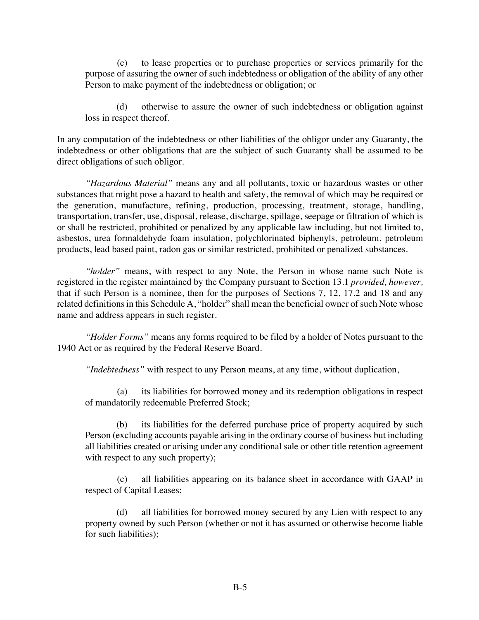(c) to lease properties or to purchase properties or services primarily for the purpose of assuring the owner of such indebtedness or obligation of the ability of any other Person to make payment of the indebtedness or obligation; or

(d) otherwise to assure the owner of such indebtedness or obligation against loss in respect thereof.

In any computation of the indebtedness or other liabilities of the obligor under any Guaranty, the indebtedness or other obligations that are the subject of such Guaranty shall be assumed to be direct obligations of such obligor.

*"Hazardous Material"* means any and all pollutants, toxic or hazardous wastes or other substances that might pose a hazard to health and safety, the removal of which may be required or the generation, manufacture, refining, production, processing, treatment, storage, handling, transportation, transfer, use, disposal, release, discharge, spillage, seepage or filtration of which is or shall be restricted, prohibited or penalized by any applicable law including, but not limited to, asbestos, urea formaldehyde foam insulation, polychlorinated biphenyls, petroleum, petroleum products, lead based paint, radon gas or similar restricted, prohibited or penalized substances.

*"holder"* means, with respect to any Note, the Person in whose name such Note is registered in the register maintained by the Company pursuant to Section 13.1 *provided, however,* that if such Person is a nominee, then for the purposes of Sections 7, 12, 17.2 and 18 and any related definitions in this Schedule A, "holder" shall mean the beneficial owner of such Note whose name and address appears in such register.

*"Holder Forms"* means any forms required to be filed by a holder of Notes pursuant to the 1940 Act or as required by the Federal Reserve Board.

*"Indebtedness"* with respect to any Person means, at any time, without duplication,

(a) its liabilities for borrowed money and its redemption obligations in respect of mandatorily redeemable Preferred Stock;

its liabilities for the deferred purchase price of property acquired by such Person (excluding accounts payable arising in the ordinary course of business but including all liabilities created or arising under any conditional sale or other title retention agreement with respect to any such property);

(c) all liabilities appearing on its balance sheet in accordance with GAAP in respect of Capital Leases;

(d) all liabilities for borrowed money secured by any Lien with respect to any property owned by such Person (whether or not it has assumed or otherwise become liable for such liabilities);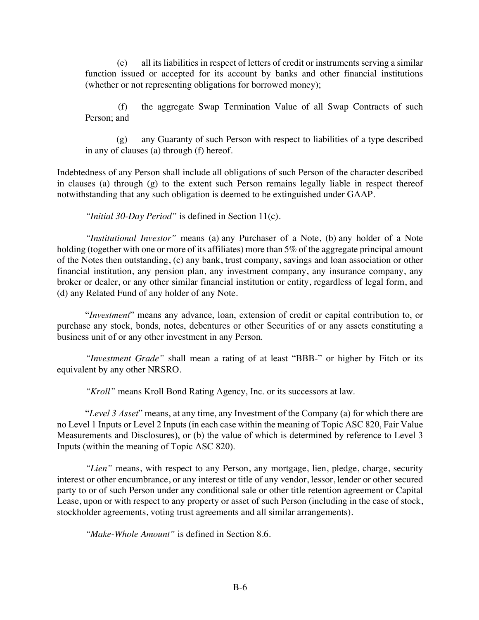(e) all its liabilities in respect of letters of credit or instruments serving a similar function issued or accepted for its account by banks and other financial institutions (whether or not representing obligations for borrowed money);

(f) the aggregate Swap Termination Value of all Swap Contracts of such Person; and

(g) any Guaranty of such Person with respect to liabilities of a type described in any of clauses (a) through (f) hereof.

Indebtedness of any Person shall include all obligations of such Person of the character described in clauses (a) through (g) to the extent such Person remains legally liable in respect thereof notwithstanding that any such obligation is deemed to be extinguished under GAAP.

*"Initial 30-Day Period"* is defined in Section 11(c).

*"Institutional Investor"* means (a) any Purchaser of a Note, (b) any holder of a Note holding (together with one or more of its affiliates) more than 5% of the aggregate principal amount of the Notes then outstanding, (c) any bank, trust company, savings and loan association or other financial institution, any pension plan, any investment company, any insurance company, any broker or dealer, or any other similar financial institution or entity, regardless of legal form, and (d) any Related Fund of any holder of any Note.

"*Investment*" means any advance, loan, extension of credit or capital contribution to, or purchase any stock, bonds, notes, debentures or other Securities of or any assets constituting a business unit of or any other investment in any Person.

*"Investment Grade"* shall mean a rating of at least "BBB-" or higher by Fitch or its equivalent by any other NRSRO.

*"Kroll"* means Kroll Bond Rating Agency, Inc. or its successors at law.

"*Level 3 Asset*" means, at any time, any Investment of the Company (a) for which there are no Level 1 Inputs or Level 2 Inputs (in each case within the meaning of Topic ASC 820, Fair Value Measurements and Disclosures), or (b) the value of which is determined by reference to Level 3 Inputs (within the meaning of Topic ASC 820).

*"Lien"* means, with respect to any Person, any mortgage, lien, pledge, charge, security interest or other encumbrance, or any interest or title of any vendor, lessor, lender or other secured party to or of such Person under any conditional sale or other title retention agreement or Capital Lease, upon or with respect to any property or asset of such Person (including in the case of stock, stockholder agreements, voting trust agreements and all similar arrangements).

*"Make-Whole Amount"* is defined in Section 8.6.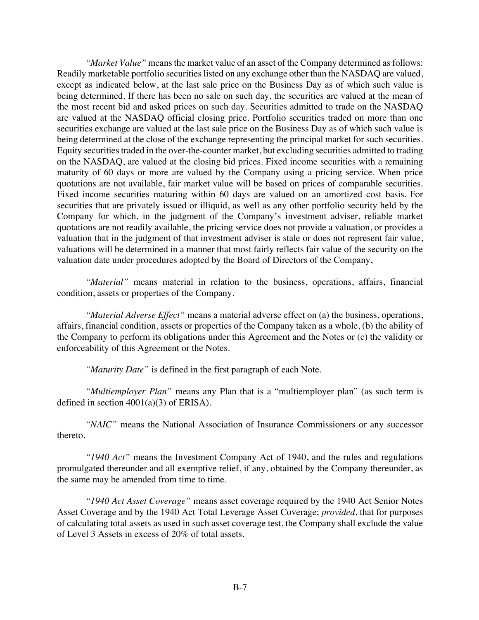*"Market Value"* means the market value of an asset of the Company determined as follows: Readily marketable portfolio securities listed on any exchange other than the NASDAQ are valued, except as indicated below, at the last sale price on the Business Day as of which such value is being determined. If there has been no sale on such day, the securities are valued at the mean of the most recent bid and asked prices on such day. Securities admitted to trade on the NASDAQ are valued at the NASDAQ official closing price. Portfolio securities traded on more than one securities exchange are valued at the last sale price on the Business Day as of which such value is being determined at the close of the exchange representing the principal market for such securities. Equity securities traded in the over-the-counter market, but excluding securities admitted to trading on the NASDAQ, are valued at the closing bid prices. Fixed income securities with a remaining maturity of 60 days or more are valued by the Company using a pricing service. When price quotations are not available, fair market value will be based on prices of comparable securities. Fixed income securities maturing within 60 days are valued on an amortized cost basis. For securities that are privately issued or illiquid, as well as any other portfolio security held by the Company for which, in the judgment of the Company's investment adviser, reliable market quotations are not readily available, the pricing service does not provide a valuation, or provides a valuation that in the judgment of that investment adviser is stale or does not represent fair value, valuations will be determined in a manner that most fairly reflects fair value of the security on the valuation date under procedures adopted by the Board of Directors of the Company,

*"Material"* means material in relation to the business, operations, affairs, financial condition, assets or properties of the Company.

*"Material Adverse Effect"* means a material adverse effect on (a) the business, operations, affairs, financial condition, assets or properties of the Company taken as a whole, (b) the ability of the Company to perform its obligations under this Agreement and the Notes or (c) the validity or enforceability of this Agreement or the Notes.

*"Maturity Date"* is defined in the first paragraph of each Note.

*"Multiemployer Plan"* means any Plan that is a "multiemployer plan" (as such term is defined in section 4001(a)(3) of ERISA).

*"NAIC"* means the National Association of Insurance Commissioners or any successor thereto.

*"1940 Act"* means the Investment Company Act of 1940, and the rules and regulations promulgated thereunder and all exemptive relief, if any, obtained by the Company thereunder, as the same may be amended from time to time.

*"1940 Act Asset Coverage"* means asset coverage required by the 1940 Act Senior Notes Asset Coverage and by the 1940 Act Total Leverage Asset Coverage; *provided*, that for purposes of calculating total assets as used in such asset coverage test, the Company shall exclude the value of Level 3 Assets in excess of 20% of total assets.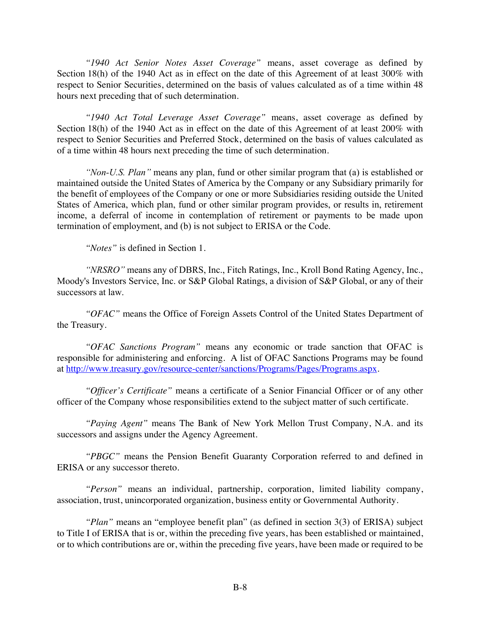*"1940 Act Senior Notes Asset Coverage"* means, asset coverage as defined by Section 18(h) of the 1940 Act as in effect on the date of this Agreement of at least 300% with respect to Senior Securities, determined on the basis of values calculated as of a time within 48 hours next preceding that of such determination.

*"1940 Act Total Leverage Asset Coverage"* means, asset coverage as defined by Section 18(h) of the 1940 Act as in effect on the date of this Agreement of at least 200% with respect to Senior Securities and Preferred Stock, determined on the basis of values calculated as of a time within 48 hours next preceding the time of such determination.

*"Non-U.S. Plan"* means any plan, fund or other similar program that (a) is established or maintained outside the United States of America by the Company or any Subsidiary primarily for the benefit of employees of the Company or one or more Subsidiaries residing outside the United States of America, which plan, fund or other similar program provides, or results in, retirement income, a deferral of income in contemplation of retirement or payments to be made upon termination of employment, and (b) is not subject to ERISA or the Code.

*"Notes"* is defined in Section 1.

*"NRSRO"* means any of DBRS, Inc., Fitch Ratings, Inc., Kroll Bond Rating Agency, Inc., Moody's Investors Service, Inc. or S&P Global Ratings, a division of S&P Global, or any of their successors at law.

*"OFAC"* means the Office of Foreign Assets Control of the United States Department of the Treasury.

*"OFAC Sanctions Program"* means any economic or trade sanction that OFAC is responsible for administering and enforcing. A list of OFAC Sanctions Programs may be found at http://www.treasury.gov/resource-center/sanctions/Programs/Pages/Programs.aspx.

*"Officer's Certificate"* means a certificate of a Senior Financial Officer or of any other officer of the Company whose responsibilities extend to the subject matter of such certificate.

*"Paying Agent"* means The Bank of New York Mellon Trust Company, N.A. and its successors and assigns under the Agency Agreement.

*"PBGC"* means the Pension Benefit Guaranty Corporation referred to and defined in ERISA or any successor thereto.

*"Person"* means an individual, partnership, corporation, limited liability company, association, trust, unincorporated organization, business entity or Governmental Authority.

*"Plan"* means an "employee benefit plan" (as defined in section 3(3) of ERISA) subject to Title I of ERISA that is or, within the preceding five years, has been established or maintained, or to which contributions are or, within the preceding five years, have been made or required to be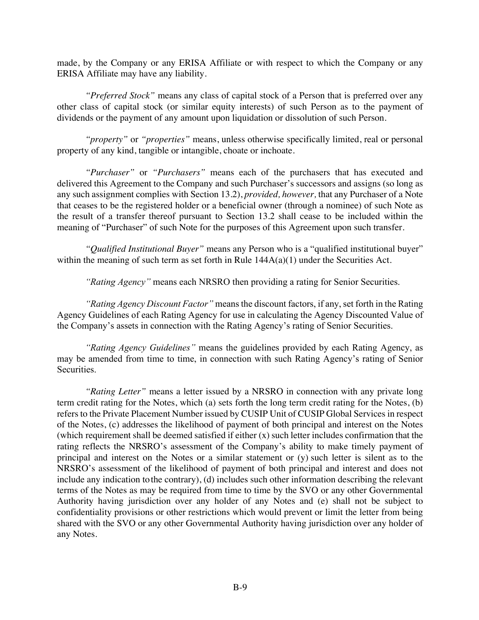made, by the Company or any ERISA Affiliate or with respect to which the Company or any ERISA Affiliate may have any liability.

*"Preferred Stock"* means any class of capital stock of a Person that is preferred over any other class of capital stock (or similar equity interests) of such Person as to the payment of dividends or the payment of any amount upon liquidation or dissolution of such Person.

*"property"* or *"properties"* means, unless otherwise specifically limited, real or personal property of any kind, tangible or intangible, choate or inchoate.

*"Purchaser"* or *"Purchasers"* means each of the purchasers that has executed and delivered this Agreement to the Company and such Purchaser's successors and assigns (so long as any such assignment complies with Section 13.2), *provided, however,* that any Purchaser of a Note that ceases to be the registered holder or a beneficial owner (through a nominee) of such Note as the result of a transfer thereof pursuant to Section 13.2 shall cease to be included within the meaning of "Purchaser" of such Note for the purposes of this Agreement upon such transfer.

*"Qualified Institutional Buyer"* means any Person who is a "qualified institutional buyer" within the meaning of such term as set forth in Rule  $144A(a)(1)$  under the Securities Act.

*"Rating Agency"* means each NRSRO then providing a rating for Senior Securities.

*"Rating Agency Discount Factor"* means the discount factors, if any, set forth in the Rating Agency Guidelines of each Rating Agency for use in calculating the Agency Discounted Value of the Company's assets in connection with the Rating Agency's rating of Senior Securities.

*"Rating Agency Guidelines"* means the guidelines provided by each Rating Agency, as may be amended from time to time, in connection with such Rating Agency's rating of Senior Securities.

*"Rating Letter"* means a letter issued by a NRSRO in connection with any private long term credit rating for the Notes, which (a) sets forth the long term credit rating for the Notes, (b) refers to the Private Placement Number issued by CUSIP Unit of CUSIP Global Services in respect of the Notes, (c) addresses the likelihood of payment of both principal and interest on the Notes (which requirement shall be deemed satisfied if either  $(x)$  such letter includes confirmation that the rating reflects the NRSRO's assessment of the Company's ability to make timely payment of principal and interest on the Notes or a similar statement or (y) such letter is silent as to the NRSRO's assessment of the likelihood of payment of both principal and interest and does not include any indication tothe contrary), (d) includes such other information describing the relevant terms of the Notes as may be required from time to time by the SVO or any other Governmental Authority having jurisdiction over any holder of any Notes and (e) shall not be subject to confidentiality provisions or other restrictions which would prevent or limit the letter from being shared with the SVO or any other Governmental Authority having jurisdiction over any holder of any Notes.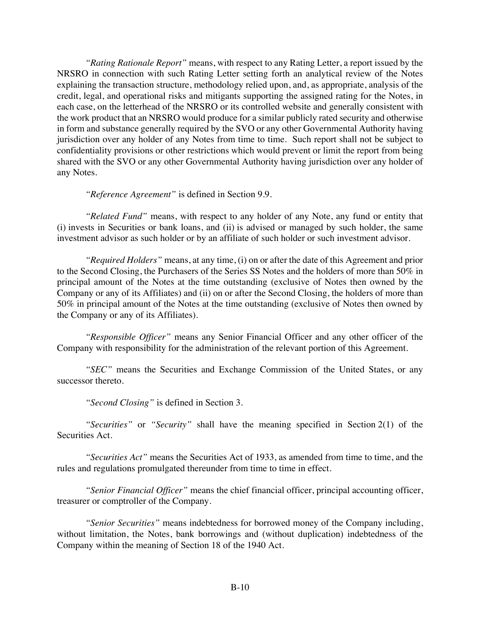*"Rating Rationale Report"* means, with respect to any Rating Letter, a report issued by the NRSRO in connection with such Rating Letter setting forth an analytical review of the Notes explaining the transaction structure, methodology relied upon, and, as appropriate, analysis of the credit, legal, and operational risks and mitigants supporting the assigned rating for the Notes, in each case, on the letterhead of the NRSRO or its controlled website and generally consistent with the work product that an NRSRO would produce for a similar publicly rated security and otherwise in form and substance generally required by the SVO or any other Governmental Authority having jurisdiction over any holder of any Notes from time to time. Such report shall not be subject to confidentiality provisions or other restrictions which would prevent or limit the report from being shared with the SVO or any other Governmental Authority having jurisdiction over any holder of any Notes.

*"Reference Agreement"* is defined in Section 9.9.

*"Related Fund"* means, with respect to any holder of any Note, any fund or entity that (i) invests in Securities or bank loans, and (ii) is advised or managed by such holder, the same investment advisor as such holder or by an affiliate of such holder or such investment advisor.

*"Required Holders"* means, at any time, (i) on or after the date of this Agreement and prior to the Second Closing, the Purchasers of the Series SS Notes and the holders of more than 50% in principal amount of the Notes at the time outstanding (exclusive of Notes then owned by the Company or any of its Affiliates) and (ii) on or after the Second Closing, the holders of more than 50% in principal amount of the Notes at the time outstanding (exclusive of Notes then owned by the Company or any of its Affiliates).

*"Responsible Officer"* means any Senior Financial Officer and any other officer of the Company with responsibility for the administration of the relevant portion of this Agreement.

*"SEC"* means the Securities and Exchange Commission of the United States, or any successor thereto.

*"Second Closing"* is defined in Section 3.

*"Securities"* or *"Security"* shall have the meaning specified in Section 2(1) of the Securities Act.

*"Securities Act"* means the Securities Act of 1933, as amended from time to time, and the rules and regulations promulgated thereunder from time to time in effect.

*"Senior Financial Officer"* means the chief financial officer, principal accounting officer, treasurer or comptroller of the Company.

*"Senior Securities"* means indebtedness for borrowed money of the Company including, without limitation, the Notes, bank borrowings and (without duplication) indebtedness of the Company within the meaning of Section 18 of the 1940 Act.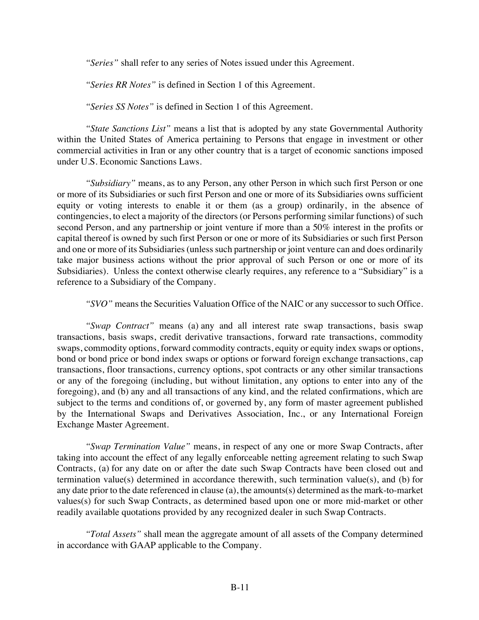*"Series"* shall refer to any series of Notes issued under this Agreement.

*"Series RR Notes"* is defined in Section 1 of this Agreement.

*"Series SS Notes"* is defined in Section 1 of this Agreement.

*"State Sanctions List"* means a list that is adopted by any state Governmental Authority within the United States of America pertaining to Persons that engage in investment or other commercial activities in Iran or any other country that is a target of economic sanctions imposed under U.S. Economic Sanctions Laws.

*"Subsidiary"* means, as to any Person, any other Person in which such first Person or one or more of its Subsidiaries or such first Person and one or more of its Subsidiaries owns sufficient equity or voting interests to enable it or them (as a group) ordinarily, in the absence of contingencies, to elect a majority of the directors (or Persons performing similar functions) of such second Person, and any partnership or joint venture if more than a 50% interest in the profits or capital thereof is owned by such first Person or one or more of its Subsidiaries or such first Person and one or more of its Subsidiaries (unless such partnership or joint venture can and does ordinarily take major business actions without the prior approval of such Person or one or more of its Subsidiaries). Unless the context otherwise clearly requires, any reference to a "Subsidiary" is a reference to a Subsidiary of the Company.

*"SVO"* means the Securities Valuation Office of the NAIC or any successor to such Office.

*"Swap Contract"* means (a) any and all interest rate swap transactions, basis swap transactions, basis swaps, credit derivative transactions, forward rate transactions, commodity swaps, commodity options, forward commodity contracts, equity or equity index swaps or options, bond or bond price or bond index swaps or options or forward foreign exchange transactions, cap transactions, floor transactions, currency options, spot contracts or any other similar transactions or any of the foregoing (including, but without limitation, any options to enter into any of the foregoing), and (b) any and all transactions of any kind, and the related confirmations, which are subject to the terms and conditions of, or governed by, any form of master agreement published by the International Swaps and Derivatives Association, Inc., or any International Foreign Exchange Master Agreement.

*"Swap Termination Value"* means, in respect of any one or more Swap Contracts, after taking into account the effect of any legally enforceable netting agreement relating to such Swap Contracts, (a) for any date on or after the date such Swap Contracts have been closed out and termination value(s) determined in accordance therewith, such termination value(s), and (b) for any date prior to the date referenced in clause (a), the amounts(s) determined as the mark-to-market values(s) for such Swap Contracts, as determined based upon one or more mid-market or other readily available quotations provided by any recognized dealer in such Swap Contracts.

*"Total Assets"* shall mean the aggregate amount of all assets of the Company determined in accordance with GAAP applicable to the Company.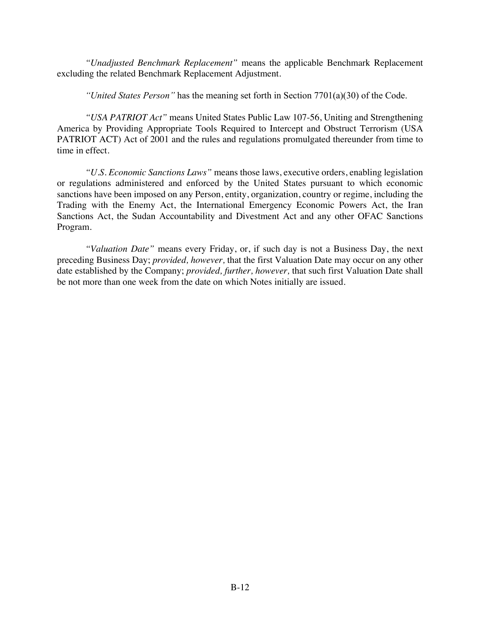*"Unadjusted Benchmark Replacement"* means the applicable Benchmark Replacement excluding the related Benchmark Replacement Adjustment.

*"United States Person"* has the meaning set forth in Section 7701(a)(30) of the Code.

*"USA PATRIOT Act"* means United States Public Law 107-56, Uniting and Strengthening America by Providing Appropriate Tools Required to Intercept and Obstruct Terrorism (USA PATRIOT ACT) Act of 2001 and the rules and regulations promulgated thereunder from time to time in effect.

*"U.S. Economic Sanctions Laws"* means those laws, executive orders, enabling legislation or regulations administered and enforced by the United States pursuant to which economic sanctions have been imposed on any Person, entity, organization, country or regime, including the Trading with the Enemy Act, the International Emergency Economic Powers Act, the Iran Sanctions Act, the Sudan Accountability and Divestment Act and any other OFAC Sanctions Program.

*"Valuation Date"* means every Friday, or, if such day is not a Business Day, the next preceding Business Day; *provided, however,* that the first Valuation Date may occur on any other date established by the Company; *provided, further, however,* that such first Valuation Date shall be not more than one week from the date on which Notes initially are issued.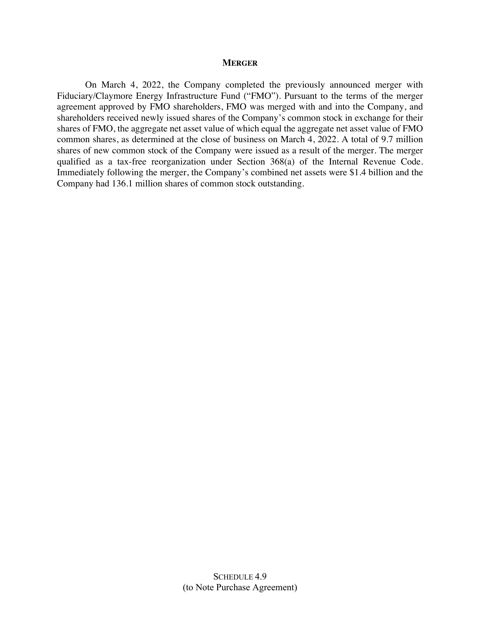#### **MERGER**

On March 4, 2022, the Company completed the previously announced merger with Fiduciary/Claymore Energy Infrastructure Fund ("FMO"). Pursuant to the terms of the merger agreement approved by FMO shareholders, FMO was merged with and into the Company, and shareholders received newly issued shares of the Company's common stock in exchange for their shares of FMO, the aggregate net asset value of which equal the aggregate net asset value of FMO common shares, as determined at the close of business on March 4, 2022. A total of 9.7 million shares of new common stock of the Company were issued as a result of the merger. The merger qualified as a tax-free reorganization under Section 368(a) of the Internal Revenue Code. Immediately following the merger, the Company's combined net assets were \$1.4 billion and the Company had 136.1 million shares of common stock outstanding.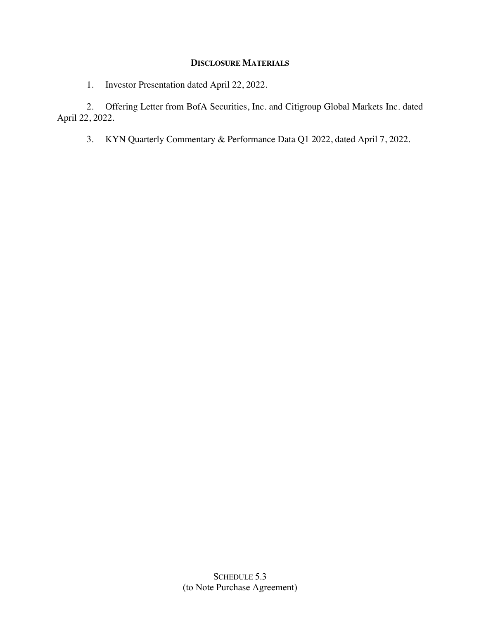#### **DISCLOSURE MATERIALS**

1. Investor Presentation dated April 22, 2022.

2. Offering Letter from BofA Securities, Inc. and Citigroup Global Markets Inc. dated April 22, 2022.

3. KYN Quarterly Commentary & Performance Data Q1 2022, dated April 7, 2022.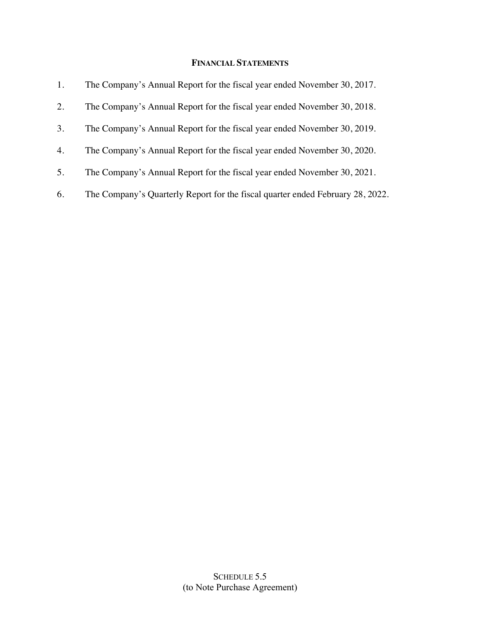### **FINANCIAL STATEMENTS**

| 1. | The Company's Annual Report for the fiscal year ended November 30, 2017.       |
|----|--------------------------------------------------------------------------------|
| 2. | The Company's Annual Report for the fiscal year ended November 30, 2018.       |
| 3. | The Company's Annual Report for the fiscal year ended November 30, 2019.       |
| 4. | The Company's Annual Report for the fiscal year ended November 30, 2020.       |
| 5. | The Company's Annual Report for the fiscal year ended November 30, 2021.       |
| 6. | The Company's Quarterly Report for the fiscal quarter ended February 28, 2022. |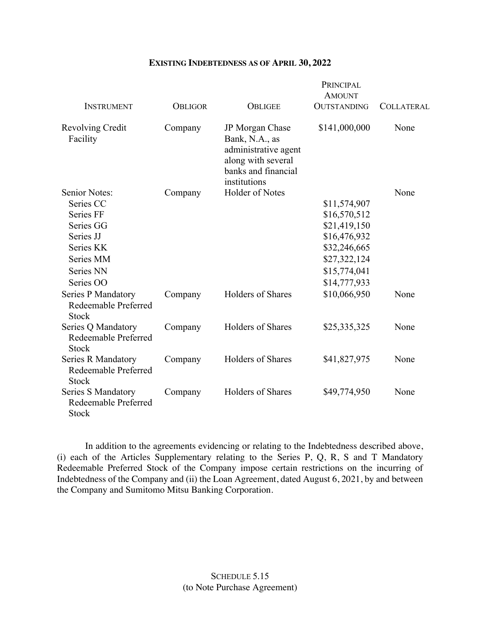#### **EXISTING INDEBTEDNESS AS OF APRIL 30, 2022**

|                                                                                                                              |                |                                                                                                                        | PRINCIPAL<br><b>AMOUNT</b>                                                                                                   |                   |
|------------------------------------------------------------------------------------------------------------------------------|----------------|------------------------------------------------------------------------------------------------------------------------|------------------------------------------------------------------------------------------------------------------------------|-------------------|
| <b>INSTRUMENT</b>                                                                                                            | <b>OBLIGOR</b> | <b>OBLIGEE</b>                                                                                                         | <b>OUTSTANDING</b>                                                                                                           | <b>COLLATERAL</b> |
| Revolving Credit<br>Facility                                                                                                 | Company        | JP Morgan Chase<br>Bank, N.A., as<br>administrative agent<br>along with several<br>banks and financial<br>institutions | \$141,000,000                                                                                                                | None              |
| <b>Senior Notes:</b><br>Series CC<br>Series FF<br>Series GG<br>Series JJ<br>Series KK<br>Series MM<br>Series NN<br>Series OO | Company        | Holder of Notes                                                                                                        | \$11,574,907<br>\$16,570,512<br>\$21,419,150<br>\$16,476,932<br>\$32,246,665<br>\$27,322,124<br>\$15,774,041<br>\$14,777,933 | None              |
| <b>Series P Mandatory</b><br>Redeemable Preferred<br><b>Stock</b>                                                            | Company        | Holders of Shares                                                                                                      | \$10,066,950                                                                                                                 | None              |
| Series Q Mandatory<br>Redeemable Preferred<br><b>Stock</b>                                                                   | Company        | Holders of Shares                                                                                                      | \$25,335,325                                                                                                                 | None              |
| Series R Mandatory<br>Redeemable Preferred<br><b>Stock</b>                                                                   | Company        | Holders of Shares                                                                                                      | \$41,827,975                                                                                                                 | None              |
| Series S Mandatory<br>Redeemable Preferred<br><b>Stock</b>                                                                   | Company        | Holders of Shares                                                                                                      | \$49,774,950                                                                                                                 | None              |

In addition to the agreements evidencing or relating to the Indebtedness described above, (i) each of the Articles Supplementary relating to the Series P, Q, R, S and T Mandatory Redeemable Preferred Stock of the Company impose certain restrictions on the incurring of Indebtedness of the Company and (ii) the Loan Agreement, dated August 6, 2021, by and between the Company and Sumitomo Mitsu Banking Corporation.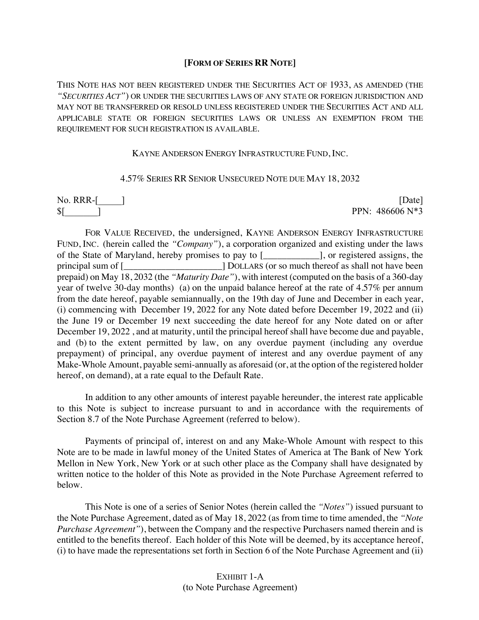#### **[FORM OF SERIES RR NOTE]**

THIS NOTE HAS NOT BEEN REGISTERED UNDER THE SECURITIES ACT OF 1933, AS AMENDED (THE *"SECURITIES ACT"*) OR UNDER THE SECURITIES LAWS OF ANY STATE OR FOREIGN JURISDICTION AND MAY NOT BE TRANSFERRED OR RESOLD UNLESS REGISTERED UNDER THE SECURITIES ACT AND ALL APPLICABLE STATE OR FOREIGN SECURITIES LAWS OR UNLESS AN EXEMPTION FROM THE REQUIREMENT FOR SUCH REGISTRATION IS AVAILABLE.

#### KAYNE ANDERSON ENERGY INFRASTRUCTURE FUND, INC.

#### 4.57% SERIES RR SENIOR UNSECURED NOTE DUE MAY 18, 2032

No. RRR-[\_\_\_\_\_\_] [Date]

 $\[\$$ [ ] PPN: 486606 N\*3

FOR VALUE RECEIVED, the undersigned, KAYNE ANDERSON ENERGY INFRASTRUCTURE FUND, INC. (herein called the *"Company"*), a corporation organized and existing under the laws of the State of Maryland, hereby promises to pay to [equilibraryle negative negative negative negative negative negative negative negative negative negative negative negative negative negative negative negative negative ne principal sum of [\_\_\_\_\_\_\_\_\_\_\_\_\_\_\_\_\_\_\_\_\_\_\_] DOLLARS (or so much thereof as shall not have been prepaid) on May 18, 2032 (the *"Maturity Date"*), with interest (computed on the basis of a 360-day year of twelve 30-day months) (a) on the unpaid balance hereof at the rate of 4.57% per annum from the date hereof, payable semiannually, on the 19th day of June and December in each year, (i) commencing with December 19, 2022 for any Note dated before December 19, 2022 and (ii) the June 19 or December 19 next succeeding the date hereof for any Note dated on or after December 19, 2022 , and at maturity, until the principal hereof shall have become due and payable, and (b) to the extent permitted by law, on any overdue payment (including any overdue prepayment) of principal, any overdue payment of interest and any overdue payment of any Make-Whole Amount, payable semi-annually as aforesaid (or, at the option of the registered holder hereof, on demand), at a rate equal to the Default Rate.

In addition to any other amounts of interest payable hereunder, the interest rate applicable to this Note is subject to increase pursuant to and in accordance with the requirements of Section 8.7 of the Note Purchase Agreement (referred to below).

Payments of principal of, interest on and any Make-Whole Amount with respect to this Note are to be made in lawful money of the United States of America at The Bank of New York Mellon in New York, New York or at such other place as the Company shall have designated by written notice to the holder of this Note as provided in the Note Purchase Agreement referred to below.

This Note is one of a series of Senior Notes (herein called the *"Notes"*) issued pursuant to the Note Purchase Agreement, dated as of May 18, 2022 (as from time to time amended, the *"Note Purchase Agreement"*), between the Company and the respective Purchasers named therein and is entitled to the benefits thereof. Each holder of this Note will be deemed, by its acceptance hereof, (i) to have made the representations set forth in Section 6 of the Note Purchase Agreement and (ii)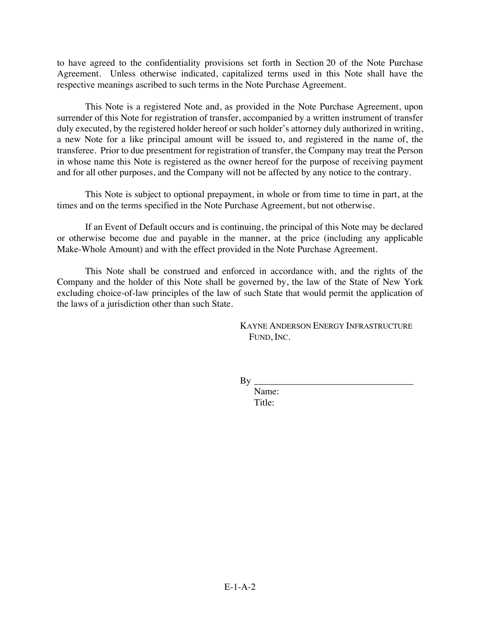to have agreed to the confidentiality provisions set forth in Section 20 of the Note Purchase Agreement. Unless otherwise indicated, capitalized terms used in this Note shall have the respective meanings ascribed to such terms in the Note Purchase Agreement.

This Note is a registered Note and, as provided in the Note Purchase Agreement, upon surrender of this Note for registration of transfer, accompanied by a written instrument of transfer duly executed, by the registered holder hereof or such holder's attorney duly authorized in writing, a new Note for a like principal amount will be issued to, and registered in the name of, the transferee. Prior to due presentment for registration of transfer, the Company may treat the Person in whose name this Note is registered as the owner hereof for the purpose of receiving payment and for all other purposes, and the Company will not be affected by any notice to the contrary.

This Note is subject to optional prepayment, in whole or from time to time in part, at the times and on the terms specified in the Note Purchase Agreement, but not otherwise.

If an Event of Default occurs and is continuing, the principal of this Note may be declared or otherwise become due and payable in the manner, at the price (including any applicable Make-Whole Amount) and with the effect provided in the Note Purchase Agreement.

This Note shall be construed and enforced in accordance with, and the rights of the Company and the holder of this Note shall be governed by, the law of the State of New York excluding choice-of-law principles of the law of such State that would permit the application of the laws of a jurisdiction other than such State.

> KAYNE ANDERSON ENERGY INFRASTRUCTURE FUND, INC.

By \_\_\_\_\_\_\_\_\_\_\_\_\_\_\_\_\_\_\_\_\_\_\_\_\_\_\_\_\_\_\_\_\_\_

Name: Title: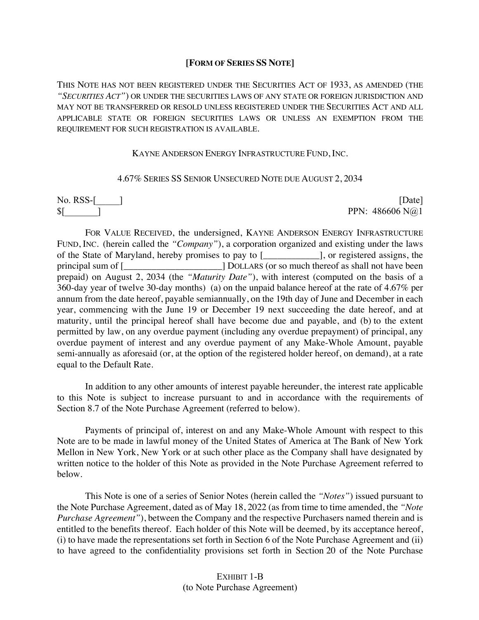#### **[FORM OF SERIES SS NOTE]**

THIS NOTE HAS NOT BEEN REGISTERED UNDER THE SECURITIES ACT OF 1933, AS AMENDED (THE *"SECURITIES ACT"*) OR UNDER THE SECURITIES LAWS OF ANY STATE OR FOREIGN JURISDICTION AND MAY NOT BE TRANSFERRED OR RESOLD UNLESS REGISTERED UNDER THE SECURITIES ACT AND ALL APPLICABLE STATE OR FOREIGN SECURITIES LAWS OR UNLESS AN EXEMPTION FROM THE REQUIREMENT FOR SUCH REGISTRATION IS AVAILABLE.

#### KAYNE ANDERSON ENERGY INFRASTRUCTURE FUND, INC.

#### 4.67% SERIES SS SENIOR UNSECURED NOTE DUE AUGUST 2, 2034

No. RSS-[\_\_\_\_\_] [Date]  $\mathbb{S}$ [ ] PPN: 486606 N $@1$ 

FOR VALUE RECEIVED, the undersigned, KAYNE ANDERSON ENERGY INFRASTRUCTURE FUND, INC. (herein called the *"Company"*), a corporation organized and existing under the laws of the State of Maryland, hereby promises to pay to [equilibrary l, or registered assigns, the principal sum of  $\lbrack$ prepaid) on August 2, 2034 (the *"Maturity Date"*), with interest (computed on the basis of a 360-day year of twelve 30-day months) (a) on the unpaid balance hereof at the rate of 4.67% per annum from the date hereof, payable semiannually, on the 19th day of June and December in each year, commencing with the June 19 or December 19 next succeeding the date hereof, and at maturity, until the principal hereof shall have become due and payable, and (b) to the extent permitted by law, on any overdue payment (including any overdue prepayment) of principal, any overdue payment of interest and any overdue payment of any Make-Whole Amount, payable semi-annually as aforesaid (or, at the option of the registered holder hereof, on demand), at a rate equal to the Default Rate.

In addition to any other amounts of interest payable hereunder, the interest rate applicable to this Note is subject to increase pursuant to and in accordance with the requirements of Section 8.7 of the Note Purchase Agreement (referred to below).

Payments of principal of, interest on and any Make-Whole Amount with respect to this Note are to be made in lawful money of the United States of America at The Bank of New York Mellon in New York, New York or at such other place as the Company shall have designated by written notice to the holder of this Note as provided in the Note Purchase Agreement referred to below.

This Note is one of a series of Senior Notes (herein called the *"Notes"*) issued pursuant to the Note Purchase Agreement, dated as of May 18, 2022 (as from time to time amended, the *"Note Purchase Agreement"*), between the Company and the respective Purchasers named therein and is entitled to the benefits thereof. Each holder of this Note will be deemed, by its acceptance hereof, (i) to have made the representations set forth in Section 6 of the Note Purchase Agreement and (ii) to have agreed to the confidentiality provisions set forth in Section 20 of the Note Purchase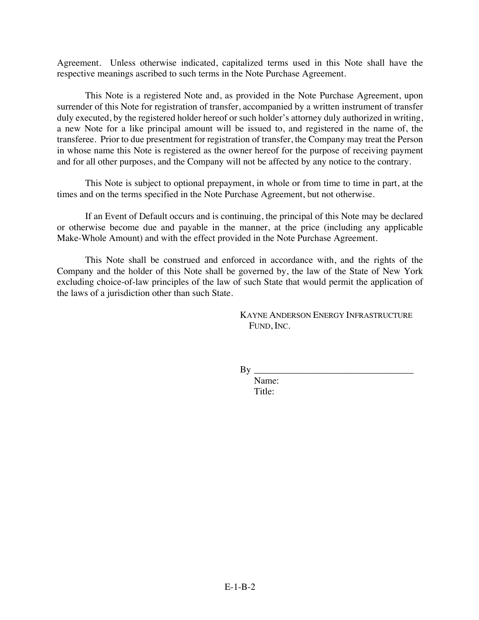Agreement. Unless otherwise indicated, capitalized terms used in this Note shall have the respective meanings ascribed to such terms in the Note Purchase Agreement.

This Note is a registered Note and, as provided in the Note Purchase Agreement, upon surrender of this Note for registration of transfer, accompanied by a written instrument of transfer duly executed, by the registered holder hereof or such holder's attorney duly authorized in writing, a new Note for a like principal amount will be issued to, and registered in the name of, the transferee. Prior to due presentment for registration of transfer, the Company may treat the Person in whose name this Note is registered as the owner hereof for the purpose of receiving payment and for all other purposes, and the Company will not be affected by any notice to the contrary.

This Note is subject to optional prepayment, in whole or from time to time in part, at the times and on the terms specified in the Note Purchase Agreement, but not otherwise.

If an Event of Default occurs and is continuing, the principal of this Note may be declared or otherwise become due and payable in the manner, at the price (including any applicable Make-Whole Amount) and with the effect provided in the Note Purchase Agreement.

This Note shall be construed and enforced in accordance with, and the rights of the Company and the holder of this Note shall be governed by, the law of the State of New York excluding choice-of-law principles of the law of such State that would permit the application of the laws of a jurisdiction other than such State.

> KAYNE ANDERSON ENERGY INFRASTRUCTURE FUND, INC.

 $By \_\_$ 

Name: Title: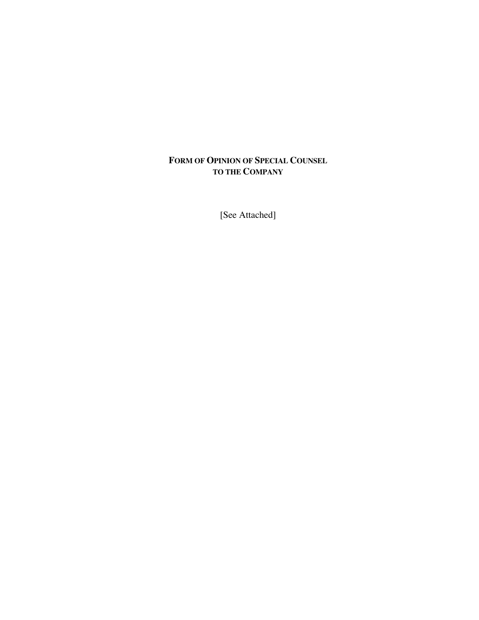### **FORM OF OPINION OF SPECIAL COUNSEL TO THE COMPANY**

[See Attached]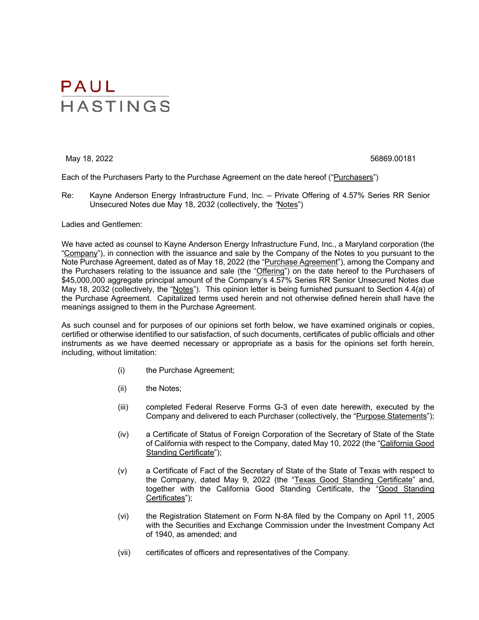May 18, 2022 56869.00181

Each of the Purchasers Party to the Purchase Agreement on the date hereof ("Purchasers")

Re: Kayne Anderson Energy Infrastructure Fund, Inc. – Private Offering of 4.57% Series RR Senior Unsecured Notes due May 18, 2032 (collectively, the *"*Notes")

Ladies and Gentlemen:

We have acted as counsel to Kayne Anderson Energy Infrastructure Fund, Inc., a Maryland corporation (the "Company"), in connection with the issuance and sale by the Company of the Notes to you pursuant to the Note Purchase Agreement, dated as of May 18, 2022 (the "Purchase Agreement"), among the Company and the Purchasers relating to the issuance and sale (the "Offering") on the date hereof to the Purchasers of \$45,000,000 aggregate principal amount of the Company's 4.57% Series RR Senior Unsecured Notes due May 18, 2032 (collectively, the "Notes"). This opinion letter is being furnished pursuant to Section 4.4(a) of the Purchase Agreement. Capitalized terms used herein and not otherwise defined herein shall have the meanings assigned to them in the Purchase Agreement.

As such counsel and for purposes of our opinions set forth below, we have examined originals or copies, certified or otherwise identified to our satisfaction, of such documents, certificates of public officials and other instruments as we have deemed necessary or appropriate as a basis for the opinions set forth herein, including, without limitation:

- (i) the Purchase Agreement;
- (ii) the Notes;
- (iii) completed Federal Reserve Forms G-3 of even date herewith, executed by the Company and delivered to each Purchaser (collectively, the "Purpose Statements");
- (iv) a Certificate of Status of Foreign Corporation of the Secretary of State of the State of California with respect to the Company, dated May 10, 2022 (the "California Good Standing Certificate");
- (v) a Certificate of Fact of the Secretary of State of the State of Texas with respect to the Company, dated May 9, 2022 (the "Texas Good Standing Certificate" and, together with the California Good Standing Certificate, the "Good Standing Certificates");
- (vi) the Registration Statement on Form N-8A filed by the Company on April 11, 2005 with the Securities and Exchange Commission under the Investment Company Act of 1940, as amended; and
- (vii) certificates of officers and representatives of the Company.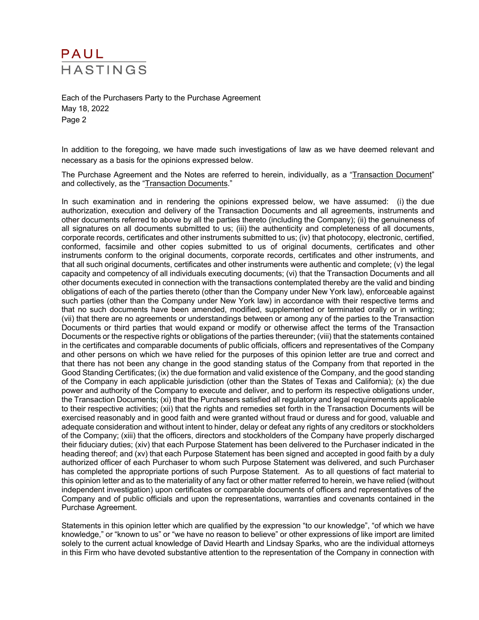Each of the Purchasers Party to the Purchase Agreement May 18, 2022 Page 2

In addition to the foregoing, we have made such investigations of law as we have deemed relevant and necessary as a basis for the opinions expressed below.

The Purchase Agreement and the Notes are referred to herein, individually, as a "Transaction Document" and collectively, as the "Transaction Documents."

In such examination and in rendering the opinions expressed below, we have assumed: (i) the due authorization, execution and delivery of the Transaction Documents and all agreements, instruments and other documents referred to above by all the parties thereto (including the Company); (ii) the genuineness of all signatures on all documents submitted to us; (iii) the authenticity and completeness of all documents, corporate records, certificates and other instruments submitted to us; (iv) that photocopy, electronic, certified, conformed, facsimile and other copies submitted to us of original documents, certificates and other instruments conform to the original documents, corporate records, certificates and other instruments, and that all such original documents, certificates and other instruments were authentic and complete; (v) the legal capacity and competency of all individuals executing documents; (vi) that the Transaction Documents and all other documents executed in connection with the transactions contemplated thereby are the valid and binding obligations of each of the parties thereto (other than the Company under New York law), enforceable against such parties (other than the Company under New York law) in accordance with their respective terms and that no such documents have been amended, modified, supplemented or terminated orally or in writing; (vii) that there are no agreements or understandings between or among any of the parties to the Transaction Documents or third parties that would expand or modify or otherwise affect the terms of the Transaction Documents or the respective rights or obligations of the parties thereunder; (viii) that the statements contained in the certificates and comparable documents of public officials, officers and representatives of the Company and other persons on which we have relied for the purposes of this opinion letter are true and correct and that there has not been any change in the good standing status of the Company from that reported in the Good Standing Certificates; (ix) the due formation and valid existence of the Company, and the good standing of the Company in each applicable jurisdiction (other than the States of Texas and California); (x) the due power and authority of the Company to execute and deliver, and to perform its respective obligations under, the Transaction Documents; (xi) that the Purchasers satisfied all regulatory and legal requirements applicable to their respective activities; (xii) that the rights and remedies set forth in the Transaction Documents will be exercised reasonably and in good faith and were granted without fraud or duress and for good, valuable and adequate consideration and without intent to hinder, delay or defeat any rights of any creditors or stockholders of the Company; (xiii) that the officers, directors and stockholders of the Company have properly discharged their fiduciary duties; (xiv) that each Purpose Statement has been delivered to the Purchaser indicated in the heading thereof; and (xv) that each Purpose Statement has been signed and accepted in good faith by a duly authorized officer of each Purchaser to whom such Purpose Statement was delivered, and such Purchaser has completed the appropriate portions of such Purpose Statement. As to all questions of fact material to this opinion letter and as to the materiality of any fact or other matter referred to herein, we have relied (without independent investigation) upon certificates or comparable documents of officers and representatives of the Company and of public officials and upon the representations, warranties and covenants contained in the Purchase Agreement.

Statements in this opinion letter which are qualified by the expression "to our knowledge", "of which we have knowledge," or "known to us" or "we have no reason to believe" or other expressions of like import are limited solely to the current actual knowledge of David Hearth and Lindsay Sparks, who are the individual attorneys in this Firm who have devoted substantive attention to the representation of the Company in connection with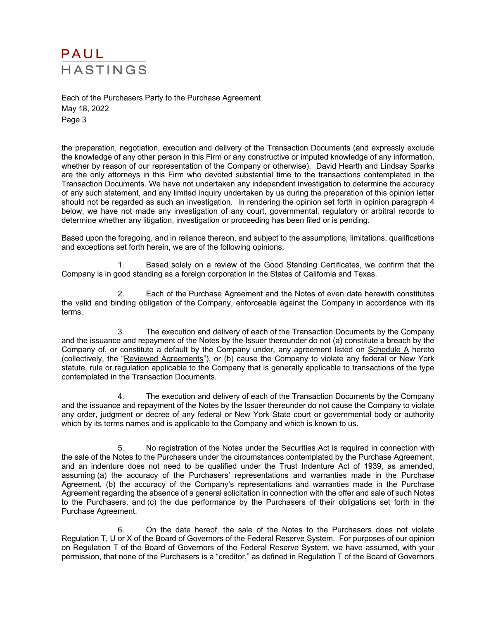Each of the Purchasers Party to the Purchase Agreement May 18, 2022 Page 3

the preparation, negotiation, execution and delivery of the Transaction Documents (and expressly exclude the knowledge of any other person in this Firm or any constructive or imputed knowledge of any information, whether by reason of our representation of the Company or otherwise). David Hearth and Lindsay Sparks are the only attorneys in this Firm who devoted substantial time to the transactions contemplated in the Transaction Documents. We have not undertaken any independent investigation to determine the accuracy of any such statement, and any limited inquiry undertaken by us during the preparation of this opinion letter should not be regarded as such an investigation. In rendering the opinion set forth in opinion paragraph 4 below, we have not made any investigation of any court, governmental, regulatory or arbitral records to determine whether any litigation, investigation or proceeding has been filed or is pending.

Based upon the foregoing, and in reliance thereon, and subject to the assumptions, limitations, qualifications and exceptions set forth herein, we are of the following opinions:

1. Based solely on a review of the Good Standing Certificates, we confirm that the Company is in good standing as a foreign corporation in the States of California and Texas.

2. Each of the Purchase Agreement and the Notes of even date herewith constitutes the valid and binding obligation of the Company, enforceable against the Company in accordance with its terms.

3. The execution and delivery of each of the Transaction Documents by the Company and the issuance and repayment of the Notes by the Issuer thereunder do not (a) constitute a breach by the Company of, or constitute a default by the Company under, any agreement listed on Schedule A hereto (collectively, the "Reviewed Agreements"), or (b) cause the Company to violate any federal or New York statute, rule or regulation applicable to the Company that is generally applicable to transactions of the type contemplated in the Transaction Documents.

4. The execution and delivery of each of the Transaction Documents by the Company and the issuance and repayment of the Notes by the Issuer thereunder do not cause the Company to violate any order, judgment or decree of any federal or New York State court or governmental body or authority which by its terms names and is applicable to the Company and which is known to us.

5. No registration of the Notes under the Securities Act is required in connection with the sale of the Notes to the Purchasers under the circumstances contemplated by the Purchase Agreement, and an indenture does not need to be qualified under the Trust Indenture Act of 1939, as amended, assuming (a) the accuracy of the Purchasers' representations and warranties made in the Purchase Agreement, (b) the accuracy of the Company's representations and warranties made in the Purchase Agreement regarding the absence of a general solicitation in connection with the offer and sale of such Notes to the Purchasers, and (c) the due performance by the Purchasers of their obligations set forth in the Purchase Agreement.

6. On the date hereof, the sale of the Notes to the Purchasers does not violate Regulation T, U or X of the Board of Governors of the Federal Reserve System. For purposes of our opinion on Regulation T of the Board of Governors of the Federal Reserve System, we have assumed, with your permission, that none of the Purchasers is a "creditor," as defined in Regulation T of the Board of Governors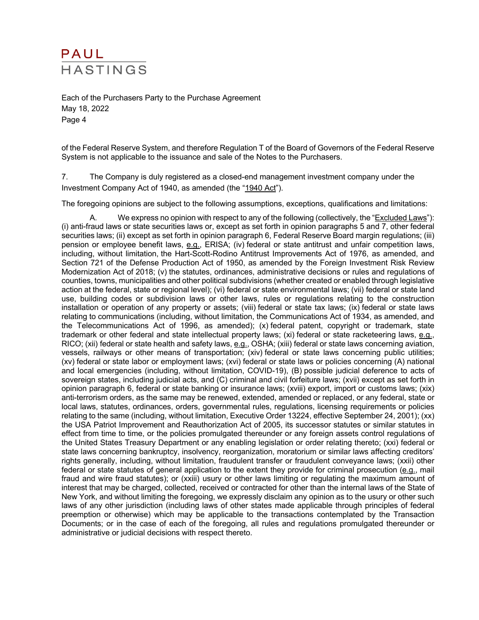Each of the Purchasers Party to the Purchase Agreement May 18, 2022 Page 4

of the Federal Reserve System, and therefore Regulation T of the Board of Governors of the Federal Reserve System is not applicable to the issuance and sale of the Notes to the Purchasers.

7. The Company is duly registered as a closed-end management investment company under the Investment Company Act of 1940, as amended (the "1940 Act").

The foregoing opinions are subject to the following assumptions, exceptions, qualifications and limitations:

A. We express no opinion with respect to any of the following (collectively, the "Excluded Laws"): (i) anti-fraud laws or state securities laws or, except as set forth in opinion paragraphs 5 and 7, other federal securities laws; (ii) except as set forth in opinion paragraph 6, Federal Reserve Board margin regulations; (iii) pension or employee benefit laws, e.g., ERISA; (iv) federal or state antitrust and unfair competition laws, including, without limitation, the Hart-Scott-Rodino Antitrust Improvements Act of 1976, as amended, and Section 721 of the Defense Production Act of 1950, as amended by the Foreign Investment Risk Review Modernization Act of 2018; (v) the statutes, ordinances, administrative decisions or rules and regulations of counties, towns, municipalities and other political subdivisions (whether created or enabled through legislative action at the federal, state or regional level); (vi) federal or state environmental laws; (vii) federal or state land use, building codes or subdivision laws or other laws, rules or regulations relating to the construction installation or operation of any property or assets; (viii) federal or state tax laws; (ix) federal or state laws relating to communications (including, without limitation, the Communications Act of 1934, as amended, and the Telecommunications Act of 1996, as amended); (x) federal patent, copyright or trademark, state trademark or other federal and state intellectual property laws; (xi) federal or state racketeering laws, e.g., RICO; (xii) federal or state health and safety laws, e.g., OSHA; (xiii) federal or state laws concerning aviation, vessels, railways or other means of transportation; (xiv) federal or state laws concerning public utilities; (xv) federal or state labor or employment laws; (xvi) federal or state laws or policies concerning (A) national and local emergencies (including, without limitation, COVID-19), (B) possible judicial deference to acts of sovereign states, including judicial acts, and (C) criminal and civil forfeiture laws; (xvii) except as set forth in opinion paragraph 6, federal or state banking or insurance laws; (xviii) export, import or customs laws; (xix) anti-terrorism orders, as the same may be renewed, extended, amended or replaced, or any federal, state or local laws, statutes, ordinances, orders, governmental rules, regulations, licensing requirements or policies relating to the same (including, without limitation, Executive Order 13224, effective September 24, 2001); (xx) the USA Patriot Improvement and Reauthorization Act of 2005, its successor statutes or similar statutes in effect from time to time, or the policies promulgated thereunder or any foreign assets control regulations of the United States Treasury Department or any enabling legislation or order relating thereto; (xxi) federal or state laws concerning bankruptcy, insolvency, reorganization, moratorium or similar laws affecting creditors' rights generally, including, without limitation, fraudulent transfer or fraudulent conveyance laws; (xxii) other federal or state statutes of general application to the extent they provide for criminal prosecution (e.g., mail fraud and wire fraud statutes); or (xxiii) usury or other laws limiting or regulating the maximum amount of interest that may be charged, collected, received or contracted for other than the internal laws of the State of New York, and without limiting the foregoing, we expressly disclaim any opinion as to the usury or other such laws of any other jurisdiction (including laws of other states made applicable through principles of federal preemption or otherwise) which may be applicable to the transactions contemplated by the Transaction Documents; or in the case of each of the foregoing, all rules and regulations promulgated thereunder or administrative or judicial decisions with respect thereto.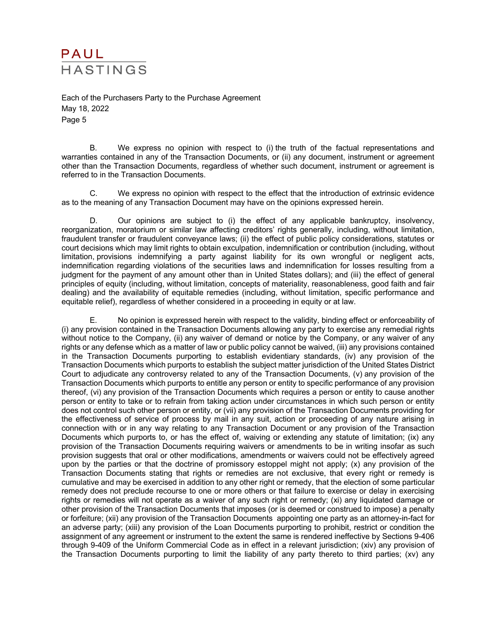Each of the Purchasers Party to the Purchase Agreement May 18, 2022 Page 5

B. We express no opinion with respect to (i) the truth of the factual representations and warranties contained in any of the Transaction Documents, or (ii) any document, instrument or agreement other than the Transaction Documents, regardless of whether such document, instrument or agreement is referred to in the Transaction Documents.

C. We express no opinion with respect to the effect that the introduction of extrinsic evidence as to the meaning of any Transaction Document may have on the opinions expressed herein.

D. Our opinions are subject to (i) the effect of any applicable bankruptcy, insolvency, reorganization, moratorium or similar law affecting creditors' rights generally, including, without limitation, fraudulent transfer or fraudulent conveyance laws; (ii) the effect of public policy considerations, statutes or court decisions which may limit rights to obtain exculpation, indemnification or contribution (including, without limitation, provisions indemnifying a party against liability for its own wrongful or negligent acts, indemnification regarding violations of the securities laws and indemnification for losses resulting from a judgment for the payment of any amount other than in United States dollars); and (iii) the effect of general principles of equity (including, without limitation, concepts of materiality, reasonableness, good faith and fair dealing) and the availability of equitable remedies (including, without limitation, specific performance and equitable relief), regardless of whether considered in a proceeding in equity or at law.

E. No opinion is expressed herein with respect to the validity, binding effect or enforceability of (i) any provision contained in the Transaction Documents allowing any party to exercise any remedial rights without notice to the Company, (ii) any waiver of demand or notice by the Company, or any waiver of any rights or any defense which as a matter of law or public policy cannot be waived, (iii) any provisions contained in the Transaction Documents purporting to establish evidentiary standards, (iv) any provision of the Transaction Documents which purports to establish the subject matter jurisdiction of the United States District Court to adjudicate any controversy related to any of the Transaction Documents, (v) any provision of the Transaction Documents which purports to entitle any person or entity to specific performance of any provision thereof, (vi) any provision of the Transaction Documents which requires a person or entity to cause another person or entity to take or to refrain from taking action under circumstances in which such person or entity does not control such other person or entity, or (vii) any provision of the Transaction Documents providing for the effectiveness of service of process by mail in any suit, action or proceeding of any nature arising in connection with or in any way relating to any Transaction Document or any provision of the Transaction Documents which purports to, or has the effect of, waiving or extending any statute of limitation; (ix) any provision of the Transaction Documents requiring waivers or amendments to be in writing insofar as such provision suggests that oral or other modifications, amendments or waivers could not be effectively agreed upon by the parties or that the doctrine of promissory estoppel might not apply; (x) any provision of the Transaction Documents stating that rights or remedies are not exclusive, that every right or remedy is cumulative and may be exercised in addition to any other right or remedy, that the election of some particular remedy does not preclude recourse to one or more others or that failure to exercise or delay in exercising rights or remedies will not operate as a waiver of any such right or remedy; (xi) any liquidated damage or other provision of the Transaction Documents that imposes (or is deemed or construed to impose) a penalty or forfeiture; (xii) any provision of the Transaction Documents appointing one party as an attorney-in-fact for an adverse party; (xiii) any provision of the Loan Documents purporting to prohibit, restrict or condition the assignment of any agreement or instrument to the extent the same is rendered ineffective by Sections 9-406 through 9-409 of the Uniform Commercial Code as in effect in a relevant jurisdiction; (xiv) any provision of the Transaction Documents purporting to limit the liability of any party thereto to third parties; (xv) any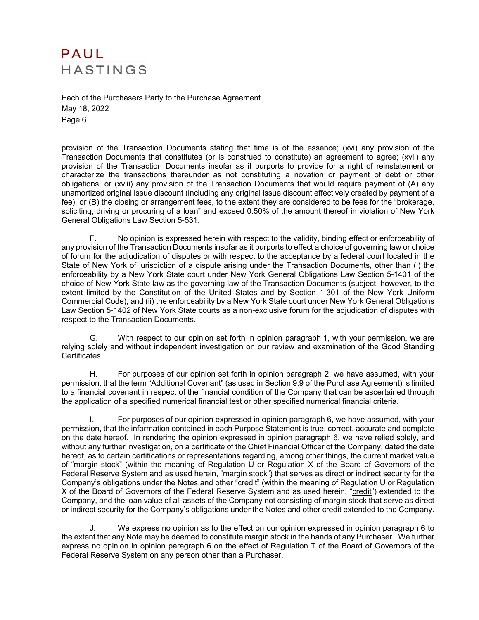Each of the Purchasers Party to the Purchase Agreement May 18, 2022 Page 6

provision of the Transaction Documents stating that time is of the essence; (xvi) any provision of the Transaction Documents that constitutes (or is construed to constitute) an agreement to agree; (xvii) any provision of the Transaction Documents insofar as it purports to provide for a right of reinstatement or characterize the transactions thereunder as not constituting a novation or payment of debt or other obligations; or (xviii) any provision of the Transaction Documents that would require payment of (A) any unamortized original issue discount (including any original issue discount effectively created by payment of a fee), or (B) the closing or arrangement fees, to the extent they are considered to be fees for the "brokerage, soliciting, driving or procuring of a loan" and exceed 0.50% of the amount thereof in violation of New York General Obligations Law Section 5-531.

F. No opinion is expressed herein with respect to the validity, binding effect or enforceability of any provision of the Transaction Documents insofar as it purports to effect a choice of governing law or choice of forum for the adjudication of disputes or with respect to the acceptance by a federal court located in the State of New York of jurisdiction of a dispute arising under the Transaction Documents, other than (i) the enforceability by a New York State court under New York General Obligations Law Section 5-1401 of the choice of New York State law as the governing law of the Transaction Documents (subject, however, to the extent limited by the Constitution of the United States and by Section 1-301 of the New York Uniform Commercial Code), and (ii) the enforceability by a New York State court under New York General Obligations Law Section 5-1402 of New York State courts as a non-exclusive forum for the adjudication of disputes with respect to the Transaction Documents.

G. With respect to our opinion set forth in opinion paragraph 1, with your permission, we are relying solely and without independent investigation on our review and examination of the Good Standing Certificates.

H. For purposes of our opinion set forth in opinion paragraph 2, we have assumed, with your permission, that the term "Additional Covenant" (as used in Section 9.9 of the Purchase Agreement) is limited to a financial covenant in respect of the financial condition of the Company that can be ascertained through the application of a specified numerical financial test or other specified numerical financial criteria.

I. For purposes of our opinion expressed in opinion paragraph 6, we have assumed, with your permission, that the information contained in each Purpose Statement is true, correct, accurate and complete on the date hereof. In rendering the opinion expressed in opinion paragraph 6, we have relied solely, and without any further investigation, on a certificate of the Chief Financial Officer of the Company, dated the date hereof, as to certain certifications or representations regarding, among other things, the current market value of "margin stock" (within the meaning of Regulation U or Regulation X of the Board of Governors of the Federal Reserve System and as used herein, "margin stock") that serves as direct or indirect security for the Company's obligations under the Notes and other "credit" (within the meaning of Regulation U or Regulation X of the Board of Governors of the Federal Reserve System and as used herein, "credit") extended to the Company, and the loan value of all assets of the Company not consisting of margin stock that serve as direct or indirect security for the Company's obligations under the Notes and other credit extended to the Company.

J. We express no opinion as to the effect on our opinion expressed in opinion paragraph 6 to the extent that any Note may be deemed to constitute margin stock in the hands of any Purchaser. We further express no opinion in opinion paragraph 6 on the effect of Regulation T of the Board of Governors of the Federal Reserve System on any person other than a Purchaser.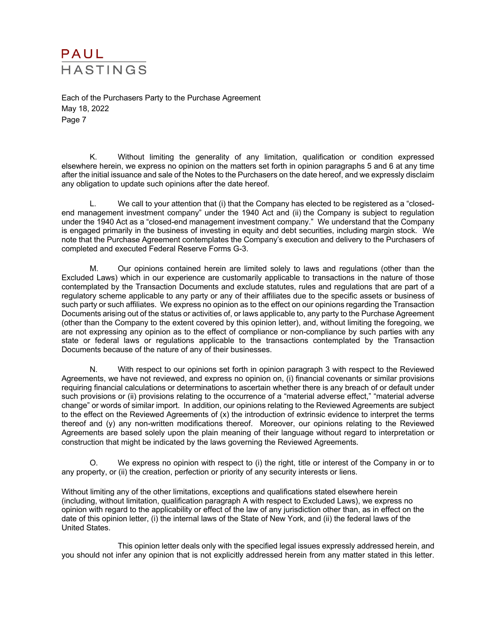Each of the Purchasers Party to the Purchase Agreement May 18, 2022 Page 7

K. Without limiting the generality of any limitation, qualification or condition expressed elsewhere herein, we express no opinion on the matters set forth in opinion paragraphs 5 and 6 at any time after the initial issuance and sale of the Notes to the Purchasers on the date hereof, and we expressly disclaim any obligation to update such opinions after the date hereof.

L. We call to your attention that (i) that the Company has elected to be registered as a "closedend management investment company" under the 1940 Act and (ii) the Company is subject to regulation under the 1940 Act as a "closed-end management investment company." We understand that the Company is engaged primarily in the business of investing in equity and debt securities, including margin stock. We note that the Purchase Agreement contemplates the Company's execution and delivery to the Purchasers of completed and executed Federal Reserve Forms G-3.

M. Our opinions contained herein are limited solely to laws and regulations (other than the Excluded Laws) which in our experience are customarily applicable to transactions in the nature of those contemplated by the Transaction Documents and exclude statutes, rules and regulations that are part of a regulatory scheme applicable to any party or any of their affiliates due to the specific assets or business of such party or such affiliates. We express no opinion as to the effect on our opinions regarding the Transaction Documents arising out of the status or activities of, or laws applicable to, any party to the Purchase Agreement (other than the Company to the extent covered by this opinion letter), and, without limiting the foregoing, we are not expressing any opinion as to the effect of compliance or non-compliance by such parties with any state or federal laws or regulations applicable to the transactions contemplated by the Transaction Documents because of the nature of any of their businesses.

N. With respect to our opinions set forth in opinion paragraph 3 with respect to the Reviewed Agreements, we have not reviewed, and express no opinion on, (i) financial covenants or similar provisions requiring financial calculations or determinations to ascertain whether there is any breach of or default under such provisions or (ii) provisions relating to the occurrence of a "material adverse effect," "material adverse change" or words of similar import. In addition, our opinions relating to the Reviewed Agreements are subject to the effect on the Reviewed Agreements of (x) the introduction of extrinsic evidence to interpret the terms thereof and (y) any non-written modifications thereof. Moreover, our opinions relating to the Reviewed Agreements are based solely upon the plain meaning of their language without regard to interpretation or construction that might be indicated by the laws governing the Reviewed Agreements.

O. We express no opinion with respect to (i) the right, title or interest of the Company in or to any property, or (ii) the creation, perfection or priority of any security interests or liens.

Without limiting any of the other limitations, exceptions and qualifications stated elsewhere herein (including, without limitation, qualification paragraph A with respect to Excluded Laws), we express no opinion with regard to the applicability or effect of the law of any jurisdiction other than, as in effect on the date of this opinion letter, (i) the internal laws of the State of New York, and (ii) the federal laws of the United States.

This opinion letter deals only with the specified legal issues expressly addressed herein, and you should not infer any opinion that is not explicitly addressed herein from any matter stated in this letter.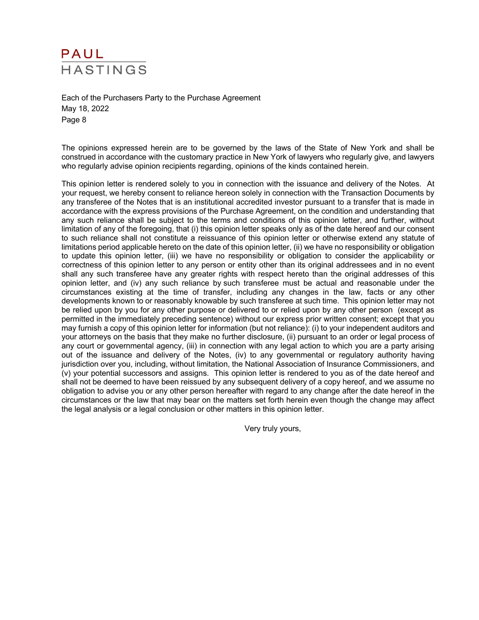# PAUL **HASTINGS**

Each of the Purchasers Party to the Purchase Agreement May 18, 2022 Page 8

The opinions expressed herein are to be governed by the laws of the State of New York and shall be construed in accordance with the customary practice in New York of lawyers who regularly give, and lawyers who regularly advise opinion recipients regarding, opinions of the kinds contained herein.

This opinion letter is rendered solely to you in connection with the issuance and delivery of the Notes. At your request, we hereby consent to reliance hereon solely in connection with the Transaction Documents by any transferee of the Notes that is an institutional accredited investor pursuant to a transfer that is made in accordance with the express provisions of the Purchase Agreement, on the condition and understanding that any such reliance shall be subject to the terms and conditions of this opinion letter, and further, without limitation of any of the foregoing, that (i) this opinion letter speaks only as of the date hereof and our consent to such reliance shall not constitute a reissuance of this opinion letter or otherwise extend any statute of limitations period applicable hereto on the date of this opinion letter, (ii) we have no responsibility or obligation to update this opinion letter, (iii) we have no responsibility or obligation to consider the applicability or correctness of this opinion letter to any person or entity other than its original addressees and in no event shall any such transferee have any greater rights with respect hereto than the original addresses of this opinion letter, and (iv) any such reliance by such transferee must be actual and reasonable under the circumstances existing at the time of transfer, including any changes in the law, facts or any other developments known to or reasonably knowable by such transferee at such time. This opinion letter may not be relied upon by you for any other purpose or delivered to or relied upon by any other person (except as permitted in the immediately preceding sentence) without our express prior written consent; except that you may furnish a copy of this opinion letter for information (but not reliance): (i) to your independent auditors and your attorneys on the basis that they make no further disclosure, (ii) pursuant to an order or legal process of any court or governmental agency, (iii) in connection with any legal action to which you are a party arising out of the issuance and delivery of the Notes, (iv) to any governmental or regulatory authority having jurisdiction over you, including, without limitation, the National Association of Insurance Commissioners, and (v) your potential successors and assigns. This opinion letter is rendered to you as of the date hereof and shall not be deemed to have been reissued by any subsequent delivery of a copy hereof, and we assume no obligation to advise you or any other person hereafter with regard to any change after the date hereof in the circumstances or the law that may bear on the matters set forth herein even though the change may affect the legal analysis or a legal conclusion or other matters in this opinion letter.

Very truly yours,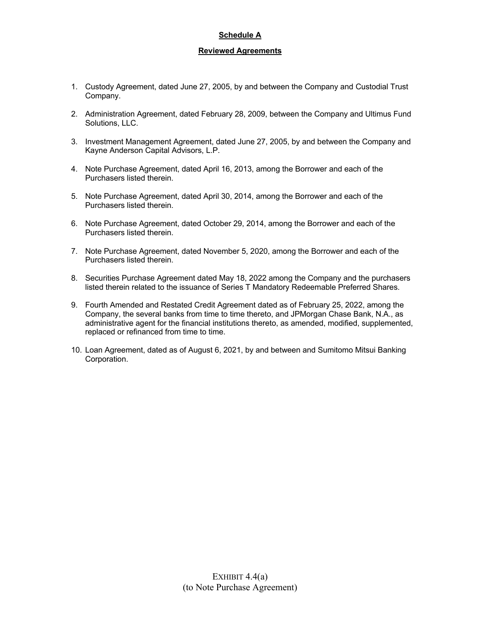#### **Schedule A**

#### **Reviewed Agreements**

- 1. Custody Agreement, dated June 27, 2005, by and between the Company and Custodial Trust Company.
- 2. Administration Agreement, dated February 28, 2009, between the Company and Ultimus Fund Solutions, LLC.
- 3. Investment Management Agreement, dated June 27, 2005, by and between the Company and Kayne Anderson Capital Advisors, L.P.
- 4. Note Purchase Agreement, dated April 16, 2013, among the Borrower and each of the Purchasers listed therein.
- 5. Note Purchase Agreement, dated April 30, 2014, among the Borrower and each of the Purchasers listed therein.
- 6. Note Purchase Agreement, dated October 29, 2014, among the Borrower and each of the Purchasers listed therein.
- 7. Note Purchase Agreement, dated November 5, 2020, among the Borrower and each of the Purchasers listed therein.
- 8. Securities Purchase Agreement dated May 18, 2022 among the Company and the purchasers listed therein related to the issuance of Series T Mandatory Redeemable Preferred Shares.
- 9. Fourth Amended and Restated Credit Agreement dated as of February 25, 2022, among the Company, the several banks from time to time thereto, and JPMorgan Chase Bank, N.A., as administrative agent for the financial institutions thereto, as amended, modified, supplemented, replaced or refinanced from time to time.
- 10. Loan Agreement, dated as of August 6, 2021, by and between and Sumitomo Mitsui Banking Corporation.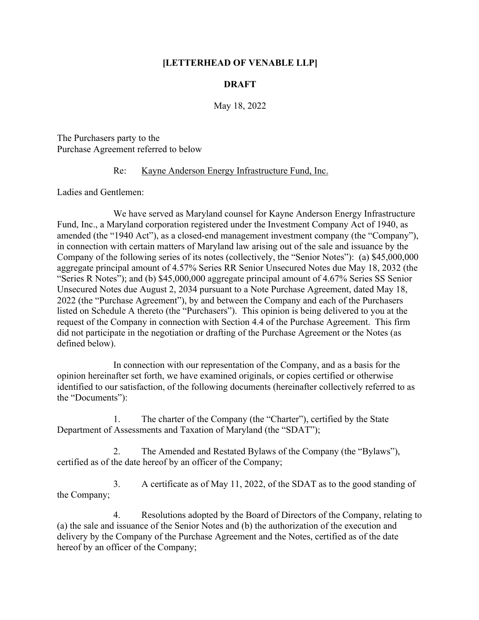# **[LETTERHEAD OF VENABLE LLP]**

# **DRAFT**

May 18, 2022

The Purchasers party to the Purchase Agreement referred to below

#### Re: Kayne Anderson Energy Infrastructure Fund, Inc.

Ladies and Gentlemen:

We have served as Maryland counsel for Kayne Anderson Energy Infrastructure Fund, Inc., a Maryland corporation registered under the Investment Company Act of 1940, as amended (the "1940 Act"), as a closed-end management investment company (the "Company"), in connection with certain matters of Maryland law arising out of the sale and issuance by the Company of the following series of its notes (collectively, the "Senior Notes"): (a) \$45,000,000 aggregate principal amount of 4.57% Series RR Senior Unsecured Notes due May 18, 2032 (the "Series R Notes"); and (b) \$45,000,000 aggregate principal amount of 4.67% Series SS Senior Unsecured Notes due August 2, 2034 pursuant to a Note Purchase Agreement, dated May 18, 2022 (the "Purchase Agreement"), by and between the Company and each of the Purchasers listed on Schedule A thereto (the "Purchasers"). This opinion is being delivered to you at the request of the Company in connection with Section 4.4 of the Purchase Agreement. This firm did not participate in the negotiation or drafting of the Purchase Agreement or the Notes (as defined below).

In connection with our representation of the Company, and as a basis for the opinion hereinafter set forth, we have examined originals, or copies certified or otherwise identified to our satisfaction, of the following documents (hereinafter collectively referred to as the "Documents"):

1. The charter of the Company (the "Charter"), certified by the State Department of Assessments and Taxation of Maryland (the "SDAT");

2. The Amended and Restated Bylaws of the Company (the "Bylaws"), certified as of the date hereof by an officer of the Company;

3. A certificate as of May 11, 2022, of the SDAT as to the good standing of the Company;

4. Resolutions adopted by the Board of Directors of the Company, relating to (a) the sale and issuance of the Senior Notes and (b) the authorization of the execution and delivery by the Company of the Purchase Agreement and the Notes, certified as of the date hereof by an officer of the Company;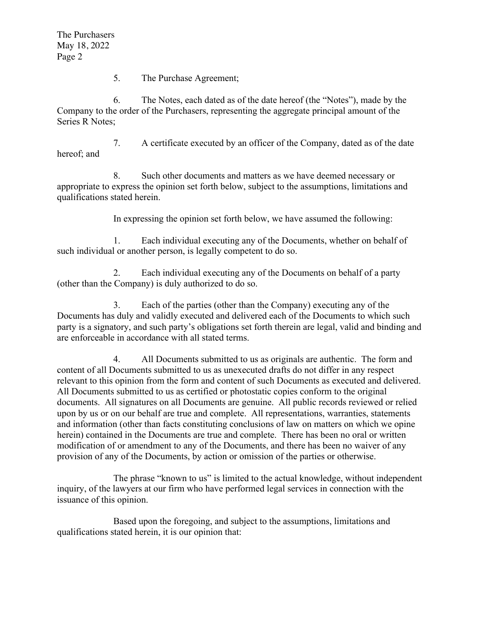The Purchasers May 18, 2022 Page 2

5. The Purchase Agreement;

6. The Notes, each dated as of the date hereof (the "Notes"), made by the Company to the order of the Purchasers, representing the aggregate principal amount of the Series R Notes;

7. A certificate executed by an officer of the Company, dated as of the date hereof; and

8. Such other documents and matters as we have deemed necessary or appropriate to express the opinion set forth below, subject to the assumptions, limitations and qualifications stated herein.

In expressing the opinion set forth below, we have assumed the following:

1. Each individual executing any of the Documents, whether on behalf of such individual or another person, is legally competent to do so.

2. Each individual executing any of the Documents on behalf of a party (other than the Company) is duly authorized to do so.

3. Each of the parties (other than the Company) executing any of the Documents has duly and validly executed and delivered each of the Documents to which such party is a signatory, and such party's obligations set forth therein are legal, valid and binding and are enforceable in accordance with all stated terms.

4. All Documents submitted to us as originals are authentic. The form and content of all Documents submitted to us as unexecuted drafts do not differ in any respect relevant to this opinion from the form and content of such Documents as executed and delivered. All Documents submitted to us as certified or photostatic copies conform to the original documents. All signatures on all Documents are genuine. All public records reviewed or relied upon by us or on our behalf are true and complete. All representations, warranties, statements and information (other than facts constituting conclusions of law on matters on which we opine herein) contained in the Documents are true and complete. There has been no oral or written modification of or amendment to any of the Documents, and there has been no waiver of any provision of any of the Documents, by action or omission of the parties or otherwise.

The phrase "known to us" is limited to the actual knowledge, without independent inquiry, of the lawyers at our firm who have performed legal services in connection with the issuance of this opinion.

Based upon the foregoing, and subject to the assumptions, limitations and qualifications stated herein, it is our opinion that: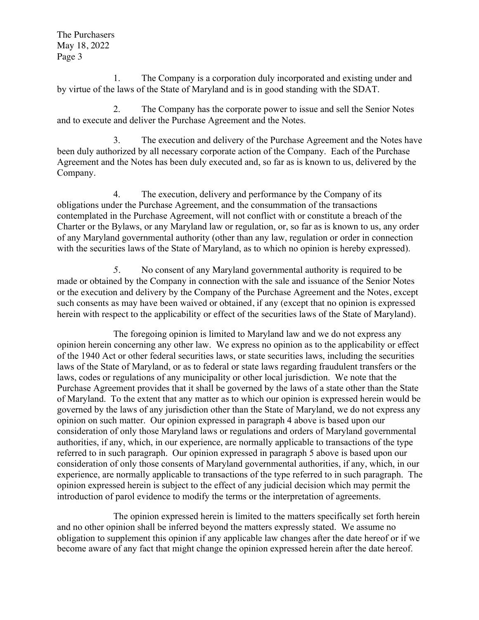The Purchasers May 18, 2022 Page 3

1. The Company is a corporation duly incorporated and existing under and by virtue of the laws of the State of Maryland and is in good standing with the SDAT.

2. The Company has the corporate power to issue and sell the Senior Notes and to execute and deliver the Purchase Agreement and the Notes.

3. The execution and delivery of the Purchase Agreement and the Notes have been duly authorized by all necessary corporate action of the Company. Each of the Purchase Agreement and the Notes has been duly executed and, so far as is known to us, delivered by the Company.

4. The execution, delivery and performance by the Company of its obligations under the Purchase Agreement, and the consummation of the transactions contemplated in the Purchase Agreement, will not conflict with or constitute a breach of the Charter or the Bylaws, or any Maryland law or regulation, or, so far as is known to us, any order of any Maryland governmental authority (other than any law, regulation or order in connection with the securities laws of the State of Maryland, as to which no opinion is hereby expressed).

*5.* No consent of any Maryland governmental authority is required to be made or obtained by the Company in connection with the sale and issuance of the Senior Notes or the execution and delivery by the Company of the Purchase Agreement and the Notes, except such consents as may have been waived or obtained, if any (except that no opinion is expressed herein with respect to the applicability or effect of the securities laws of the State of Maryland).

The foregoing opinion is limited to Maryland law and we do not express any opinion herein concerning any other law. We express no opinion as to the applicability or effect of the 1940 Act or other federal securities laws, or state securities laws, including the securities laws of the State of Maryland, or as to federal or state laws regarding fraudulent transfers or the laws, codes or regulations of any municipality or other local jurisdiction. We note that the Purchase Agreement provides that it shall be governed by the laws of a state other than the State of Maryland. To the extent that any matter as to which our opinion is expressed herein would be governed by the laws of any jurisdiction other than the State of Maryland, we do not express any opinion on such matter. Our opinion expressed in paragraph 4 above is based upon our consideration of only those Maryland laws or regulations and orders of Maryland governmental authorities, if any, which, in our experience, are normally applicable to transactions of the type referred to in such paragraph. Our opinion expressed in paragraph 5 above is based upon our consideration of only those consents of Maryland governmental authorities, if any, which, in our experience, are normally applicable to transactions of the type referred to in such paragraph. The opinion expressed herein is subject to the effect of any judicial decision which may permit the introduction of parol evidence to modify the terms or the interpretation of agreements.

The opinion expressed herein is limited to the matters specifically set forth herein and no other opinion shall be inferred beyond the matters expressly stated. We assume no obligation to supplement this opinion if any applicable law changes after the date hereof or if we become aware of any fact that might change the opinion expressed herein after the date hereof.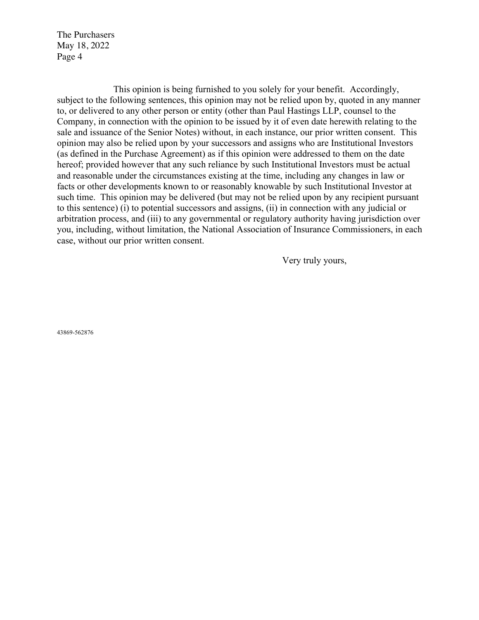The Purchasers May 18, 2022 Page 4

This opinion is being furnished to you solely for your benefit. Accordingly, subject to the following sentences, this opinion may not be relied upon by, quoted in any manner to, or delivered to any other person or entity (other than Paul Hastings LLP, counsel to the Company, in connection with the opinion to be issued by it of even date herewith relating to the sale and issuance of the Senior Notes) without, in each instance, our prior written consent. This opinion may also be relied upon by your successors and assigns who are Institutional Investors (as defined in the Purchase Agreement) as if this opinion were addressed to them on the date hereof; provided however that any such reliance by such Institutional Investors must be actual and reasonable under the circumstances existing at the time, including any changes in law or facts or other developments known to or reasonably knowable by such Institutional Investor at such time. This opinion may be delivered (but may not be relied upon by any recipient pursuant to this sentence) (i) to potential successors and assigns, (ii) in connection with any judicial or arbitration process, and (iii) to any governmental or regulatory authority having jurisdiction over you, including, without limitation, the National Association of Insurance Commissioners, in each case, without our prior written consent.

Very truly yours,

43869-562876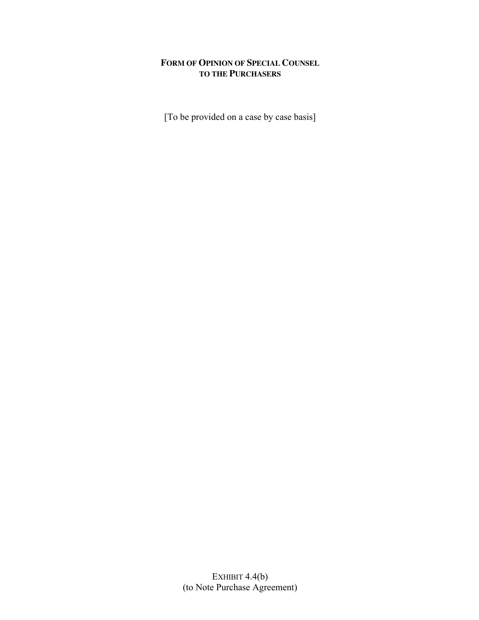# **FORM OF OPINION OF SPECIAL COUNSEL TO THE PURCHASERS**

[To be provided on a case by case basis]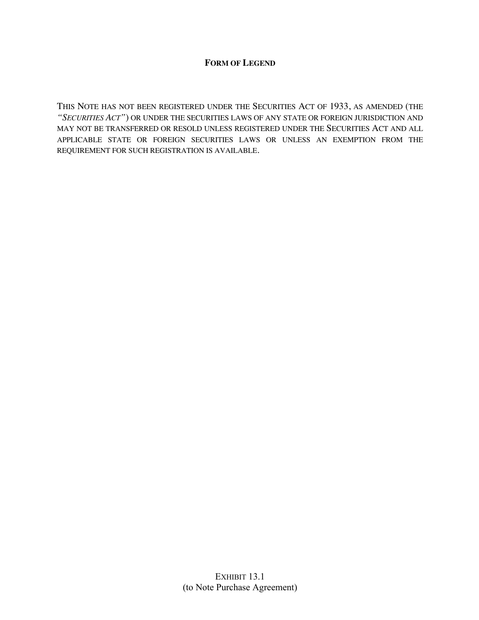# **FORM OF LEGEND**

THIS NOTE HAS NOT BEEN REGISTERED UNDER THE SECURITIES ACT OF 1933, AS AMENDED (THE *"SECURITIES ACT"*) OR UNDER THE SECURITIES LAWS OF ANY STATE OR FOREIGN JURISDICTION AND MAY NOT BE TRANSFERRED OR RESOLD UNLESS REGISTERED UNDER THE SECURITIES ACT AND ALL APPLICABLE STATE OR FOREIGN SECURITIES LAWS OR UNLESS AN EXEMPTION FROM THE REQUIREMENT FOR SUCH REGISTRATION IS AVAILABLE.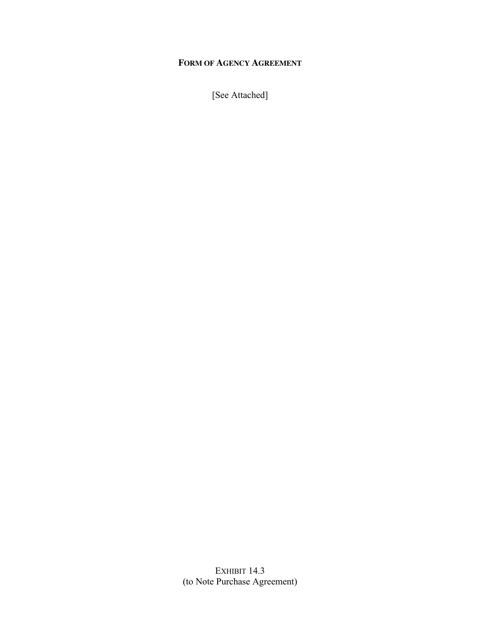# **FORM OF AGENCY AGREEMENT**

[See Attached]

EXHIBIT 14.3 (to Note Purchase Agreement)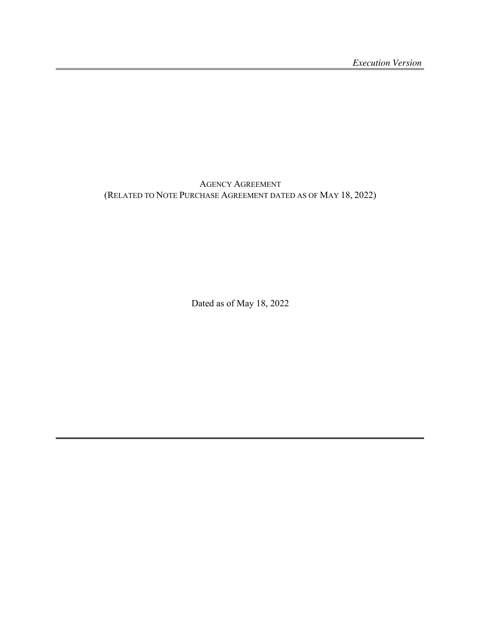AGENCY AGREEMENT (RELATED TO NOTE PURCHASE AGREEMENT DATED AS OF MAY 18, 2022)

Dated as of May 18, 2022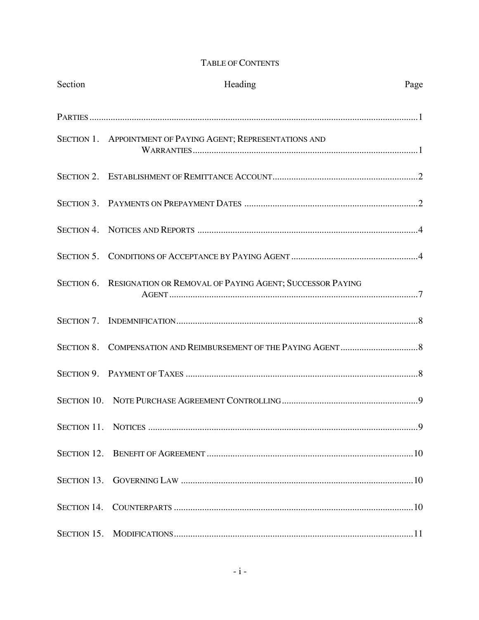# TABLE OF CONTENTS

| Section | Heading                                                             | Page |
|---------|---------------------------------------------------------------------|------|
|         |                                                                     |      |
|         | SECTION 1. APPOINTMENT OF PAYING AGENT; REPRESENTATIONS AND         |      |
|         |                                                                     |      |
|         |                                                                     |      |
|         |                                                                     |      |
|         |                                                                     |      |
|         | SECTION 6. RESIGNATION OR REMOVAL OF PAYING AGENT; SUCCESSOR PAYING |      |
|         |                                                                     |      |
|         |                                                                     |      |
|         |                                                                     |      |
|         |                                                                     |      |
|         |                                                                     | 9    |
|         |                                                                     |      |
|         |                                                                     |      |
|         |                                                                     |      |
|         |                                                                     |      |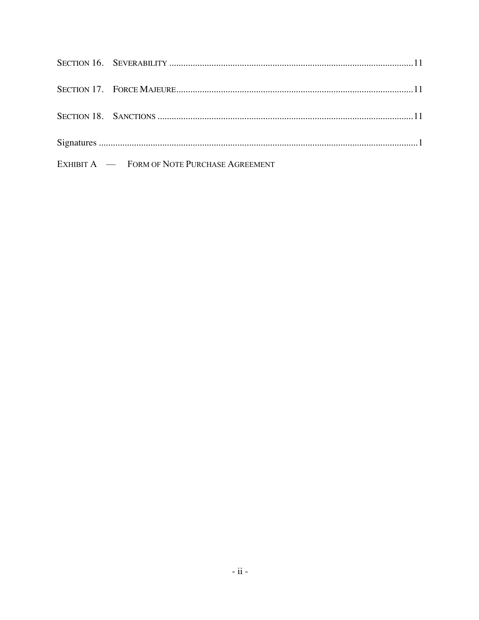| EXHIBIT A — FORM OF NOTE PURCHASE AGREEMENT |  |
|---------------------------------------------|--|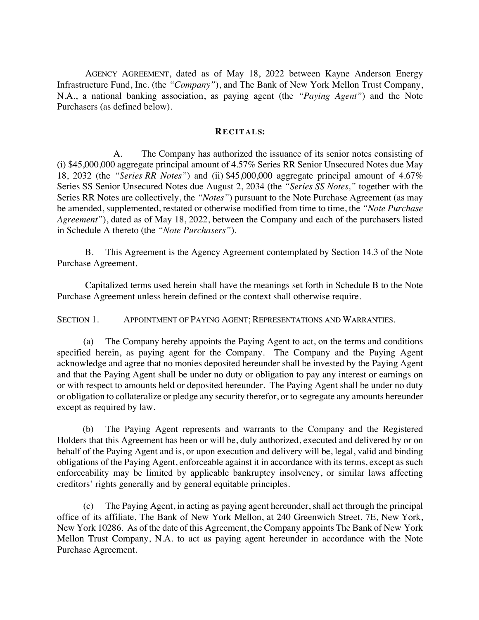AGENCY AGREEMENT, dated as of May 18, 2022 between Kayne Anderson Energy Infrastructure Fund, Inc. (the *"Company"*), and The Bank of New York Mellon Trust Company, N.A., a national banking association, as paying agent (the *"Paying Agent"*) and the Note Purchasers (as defined below).

#### **RECITALS:**

A. The Company has authorized the issuance of its senior notes consisting of (i) \$45,000,000 aggregate principal amount of 4.57% Series RR Senior Unsecured Notes due May 18, 2032 (the *"Series RR Notes"*) and (ii) \$45,000,000 aggregate principal amount of 4.67% Series SS Senior Unsecured Notes due August 2, 2034 (the *"Series SS Notes,"* together with the Series RR Notes are collectively, the *"Notes"*) pursuant to the Note Purchase Agreement (as may be amended, supplemented, restated or otherwise modified from time to time, the *"Note Purchase Agreement"*), dated as of May 18, 2022, between the Company and each of the purchasers listed in Schedule A thereto (the *"Note Purchasers"*).

B. This Agreement is the Agency Agreement contemplated by Section 14.3 of the Note Purchase Agreement.

Capitalized terms used herein shall have the meanings set forth in Schedule B to the Note Purchase Agreement unless herein defined or the context shall otherwise require.

SECTION 1. APPOINTMENT OF PAYING AGENT; REPRESENTATIONS AND WARRANTIES.

(a) The Company hereby appoints the Paying Agent to act, on the terms and conditions specified herein, as paying agent for the Company. The Company and the Paying Agent acknowledge and agree that no monies deposited hereunder shall be invested by the Paying Agent and that the Paying Agent shall be under no duty or obligation to pay any interest or earnings on or with respect to amounts held or deposited hereunder. The Paying Agent shall be under no duty or obligation to collateralize or pledge any security therefor, or to segregate any amounts hereunder except as required by law.

(b) The Paying Agent represents and warrants to the Company and the Registered Holders that this Agreement has been or will be, duly authorized, executed and delivered by or on behalf of the Paying Agent and is, or upon execution and delivery will be, legal, valid and binding obligations of the Paying Agent, enforceable against it in accordance with its terms, except as such enforceability may be limited by applicable bankruptcy insolvency, or similar laws affecting creditors' rights generally and by general equitable principles.

(c) The Paying Agent, in acting as paying agent hereunder, shall act through the principal office of its affiliate, The Bank of New York Mellon, at 240 Greenwich Street, 7E, New York, New York 10286. As of the date of this Agreement, the Company appoints The Bank of New York Mellon Trust Company, N.A. to act as paying agent hereunder in accordance with the Note Purchase Agreement.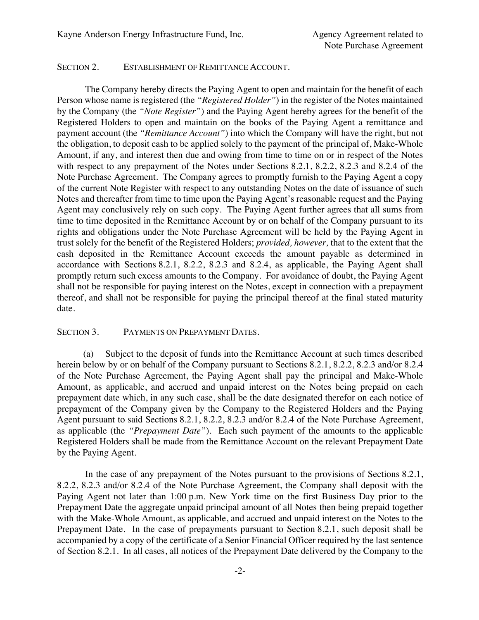#### SECTION 2. ESTABLISHMENT OF REMITTANCE ACCOUNT.

The Company hereby directs the Paying Agent to open and maintain for the benefit of each Person whose name is registered (the *"Registered Holder"*) in the register of the Notes maintained by the Company (the *"Note Register"*) and the Paying Agent hereby agrees for the benefit of the Registered Holders to open and maintain on the books of the Paying Agent a remittance and payment account (the *"Remittance Account"*) into which the Company will have the right, but not the obligation, to deposit cash to be applied solely to the payment of the principal of, Make-Whole Amount, if any, and interest then due and owing from time to time on or in respect of the Notes with respect to any prepayment of the Notes under Sections 8.2.1, 8.2.2, 8.2.3 and 8.2.4 of the Note Purchase Agreement. The Company agrees to promptly furnish to the Paying Agent a copy of the current Note Register with respect to any outstanding Notes on the date of issuance of such Notes and thereafter from time to time upon the Paying Agent's reasonable request and the Paying Agent may conclusively rely on such copy. The Paying Agent further agrees that all sums from time to time deposited in the Remittance Account by or on behalf of the Company pursuant to its rights and obligations under the Note Purchase Agreement will be held by the Paying Agent in trust solely for the benefit of the Registered Holders; *provided, however,* that to the extent that the cash deposited in the Remittance Account exceeds the amount payable as determined in accordance with Sections 8.2.1, 8.2.2, 8.2.3 and 8.2.4, as applicable, the Paying Agent shall promptly return such excess amounts to the Company. For avoidance of doubt, the Paying Agent shall not be responsible for paying interest on the Notes, except in connection with a prepayment thereof, and shall not be responsible for paying the principal thereof at the final stated maturity date.

#### SECTION 3. PAYMENTS ON PREPAYMENT DATES.

(a) Subject to the deposit of funds into the Remittance Account at such times described herein below by or on behalf of the Company pursuant to Sections 8.2.1, 8.2.2, 8.2.3 and/or 8.2.4 of the Note Purchase Agreement, the Paying Agent shall pay the principal and Make-Whole Amount, as applicable, and accrued and unpaid interest on the Notes being prepaid on each prepayment date which, in any such case, shall be the date designated therefor on each notice of prepayment of the Company given by the Company to the Registered Holders and the Paying Agent pursuant to said Sections 8.2.1, 8.2.2, 8.2.3 and/or 8.2.4 of the Note Purchase Agreement, as applicable (the *"Prepayment Date"*). Each such payment of the amounts to the applicable Registered Holders shall be made from the Remittance Account on the relevant Prepayment Date by the Paying Agent.

In the case of any prepayment of the Notes pursuant to the provisions of Sections 8.2.1, 8.2.2, 8.2.3 and/or 8.2.4 of the Note Purchase Agreement, the Company shall deposit with the Paying Agent not later than 1:00 p.m. New York time on the first Business Day prior to the Prepayment Date the aggregate unpaid principal amount of all Notes then being prepaid together with the Make-Whole Amount, as applicable, and accrued and unpaid interest on the Notes to the Prepayment Date. In the case of prepayments pursuant to Section 8.2.1, such deposit shall be accompanied by a copy of the certificate of a Senior Financial Officer required by the last sentence of Section 8.2.1. In all cases, all notices of the Prepayment Date delivered by the Company to the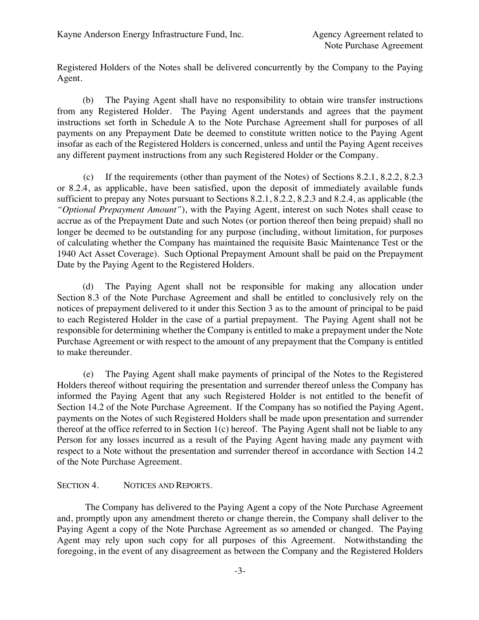Registered Holders of the Notes shall be delivered concurrently by the Company to the Paying Agent.

(b) The Paying Agent shall have no responsibility to obtain wire transfer instructions from any Registered Holder. The Paying Agent understands and agrees that the payment instructions set forth in Schedule A to the Note Purchase Agreement shall for purposes of all payments on any Prepayment Date be deemed to constitute written notice to the Paying Agent insofar as each of the Registered Holders is concerned, unless and until the Paying Agent receives any different payment instructions from any such Registered Holder or the Company.

(c) If the requirements (other than payment of the Notes) of Sections 8.2.1, 8.2.2, 8.2.3 or 8.2.4, as applicable, have been satisfied, upon the deposit of immediately available funds sufficient to prepay any Notes pursuant to Sections 8.2.1, 8.2.2, 8.2.3 and 8.2.4, as applicable (the *"Optional Prepayment Amount"*), with the Paying Agent, interest on such Notes shall cease to accrue as of the Prepayment Date and such Notes (or portion thereof then being prepaid) shall no longer be deemed to be outstanding for any purpose (including, without limitation, for purposes of calculating whether the Company has maintained the requisite Basic Maintenance Test or the 1940 Act Asset Coverage). Such Optional Prepayment Amount shall be paid on the Prepayment Date by the Paying Agent to the Registered Holders.

(d) The Paying Agent shall not be responsible for making any allocation under Section 8.3 of the Note Purchase Agreement and shall be entitled to conclusively rely on the notices of prepayment delivered to it under this Section 3 as to the amount of principal to be paid to each Registered Holder in the case of a partial prepayment. The Paying Agent shall not be responsible for determining whether the Company is entitled to make a prepayment under the Note Purchase Agreement or with respect to the amount of any prepayment that the Company is entitled to make thereunder.

(e) The Paying Agent shall make payments of principal of the Notes to the Registered Holders thereof without requiring the presentation and surrender thereof unless the Company has informed the Paying Agent that any such Registered Holder is not entitled to the benefit of Section 14.2 of the Note Purchase Agreement. If the Company has so notified the Paying Agent, payments on the Notes of such Registered Holders shall be made upon presentation and surrender thereof at the office referred to in Section 1(c) hereof. The Paying Agent shall not be liable to any Person for any losses incurred as a result of the Paying Agent having made any payment with respect to a Note without the presentation and surrender thereof in accordance with Section 14.2 of the Note Purchase Agreement.

### SECTION 4. NOTICES AND REPORTS.

The Company has delivered to the Paying Agent a copy of the Note Purchase Agreement and, promptly upon any amendment thereto or change therein, the Company shall deliver to the Paying Agent a copy of the Note Purchase Agreement as so amended or changed. The Paying Agent may rely upon such copy for all purposes of this Agreement. Notwithstanding the foregoing, in the event of any disagreement as between the Company and the Registered Holders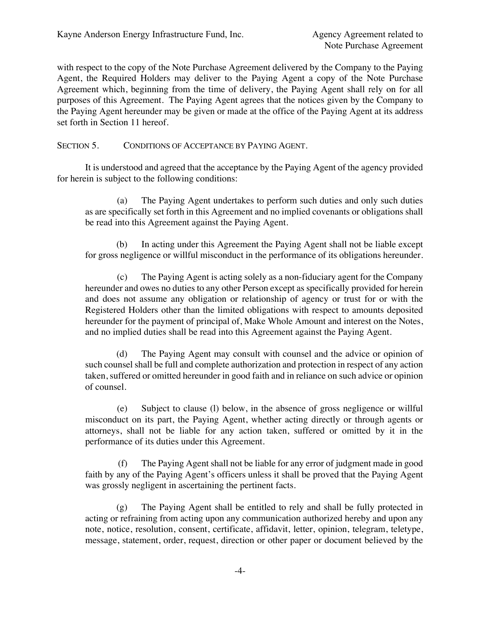with respect to the copy of the Note Purchase Agreement delivered by the Company to the Paying Agent, the Required Holders may deliver to the Paying Agent a copy of the Note Purchase Agreement which, beginning from the time of delivery, the Paying Agent shall rely on for all purposes of this Agreement. The Paying Agent agrees that the notices given by the Company to the Paying Agent hereunder may be given or made at the office of the Paying Agent at its address set forth in Section 11 hereof.

SECTION 5. CONDITIONS OF ACCEPTANCE BY PAYING AGENT.

It is understood and agreed that the acceptance by the Paying Agent of the agency provided for herein is subject to the following conditions:

(a) The Paying Agent undertakes to perform such duties and only such duties as are specifically set forth in this Agreement and no implied covenants or obligations shall be read into this Agreement against the Paying Agent.

(b) In acting under this Agreement the Paying Agent shall not be liable except for gross negligence or willful misconduct in the performance of its obligations hereunder.

(c) The Paying Agent is acting solely as a non-fiduciary agent for the Company hereunder and owes no duties to any other Person except as specifically provided for herein and does not assume any obligation or relationship of agency or trust for or with the Registered Holders other than the limited obligations with respect to amounts deposited hereunder for the payment of principal of, Make Whole Amount and interest on the Notes, and no implied duties shall be read into this Agreement against the Paying Agent.

(d) The Paying Agent may consult with counsel and the advice or opinion of such counsel shall be full and complete authorization and protection in respect of any action taken, suffered or omitted hereunder in good faith and in reliance on such advice or opinion of counsel.

(e) Subject to clause (l) below, in the absence of gross negligence or willful misconduct on its part, the Paying Agent, whether acting directly or through agents or attorneys, shall not be liable for any action taken, suffered or omitted by it in the performance of its duties under this Agreement.

(f) The Paying Agent shall not be liable for any error of judgment made in good faith by any of the Paying Agent's officers unless it shall be proved that the Paying Agent was grossly negligent in ascertaining the pertinent facts.

(g) The Paying Agent shall be entitled to rely and shall be fully protected in acting or refraining from acting upon any communication authorized hereby and upon any note, notice, resolution, consent, certificate, affidavit, letter, opinion, telegram, teletype, message, statement, order, request, direction or other paper or document believed by the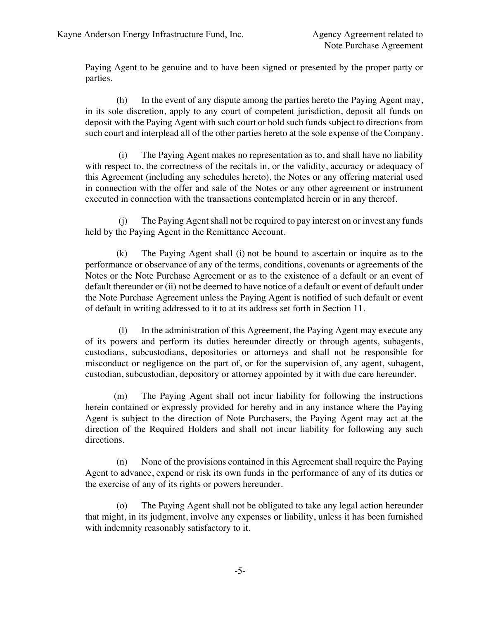Paying Agent to be genuine and to have been signed or presented by the proper party or parties.

(h) In the event of any dispute among the parties hereto the Paying Agent may, in its sole discretion, apply to any court of competent jurisdiction, deposit all funds on deposit with the Paying Agent with such court or hold such funds subject to directions from such court and interplead all of the other parties hereto at the sole expense of the Company.

(i) The Paying Agent makes no representation as to, and shall have no liability with respect to, the correctness of the recitals in, or the validity, accuracy or adequacy of this Agreement (including any schedules hereto), the Notes or any offering material used in connection with the offer and sale of the Notes or any other agreement or instrument executed in connection with the transactions contemplated herein or in any thereof.

(j) The Paying Agent shall not be required to pay interest on or invest any funds held by the Paying Agent in the Remittance Account.

(k) The Paying Agent shall (i) not be bound to ascertain or inquire as to the performance or observance of any of the terms, conditions, covenants or agreements of the Notes or the Note Purchase Agreement or as to the existence of a default or an event of default thereunder or (ii) not be deemed to have notice of a default or event of default under the Note Purchase Agreement unless the Paying Agent is notified of such default or event of default in writing addressed to it to at its address set forth in Section 11.

(l) In the administration of this Agreement, the Paying Agent may execute any of its powers and perform its duties hereunder directly or through agents, subagents, custodians, subcustodians, depositories or attorneys and shall not be responsible for misconduct or negligence on the part of, or for the supervision of, any agent, subagent, custodian, subcustodian, depository or attorney appointed by it with due care hereunder.

(m) The Paying Agent shall not incur liability for following the instructions herein contained or expressly provided for hereby and in any instance where the Paying Agent is subject to the direction of Note Purchasers, the Paying Agent may act at the direction of the Required Holders and shall not incur liability for following any such directions.

(n) None of the provisions contained in this Agreement shall require the Paying Agent to advance, expend or risk its own funds in the performance of any of its duties or the exercise of any of its rights or powers hereunder.

(o) The Paying Agent shall not be obligated to take any legal action hereunder that might, in its judgment, involve any expenses or liability, unless it has been furnished with indemnity reasonably satisfactory to it.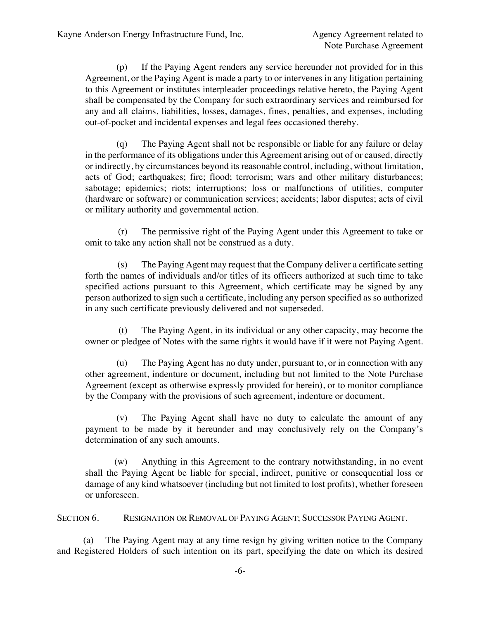(p) If the Paying Agent renders any service hereunder not provided for in this Agreement, or the Paying Agent is made a party to or intervenes in any litigation pertaining to this Agreement or institutes interpleader proceedings relative hereto, the Paying Agent shall be compensated by the Company for such extraordinary services and reimbursed for any and all claims, liabilities, losses, damages, fines, penalties, and expenses, including out-of-pocket and incidental expenses and legal fees occasioned thereby.

(q) The Paying Agent shall not be responsible or liable for any failure or delay in the performance of its obligations under this Agreement arising out of or caused, directly or indirectly, by circumstances beyond its reasonable control, including, without limitation, acts of God; earthquakes; fire; flood; terrorism; wars and other military disturbances; sabotage; epidemics; riots; interruptions; loss or malfunctions of utilities, computer (hardware or software) or communication services; accidents; labor disputes; acts of civil or military authority and governmental action.

(r) The permissive right of the Paying Agent under this Agreement to take or omit to take any action shall not be construed as a duty.

(s) The Paying Agent may request that the Company deliver a certificate setting forth the names of individuals and/or titles of its officers authorized at such time to take specified actions pursuant to this Agreement, which certificate may be signed by any person authorized to sign such a certificate, including any person specified as so authorized in any such certificate previously delivered and not superseded.

(t) The Paying Agent, in its individual or any other capacity, may become the owner or pledgee of Notes with the same rights it would have if it were not Paying Agent.

(u) The Paying Agent has no duty under, pursuant to, or in connection with any other agreement, indenture or document, including but not limited to the Note Purchase Agreement (except as otherwise expressly provided for herein), or to monitor compliance by the Company with the provisions of such agreement, indenture or document.

(v) The Paying Agent shall have no duty to calculate the amount of any payment to be made by it hereunder and may conclusively rely on the Company's determination of any such amounts.

(w) Anything in this Agreement to the contrary notwithstanding, in no event shall the Paying Agent be liable for special, indirect, punitive or consequential loss or damage of any kind whatsoever (including but not limited to lost profits), whether foreseen or unforeseen.

SECTION 6. RESIGNATION OR REMOVAL OF PAYING AGENT; SUCCESSOR PAYING AGENT.

(a) The Paying Agent may at any time resign by giving written notice to the Company and Registered Holders of such intention on its part, specifying the date on which its desired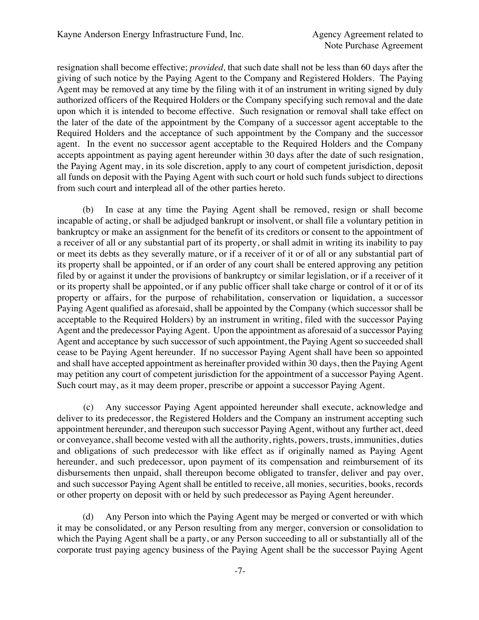resignation shall become effective; *provided,* that such date shall not be less than 60 days after the giving of such notice by the Paying Agent to the Company and Registered Holders. The Paying Agent may be removed at any time by the filing with it of an instrument in writing signed by duly authorized officers of the Required Holders or the Company specifying such removal and the date upon which it is intended to become effective. Such resignation or removal shall take effect on the later of the date of the appointment by the Company of a successor agent acceptable to the Required Holders and the acceptance of such appointment by the Company and the successor agent. In the event no successor agent acceptable to the Required Holders and the Company accepts appointment as paying agent hereunder within 30 days after the date of such resignation, the Paying Agent may, in its sole discretion, apply to any court of competent jurisdiction, deposit all funds on deposit with the Paying Agent with such court or hold such funds subject to directions from such court and interplead all of the other parties hereto.

(b) In case at any time the Paying Agent shall be removed, resign or shall become incapable of acting, or shall be adjudged bankrupt or insolvent, or shall file a voluntary petition in bankruptcy or make an assignment for the benefit of its creditors or consent to the appointment of a receiver of all or any substantial part of its property, or shall admit in writing its inability to pay or meet its debts as they severally mature, or if a receiver of it or of all or any substantial part of its property shall be appointed, or if an order of any court shall be entered approving any petition filed by or against it under the provisions of bankruptcy or similar legislation, or if a receiver of it or its property shall be appointed, or if any public officer shall take charge or control of it or of its property or affairs, for the purpose of rehabilitation, conservation or liquidation, a successor Paying Agent qualified as aforesaid, shall be appointed by the Company (which successor shall be acceptable to the Required Holders) by an instrument in writing, filed with the successor Paying Agent and the predecessor Paying Agent. Upon the appointment as aforesaid of a successor Paying Agent and acceptance by such successor of such appointment, the Paying Agent so succeeded shall cease to be Paying Agent hereunder. If no successor Paying Agent shall have been so appointed and shall have accepted appointment as hereinafter provided within 30 days, then the Paying Agent may petition any court of competent jurisdiction for the appointment of a successor Paying Agent. Such court may, as it may deem proper, prescribe or appoint a successor Paying Agent.

(c) Any successor Paying Agent appointed hereunder shall execute, acknowledge and deliver to its predecessor, the Registered Holders and the Company an instrument accepting such appointment hereunder, and thereupon such successor Paying Agent, without any further act, deed or conveyance, shall become vested with all the authority, rights, powers, trusts, immunities, duties and obligations of such predecessor with like effect as if originally named as Paying Agent hereunder, and such predecessor, upon payment of its compensation and reimbursement of its disbursements then unpaid, shall thereupon become obligated to transfer, deliver and pay over, and such successor Paying Agent shall be entitled to receive, all monies, securities, books, records or other property on deposit with or held by such predecessor as Paying Agent hereunder.

(d) Any Person into which the Paying Agent may be merged or converted or with which it may be consolidated, or any Person resulting from any merger, conversion or consolidation to which the Paying Agent shall be a party, or any Person succeeding to all or substantially all of the corporate trust paying agency business of the Paying Agent shall be the successor Paying Agent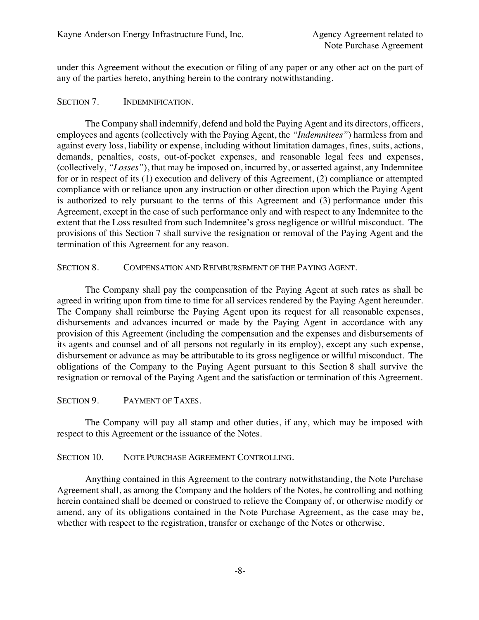under this Agreement without the execution or filing of any paper or any other act on the part of any of the parties hereto, anything herein to the contrary notwithstanding.

### SECTION 7. **INDEMNIFICATION.**

The Company shall indemnify, defend and hold the Paying Agent and its directors, officers, employees and agents (collectively with the Paying Agent, the *"Indemnitees"*) harmless from and against every loss, liability or expense, including without limitation damages, fines, suits, actions, demands, penalties, costs, out-of-pocket expenses, and reasonable legal fees and expenses, (collectively, *"Losses"*), that may be imposed on, incurred by, or asserted against, any Indemnitee for or in respect of its (1) execution and delivery of this Agreement, (2) compliance or attempted compliance with or reliance upon any instruction or other direction upon which the Paying Agent is authorized to rely pursuant to the terms of this Agreement and (3) performance under this Agreement, except in the case of such performance only and with respect to any Indemnitee to the extent that the Loss resulted from such Indemnitee's gross negligence or willful misconduct. The provisions of this Section 7 shall survive the resignation or removal of the Paying Agent and the termination of this Agreement for any reason.

### SECTION 8. COMPENSATION AND REIMBURSEMENT OF THE PAYING AGENT.

The Company shall pay the compensation of the Paying Agent at such rates as shall be agreed in writing upon from time to time for all services rendered by the Paying Agent hereunder. The Company shall reimburse the Paying Agent upon its request for all reasonable expenses, disbursements and advances incurred or made by the Paying Agent in accordance with any provision of this Agreement (including the compensation and the expenses and disbursements of its agents and counsel and of all persons not regularly in its employ), except any such expense, disbursement or advance as may be attributable to its gross negligence or willful misconduct. The obligations of the Company to the Paying Agent pursuant to this Section 8 shall survive the resignation or removal of the Paying Agent and the satisfaction or termination of this Agreement.

### SECTION 9. PAYMENT OF TAXES.

The Company will pay all stamp and other duties, if any, which may be imposed with respect to this Agreement or the issuance of the Notes.

#### SECTION 10. NOTE PURCHASE AGREEMENT CONTROLLING.

Anything contained in this Agreement to the contrary notwithstanding, the Note Purchase Agreement shall, as among the Company and the holders of the Notes, be controlling and nothing herein contained shall be deemed or construed to relieve the Company of, or otherwise modify or amend, any of its obligations contained in the Note Purchase Agreement, as the case may be, whether with respect to the registration, transfer or exchange of the Notes or otherwise.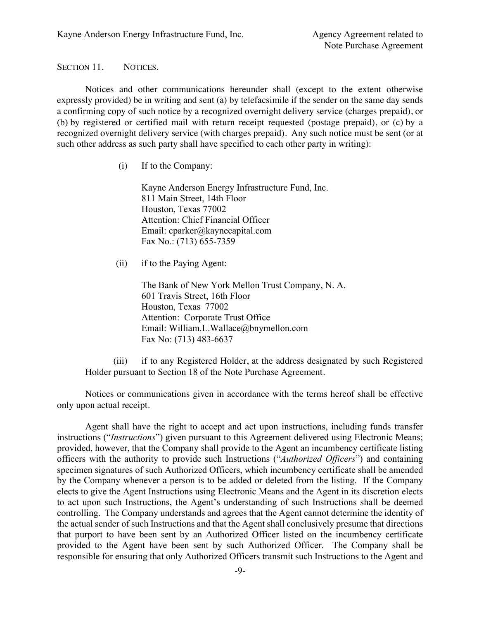SECTION 11. NOTICES.

Notices and other communications hereunder shall (except to the extent otherwise expressly provided) be in writing and sent (a) by telefacsimile if the sender on the same day sends a confirming copy of such notice by a recognized overnight delivery service (charges prepaid), or (b) by registered or certified mail with return receipt requested (postage prepaid), or (c) by a recognized overnight delivery service (with charges prepaid). Any such notice must be sent (or at such other address as such party shall have specified to each other party in writing):

(i) If to the Company:

Kayne Anderson Energy Infrastructure Fund, Inc. 811 Main Street, 14th Floor Houston, Texas 77002 Attention: Chief Financial Officer Email: cparker@kaynecapital.com Fax No.: (713) 655-7359

(ii) if to the Paying Agent:

The Bank of New York Mellon Trust Company, N. A. 601 Travis Street, 16th Floor Houston, Texas 77002 Attention: Corporate Trust Office Email: William.L.Wallace@bnymellon.com Fax No: (713) 483-6637

(iii) if to any Registered Holder, at the address designated by such Registered Holder pursuant to Section 18 of the Note Purchase Agreement.

Notices or communications given in accordance with the terms hereof shall be effective only upon actual receipt.

Agent shall have the right to accept and act upon instructions, including funds transfer instructions ("*Instructions*") given pursuant to this Agreement delivered using Electronic Means; provided, however, that the Company shall provide to the Agent an incumbency certificate listing officers with the authority to provide such Instructions ("*Authorized Officers*") and containing specimen signatures of such Authorized Officers, which incumbency certificate shall be amended by the Company whenever a person is to be added or deleted from the listing. If the Company elects to give the Agent Instructions using Electronic Means and the Agent in its discretion elects to act upon such Instructions, the Agent's understanding of such Instructions shall be deemed controlling. The Company understands and agrees that the Agent cannot determine the identity of the actual sender of such Instructions and that the Agent shall conclusively presume that directions that purport to have been sent by an Authorized Officer listed on the incumbency certificate provided to the Agent have been sent by such Authorized Officer. The Company shall be responsible for ensuring that only Authorized Officers transmit such Instructions to the Agent and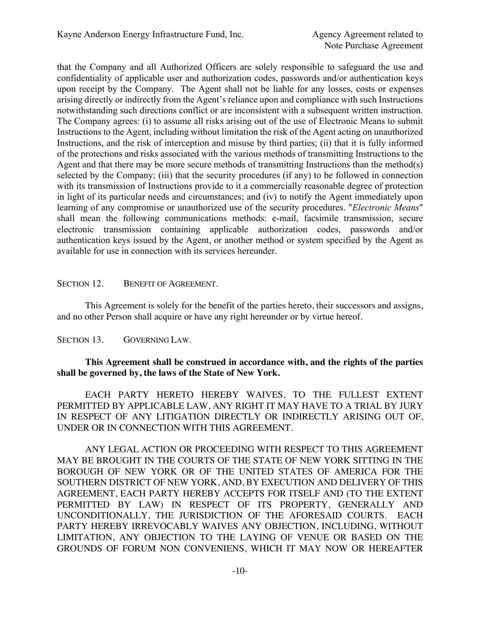that the Company and all Authorized Officers are solely responsible to safeguard the use and confidentiality of applicable user and authorization codes, passwords and/or authentication keys upon receipt by the Company. The Agent shall not be liable for any losses, costs or expenses arising directly or indirectly from the Agent's reliance upon and compliance with such Instructions notwithstanding such directions conflict or are inconsistent with a subsequent written instruction. The Company agrees: (i) to assume all risks arising out of the use of Electronic Means to submit Instructions to the Agent, including without limitation the risk of the Agent acting on unauthorized Instructions, and the risk of interception and misuse by third parties; (ii) that it is fully informed of the protections and risks associated with the various methods of transmitting Instructions to the Agent and that there may be more secure methods of transmitting Instructions than the method(s) selected by the Company; (iii) that the security procedures (if any) to be followed in connection with its transmission of Instructions provide to it a commercially reasonable degree of protection in light of its particular needs and circumstances; and (iv) to notify the Agent immediately upon learning of any compromise or unauthorized use of the security procedures. "*Electronic Means*" shall mean the following communications methods: e-mail, facsimile transmission, secure electronic transmission containing applicable authorization codes, passwords and/or authentication keys issued by the Agent, or another method or system specified by the Agent as available for use in connection with its services hereunder.

# SECTION 12. BENEFIT OF AGREEMENT.

This Agreement is solely for the benefit of the parties hereto, their successors and assigns, and no other Person shall acquire or have any right hereunder or by virtue hereof.

SECTION 13. GOVERNING LAW.

# **This Agreement shall be construed in accordance with, and the rights of the parties shall be governed by, the laws of the State of New York.**

EACH PARTY HERETO HEREBY WAIVES, TO THE FULLEST EXTENT PERMITTED BY APPLICABLE LAW, ANY RIGHT IT MAY HAVE TO A TRIAL BY JURY IN RESPECT OF ANY LITIGATION DIRECTLY OR INDIRECTLY ARISING OUT OF, UNDER OR IN CONNECTION WITH THIS AGREEMENT.

ANY LEGAL ACTION OR PROCEEDING WITH RESPECT TO THIS AGREEMENT MAY BE BROUGHT IN THE COURTS OF THE STATE OF NEW YORK SITTING IN THE BOROUGH OF NEW YORK OR OF THE UNITED STATES OF AMERICA FOR THE SOUTHERN DISTRICT OF NEW YORK, AND, BY EXECUTION AND DELIVERY OF THIS AGREEMENT, EACH PARTY HEREBY ACCEPTS FOR ITSELF AND (TO THE EXTENT PERMITTED BY LAW) IN RESPECT OF ITS PROPERTY, GENERALLY AND UNCONDITIONALLY, THE JURISDICTION OF THE AFORESAID COURTS. EACH PARTY HEREBY IRREVOCABLY WAIVES ANY OBJECTION, INCLUDING, WITHOUT LIMITATION, ANY OBJECTION TO THE LAYING OF VENUE OR BASED ON THE GROUNDS OF FORUM NON CONVENIENS, WHICH IT MAY NOW OR HEREAFTER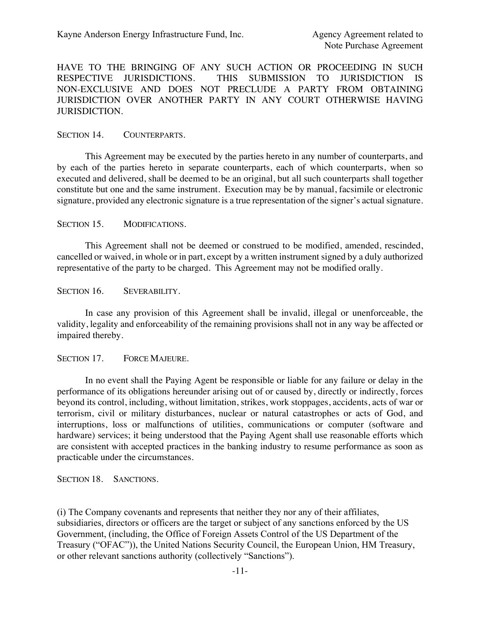HAVE TO THE BRINGING OF ANY SUCH ACTION OR PROCEEDING IN SUCH RESPECTIVE JURISDICTIONS. THIS SUBMISSION TO JURISDICTION IS NON-EXCLUSIVE AND DOES NOT PRECLUDE A PARTY FROM OBTAINING JURISDICTION OVER ANOTHER PARTY IN ANY COURT OTHERWISE HAVING JURISDICTION.

SECTION 14. COUNTERPARTS.

This Agreement may be executed by the parties hereto in any number of counterparts, and by each of the parties hereto in separate counterparts, each of which counterparts, when so executed and delivered, shall be deemed to be an original, but all such counterparts shall together constitute but one and the same instrument. Execution may be by manual, facsimile or electronic signature, provided any electronic signature is a true representation of the signer's actual signature.

SECTION 15. MODIFICATIONS.

This Agreement shall not be deemed or construed to be modified, amended, rescinded, cancelled or waived, in whole or in part, except by a written instrument signed by a duly authorized representative of the party to be charged. This Agreement may not be modified orally.

SECTION 16. SEVERABILITY.

In case any provision of this Agreement shall be invalid, illegal or unenforceable, the validity, legality and enforceability of the remaining provisions shall not in any way be affected or impaired thereby.

SECTION 17. FORCE MAJEURE.

In no event shall the Paying Agent be responsible or liable for any failure or delay in the performance of its obligations hereunder arising out of or caused by, directly or indirectly, forces beyond its control, including, without limitation, strikes, work stoppages, accidents, acts of war or terrorism, civil or military disturbances, nuclear or natural catastrophes or acts of God, and interruptions, loss or malfunctions of utilities, communications or computer (software and hardware) services; it being understood that the Paying Agent shall use reasonable efforts which are consistent with accepted practices in the banking industry to resume performance as soon as practicable under the circumstances.

SECTION 18. SANCTIONS.

(i) The Company covenants and represents that neither they nor any of their affiliates, subsidiaries, directors or officers are the target or subject of any sanctions enforced by the US Government, (including, the Office of Foreign Assets Control of the US Department of the Treasury ("OFAC")), the United Nations Security Council, the European Union, HM Treasury, or other relevant sanctions authority (collectively "Sanctions").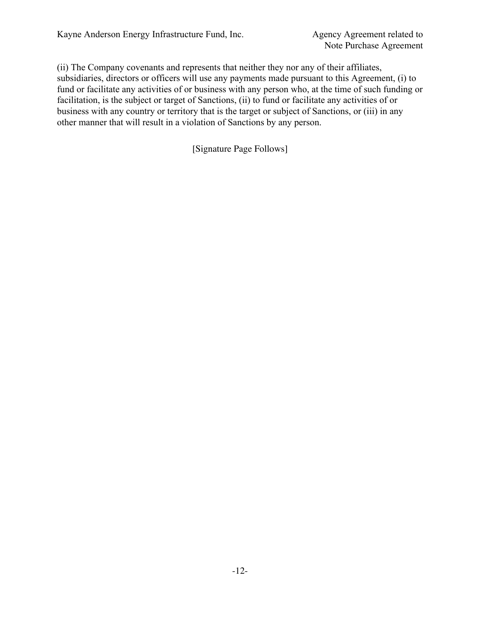(ii) The Company covenants and represents that neither they nor any of their affiliates, subsidiaries, directors or officers will use any payments made pursuant to this Agreement, (i) to fund or facilitate any activities of or business with any person who, at the time of such funding or facilitation, is the subject or target of Sanctions, (ii) to fund or facilitate any activities of or business with any country or territory that is the target or subject of Sanctions, or (iii) in any other manner that will result in a violation of Sanctions by any person.

[Signature Page Follows]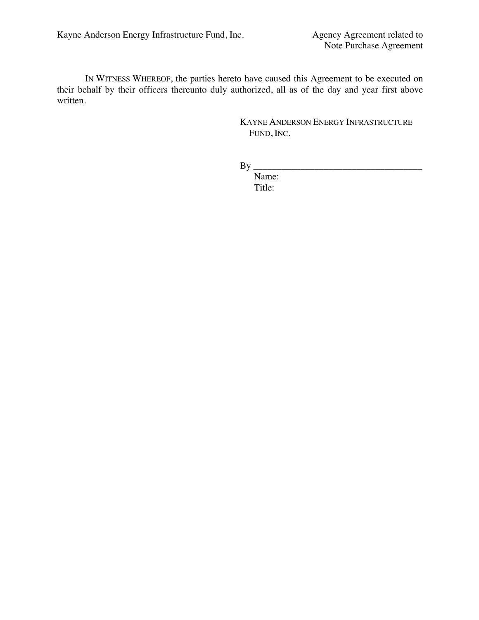IN WITNESS WHEREOF, the parties hereto have caused this Agreement to be executed on their behalf by their officers thereunto duly authorized, all as of the day and year first above written.

> KAYNE ANDERSON ENERGY INFRASTRUCTURE FUND, INC.

By \_\_\_\_\_\_\_\_\_\_\_\_\_\_\_\_\_\_\_\_\_\_\_\_\_\_\_\_\_\_\_\_\_\_\_\_

Name: Title: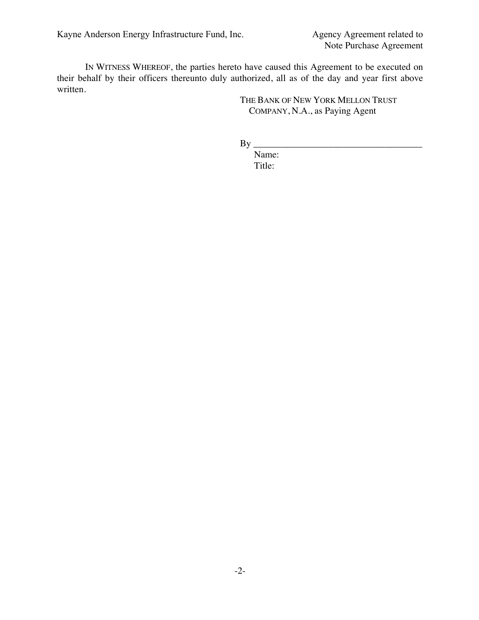Kayne Anderson Energy Infrastructure Fund, Inc. Agency Agreement related to

IN WITNESS WHEREOF, the parties hereto have caused this Agreement to be executed on their behalf by their officers thereunto duly authorized, all as of the day and year first above written.

> THE BANK OF NEW YORK MELLON TRUST COMPANY, N.A., as Paying Agent

By \_\_\_\_\_\_\_\_\_\_\_\_\_\_\_\_\_\_\_\_\_\_\_\_\_\_\_\_\_\_\_\_\_\_\_\_

Name: Title: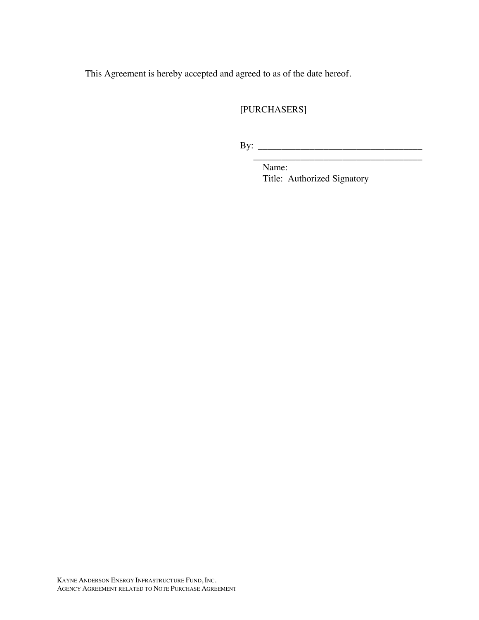This Agreement is hereby accepted and agreed to as of the date hereof.

# [PURCHASERS]

By: \_\_\_\_\_\_\_\_\_\_\_\_\_\_\_\_\_\_\_\_\_\_\_\_\_\_\_\_\_\_\_\_\_\_\_

Name: Title: Authorized Signatory

\_\_\_\_\_\_\_\_\_\_\_\_\_\_\_\_\_\_\_\_\_\_\_\_\_\_\_\_\_\_\_\_\_\_\_\_